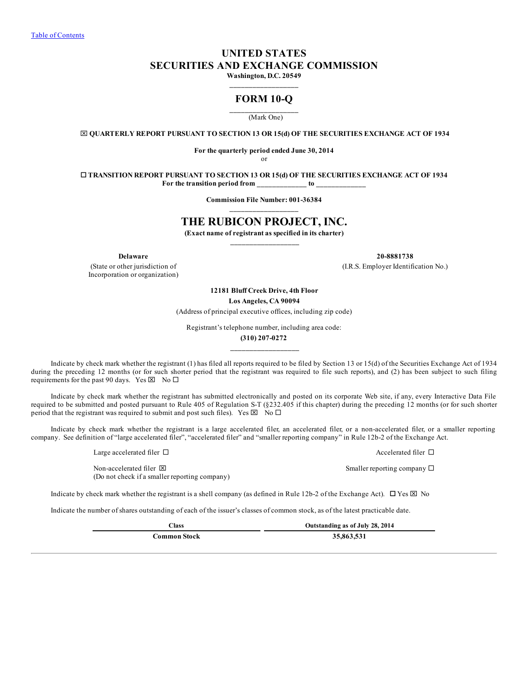# **UNITED STATES SECURITIES AND EXCHANGE COMMISSION**

**Washington, D.C. 20549 \_\_\_\_\_\_\_\_\_\_\_\_\_\_\_\_\_\_**

# **FORM 10-Q**

#### **\_\_\_\_\_\_\_\_\_\_\_\_\_\_\_\_\_\_** (Mark One)

x **QUARTERLY REPORT PURSUANT TO SECTION 13 OR 15(d) OF THE SECURITIES EXCHANGE ACT OF 1934**

**For the quarterly period ended June 30, 2014**

or

o **TRANSITION REPORT PURSUANT TO SECTION 13 OR 15(d) OF THE SECURITIES EXCHANGE ACT OF 1934 For the transition period from \_\_\_\_\_\_\_\_\_\_\_\_\_ to \_\_\_\_\_\_\_\_\_\_\_\_\_**

> **Commission File Number: 001-36384 \_\_\_\_\_\_\_\_\_\_\_\_\_\_\_\_\_\_**

# **THE RUBICON PROJECT, INC.**

**(Exact name of registrant as specified in its charter) \_\_\_\_\_\_\_\_\_\_\_\_\_\_\_\_\_\_**

(State or other jurisdiction of Incorporation or organization)

**Delaware 20-8881738**

(I.R.S. Employer Identification No.)

**12181 Bluff Creek Drive, 4th Floor Los Angeles, CA 90094**

(Address of principal executive offices, including zip code)

Registrant's telephone number, including area code:

**(310) 207-0272 \_\_\_\_\_\_\_\_\_\_\_\_\_\_\_\_\_\_**

Indicate by check mark whether the registrant (1) has filed all reports required to be filed by Section 13 or 15(d) of the Securities Exchange Act of 1934 during the preceding 12 months (or for such shorter period that the registrant was required to file such reports), and (2) has been subject to such filing requirements for the past 90 days. Yes  $\boxtimes$  No  $\square$ 

Indicate by check mark whether the registrant has submitted electronically and posted on its corporate Web site, if any, every Interactive Data File required to be submitted and posted pursuant to Rule 405 of Regulation S-T (§232.405 if this chapter) during the preceding 12 months (or for such shorter period that the registrant was required to submit and post such files). Yes  $\boxtimes \ \overset{\sim}{\mathbb{N}}$  No  $\Box$ 

Indicate by check mark whether the registrant is a large accelerated filer, an accelerated filer, or a non-accelerated filer, or a smaller reporting company. See definition of "large accelerated filer", "accelerated filer" and "smaller reporting company" in Rule 12b-2 of the Exchange Act.

Large accelerated filer  $\Box$ 

Non-accelerated filer  $\boxtimes$ (Do not check if a smaller reporting company)

Indicate by check mark whether the registrant is a shell company (as defined in Rule 12b-2 of the Exchange Act).  $\Box$  Yes  $\boxtimes$  No

Indicate the number of shares outstanding of each of the issuer's classes of common stock, as of the latest practicable date.

**Class Outstanding as of July 28, 2014 Common Stock 35,863,531**

Smaller reporting company  $\square$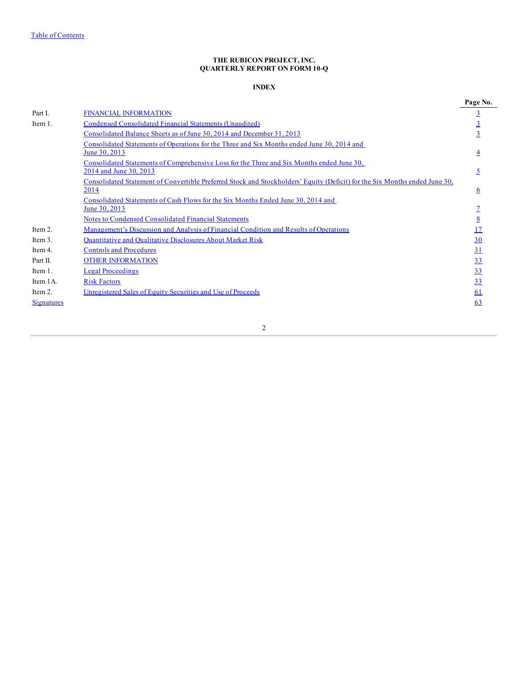# **THE RUBICON PROJECT, INC. QUARTERLY REPORT ON FORM 10-Q**

# **INDEX**

<span id="page-1-0"></span>

|                   |                                                                                                                                    | Page No.        |
|-------------------|------------------------------------------------------------------------------------------------------------------------------------|-----------------|
| Part I.           | <b>FINANCIAL INFORMATION</b>                                                                                                       | $\overline{3}$  |
| Item 1.           | Condensed Consolidated Financial Statements (Unaudited)                                                                            | <u>3</u>        |
|                   | Consolidated Balance Sheets as of June 30, 2014 and December 31, 2013                                                              |                 |
|                   | Consolidated Statements of Operations for the Three and Six Months ended June 30, 2014 and                                         |                 |
|                   | June 30, 2013                                                                                                                      |                 |
|                   | Consolidated Statements of Comprehensive Loss for the Three and Six Months ended June 30,                                          |                 |
|                   | 2014 and June 30, 2013                                                                                                             |                 |
|                   | Consolidated Statement of Convertible Preferred Stock and Stockholders' Equity (Deficit) for the Six Months ended June 30,<br>2014 | 6               |
|                   | Consolidated Statements of Cash Flows for the Six Months Ended June 30, 2014 and                                                   |                 |
|                   | June 30, 2013                                                                                                                      |                 |
|                   | Notes to Condensed Consolidated Financial Statements                                                                               | $\underline{8}$ |
| Item 2.           | Management's Discussion and Analysis of Financial Condition and Results of Operations                                              | 17              |
| Item 3.           | <b>Quantitative and Qualitative Disclosures About Market Risk</b>                                                                  | 30              |
| Item 4.           | <b>Controls and Procedures</b>                                                                                                     | 31              |
| Part II.          | <b>OTHER INFORMATION</b>                                                                                                           | <u>33</u>       |
| Item 1.           | <b>Legal Proceedings</b>                                                                                                           | 33              |
| Item 1A.          | <b>Risk Factors</b>                                                                                                                | 33              |
| Item 2.           | Unregistered Sales of Equity Securities and Use of Proceeds                                                                        | 61              |
| <u>Signatures</u> |                                                                                                                                    | 63              |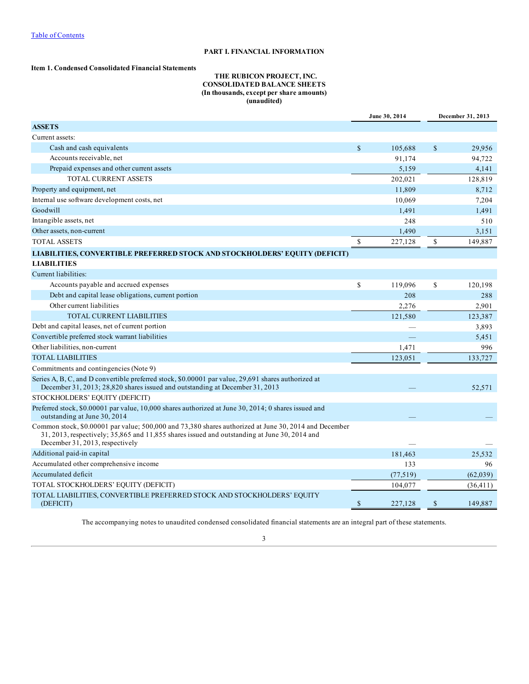# **PART I. FINANCIAL INFORMATION**

## <span id="page-2-0"></span>**Item 1. Condensed Consolidated Financial Statements**

# **THE RUBICON PROJECT, INC. CONSOLIDATED BALANCE SHEETS (In thousands, except per share amounts) (unaudited)**

|                                                                                                                                                                                                                                                 |              | June 30, 2014 | December 31, 2013 |           |  |
|-------------------------------------------------------------------------------------------------------------------------------------------------------------------------------------------------------------------------------------------------|--------------|---------------|-------------------|-----------|--|
| <b>ASSETS</b>                                                                                                                                                                                                                                   |              |               |                   |           |  |
| Current assets:                                                                                                                                                                                                                                 |              |               |                   |           |  |
| Cash and cash equivalents                                                                                                                                                                                                                       | $\mathbb{S}$ | 105,688       | $\mathbb{S}$      | 29,956    |  |
| Accounts receivable, net                                                                                                                                                                                                                        |              | 91,174        |                   | 94,722    |  |
| Prepaid expenses and other current assets                                                                                                                                                                                                       |              | 5,159         |                   | 4.141     |  |
| <b>TOTAL CURRENT ASSETS</b>                                                                                                                                                                                                                     |              | 202,021       |                   | 128,819   |  |
| Property and equipment, net                                                                                                                                                                                                                     |              | 11,809        |                   | 8,712     |  |
| Internal use software development costs, net                                                                                                                                                                                                    |              | 10,069        |                   | 7,204     |  |
| Goodwill                                                                                                                                                                                                                                        |              | 1,491         |                   | 1,491     |  |
| Intangible assets, net                                                                                                                                                                                                                          |              | 248           |                   | 510       |  |
| Other assets, non-current                                                                                                                                                                                                                       |              | 1,490         |                   | 3.151     |  |
| <b>TOTAL ASSETS</b>                                                                                                                                                                                                                             | \$           | 227,128       | \$                | 149,887   |  |
| LIABILITIES, CONVERTIBLE PREFERRED STOCK AND STOCKHOLDERS' EQUITY (DEFICIT)                                                                                                                                                                     |              |               |                   |           |  |
| <b>LIABILITIES</b>                                                                                                                                                                                                                              |              |               |                   |           |  |
| Current liabilities:                                                                                                                                                                                                                            |              |               |                   |           |  |
| Accounts payable and accrued expenses                                                                                                                                                                                                           | \$           | 119,096       | \$                | 120,198   |  |
| Debt and capital lease obligations, current portion                                                                                                                                                                                             |              | 208           |                   | 288       |  |
| Other current liabilities                                                                                                                                                                                                                       |              | 2,276         |                   | 2,901     |  |
| <b>TOTAL CURRENT LIABILITIES</b>                                                                                                                                                                                                                |              | 121,580       |                   | 123,387   |  |
| Debt and capital leases, net of current portion                                                                                                                                                                                                 |              |               |                   | 3,893     |  |
| Convertible preferred stock warrant liabilities                                                                                                                                                                                                 |              |               |                   | 5,451     |  |
| Other liabilities, non-current                                                                                                                                                                                                                  |              | 1,471         |                   | 996       |  |
| <b>TOTAL LIABILITIES</b>                                                                                                                                                                                                                        |              | 123,051       |                   | 133,727   |  |
| Commitments and contingencies (Note 9)                                                                                                                                                                                                          |              |               |                   |           |  |
| Series A, B, C, and D convertible preferred stock, \$0.00001 par value, 29,691 shares authorized at<br>December 31, 2013; 28,820 shares issued and outstanding at December 31, 2013                                                             |              |               |                   | 52,571    |  |
| STOCKHOLDERS' EQUITY (DEFICIT)                                                                                                                                                                                                                  |              |               |                   |           |  |
| Preferred stock, \$0.00001 par value, 10,000 shares authorized at June 30, 2014; 0 shares issued and<br>outstanding at June 30, 2014                                                                                                            |              |               |                   |           |  |
| Common stock, \$0,00001 par value; 500,000 and 73,380 shares authorized at June 30, 2014 and December<br>$31, 2013$ , respectively; $35,865$ and $11,855$ shares issued and outstanding at June 30, 2014 and<br>December 31, 2013, respectively |              |               |                   |           |  |
| Additional paid-in capital                                                                                                                                                                                                                      |              | 181.463       |                   | 25.532    |  |
| Accumulated other comprehensive income                                                                                                                                                                                                          |              | 133           |                   | 96        |  |
| Accumulated deficit                                                                                                                                                                                                                             |              | (77, 519)     |                   | (62, 039) |  |
| TOTAL STOCKHOLDERS' EQUITY (DEFICIT)                                                                                                                                                                                                            |              | 104,077       |                   | (36, 411) |  |
| TOTAL LIABILITIES, CONVERTIBLE PREFERRED STOCK AND STOCKHOLDERS' EQUITY                                                                                                                                                                         |              |               |                   |           |  |
| (DEFICIT)                                                                                                                                                                                                                                       | $\mathbb{S}$ | 227,128       | $\mathbb{S}$      | 149,887   |  |
|                                                                                                                                                                                                                                                 |              |               |                   |           |  |

The accompanying notes to unaudited condensed consolidated financial statements are an integral part of these statements.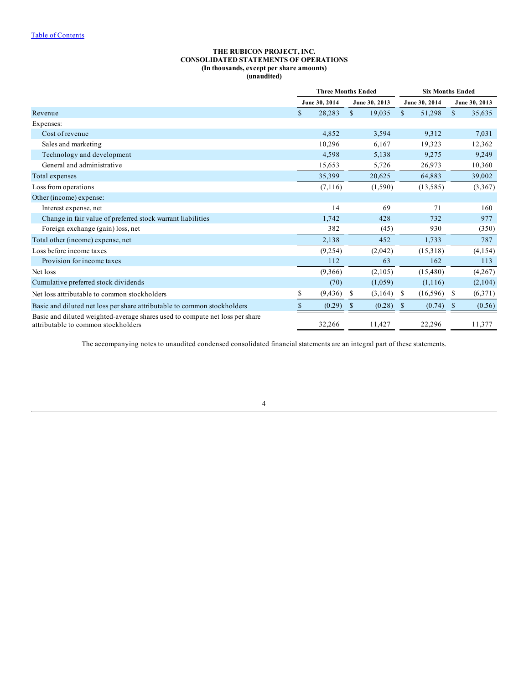## **THE RUBICON PROJECT, INC. CONSOLIDATED STATEMENTS OF OPERATIONS (In thousands, except per share amounts) (unaudited)**

<span id="page-3-0"></span>

|                                                                                                                     | <b>Three Months Ended</b> |               |               |               |               | <b>Six Months Ended</b> |               |               |  |  |
|---------------------------------------------------------------------------------------------------------------------|---------------------------|---------------|---------------|---------------|---------------|-------------------------|---------------|---------------|--|--|
|                                                                                                                     |                           | June 30, 2014 |               | June 30, 2013 |               | June 30, 2014           |               | June 30, 2013 |  |  |
| Revenue                                                                                                             | \$                        | 28,283        | $\mathbb{S}$  | 19,035        | <sup>\$</sup> | 51,298                  | <sup>\$</sup> | 35,635        |  |  |
| Expenses:                                                                                                           |                           |               |               |               |               |                         |               |               |  |  |
| Cost of revenue                                                                                                     |                           | 4,852         |               | 3,594         |               | 9,312                   |               | 7,031         |  |  |
| Sales and marketing                                                                                                 |                           | 10,296        |               | 6,167         |               | 19,323                  |               | 12,362        |  |  |
| Technology and development                                                                                          |                           | 4,598         |               | 5,138         |               | 9,275                   |               | 9,249         |  |  |
| General and administrative                                                                                          |                           | 15,653        |               | 5,726         |               | 26,973                  |               | 10,360        |  |  |
| Total expenses                                                                                                      |                           | 35,399        |               | 20,625        |               | 64,883                  |               | 39,002        |  |  |
| Loss from operations                                                                                                |                           | (7,116)       |               | (1,590)       |               | (13, 585)               |               | (3,367)       |  |  |
| Other (income) expense:                                                                                             |                           |               |               |               |               |                         |               |               |  |  |
| Interest expense, net                                                                                               |                           | 14            |               | 69            |               | 71                      |               | 160           |  |  |
| Change in fair value of preferred stock warrant liabilities                                                         |                           | 1,742         |               | 428           |               | 732                     |               | 977           |  |  |
| Foreign exchange (gain) loss, net                                                                                   |                           | 382           |               | (45)          |               | 930                     |               | (350)         |  |  |
| Total other (income) expense, net                                                                                   |                           | 2,138         |               | 452           |               | 1,733                   |               | 787           |  |  |
| Loss before income taxes                                                                                            |                           | (9,254)       |               | (2,042)       |               | (15,318)                |               | (4,154)       |  |  |
| Provision for income taxes                                                                                          |                           | 112           |               | 63            |               | 162                     |               | 113           |  |  |
| Net loss                                                                                                            |                           | (9,366)       |               | (2,105)       |               | (15, 480)               |               | (4,267)       |  |  |
| Cumulative preferred stock dividends                                                                                |                           | (70)          |               | (1,059)       |               | (1,116)                 |               | (2,104)       |  |  |
| Net loss attributable to common stockholders                                                                        | S                         | (9, 436)      | \$            | (3,164)       | -S            | (16,596)                | -S            | (6,371)       |  |  |
| Basic and diluted net loss per share attributable to common stockholders                                            |                           | (0.29)        | <sup>\$</sup> | (0.28)        | $\mathbf{s}$  | $(0.74)$ \$             |               | (0.56)        |  |  |
| Basic and diluted weighted-average shares used to compute net loss per share<br>attributable to common stockholders |                           | 32,266        |               | 11,427        |               | 22,296                  |               | 11,377        |  |  |

The accompanying notes to unaudited condensed consolidated financial statements are an integral part of these statements.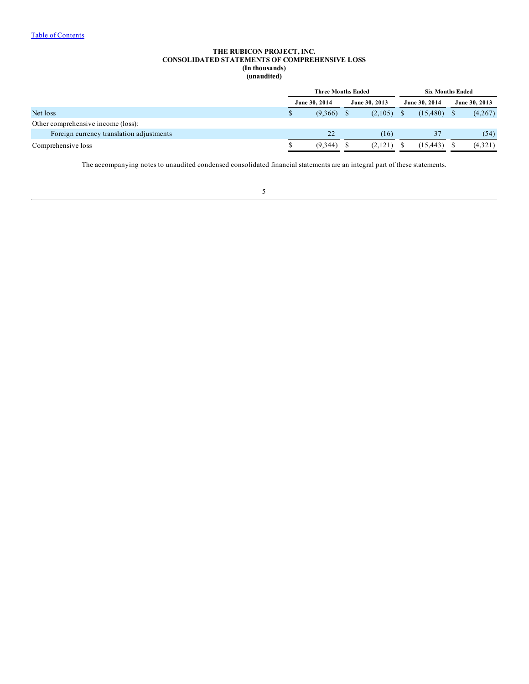## **THE RUBICON PROJECT, INC. CONSOLIDATED STATEMENTS OF COMPREHENSIVE LOSS (In thousands) (unaudited)**

|                                          | <b>Three Months Ended</b> |               |  |               |               | <b>Six Months Ended</b> |               |  |
|------------------------------------------|---------------------------|---------------|--|---------------|---------------|-------------------------|---------------|--|
|                                          |                           | June 30, 2014 |  | June 30, 2013 | June 30, 2014 |                         | June 30, 2013 |  |
| Net loss                                 |                           | $(9,366)$ \$  |  | (2,105)       | $(15,480)$ \$ |                         | (4,267)       |  |
| Other comprehensive income (loss):       |                           |               |  |               |               |                         |               |  |
| Foreign currency translation adjustments |                           | 22            |  | (16)          | 37            |                         | (54)          |  |
| Comprehensive loss                       |                           | (9.344)       |  | (2,121)       | (15, 443)     |                         | (4,321)       |  |
|                                          |                           |               |  |               |               |                         |               |  |

The accompanying notes to unaudited condensed consolidated financial statements are an integral part of these statements.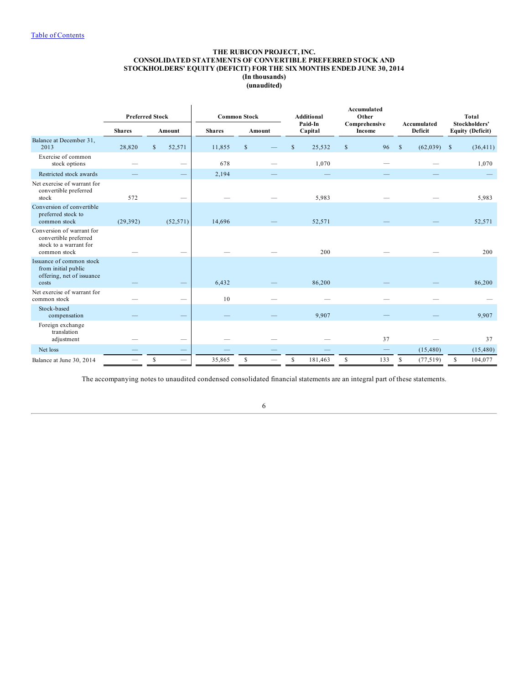## **THE RUBICON PROJECT, INC. CONSOLIDATED STATEMENTS OF CONVERTIBLE PREFERRED STOCK AND STOCKHOLDERS' EQUITY (DEFICIT) FOR THE SIX MONTHS ENDED JUNE 30, 2014 (In thousands) (unaudited)**

<span id="page-5-0"></span>

|                                                                                              |               | <b>Preferred Stock</b>        |        | <b>Common Stock</b> | <b>Additional</b><br>Paid-In | Accumulated<br>Other<br>Comprehensive | Accumulated               | <b>Total</b><br>Stockholders' |
|----------------------------------------------------------------------------------------------|---------------|-------------------------------|--------|---------------------|------------------------------|---------------------------------------|---------------------------|-------------------------------|
|                                                                                              | <b>Shares</b> | Amount                        |        | Amount              | Capital                      | Income                                | Deficit                   | <b>Equity (Deficit)</b>       |
| Balance at December 31,<br>2013                                                              | 28,820        | 52,571<br>$\mathbb{S}$        | 11,855 | $\mathsf{\$}$       | \$<br>25,532                 | \$<br>96                              | $\mathbf{s}$<br>(62, 039) | $\mathbb{S}$<br>(36, 411)     |
| Exercise of common<br>stock options                                                          |               |                               | 678    |                     | 1,070                        |                                       |                           | 1,070                         |
| Restricted stock awards                                                                      |               |                               | 2,194  |                     |                              |                                       |                           |                               |
| Net exercise of warrant for<br>convertible preferred<br>stock                                | 572           |                               |        |                     | 5,983                        |                                       |                           | 5,983                         |
| Conversion of convertible<br>preferred stock to<br>common stock                              | (29, 392)     | (52, 571)                     | 14,696 |                     | 52,571                       |                                       |                           | 52,571                        |
| Conversion of warrant for<br>convertible preferred<br>stock to a warrant for<br>common stock |               |                               |        |                     | 200                          |                                       |                           | 200                           |
| Issuance of common stock<br>from initial public<br>offering, net of issuance<br>costs        |               |                               | 6,432  |                     | 86,200                       |                                       |                           | 86,200                        |
| Net exercise of warrant for<br>common stock                                                  |               |                               | 10     |                     |                              |                                       |                           |                               |
| Stock-based<br>compensation                                                                  |               |                               |        |                     | 9,907                        |                                       |                           | 9,907                         |
| Foreign exchange<br>translation<br>adjustment                                                |               |                               |        |                     |                              | 37                                    |                           | 37                            |
| Net loss                                                                                     |               | $\overline{\phantom{0}}$      |        |                     |                              |                                       | (15, 480)                 | (15, 480)                     |
| Balance at June 30, 2014                                                                     |               | S<br>$\overline{\phantom{0}}$ | 35,865 | \$                  | \$<br>181,463                | \$<br>133                             | \$<br>(77, 519)           | \$<br>104,077                 |

The accompanying notes to unaudited condensed consolidated financial statements are an integral part of these statements.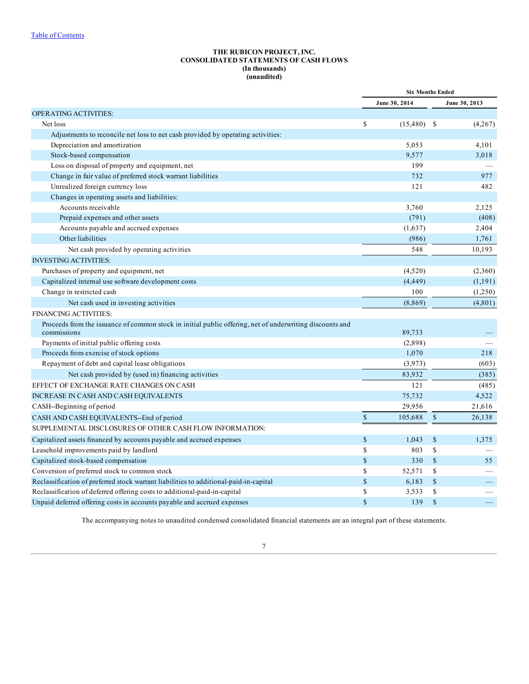# **THE RUBICON PROJECT, INC. CONSOLIDATED STATEMENTS OF CASH FLOWS (In thousands) (unaudited)**

|                                                                                                                         |              | <b>Six Months Ended</b> |               |               |  |  |
|-------------------------------------------------------------------------------------------------------------------------|--------------|-------------------------|---------------|---------------|--|--|
|                                                                                                                         |              | June 30, 2014           |               | June 30, 2013 |  |  |
| <b>OPERATING ACTIVITIES:</b>                                                                                            |              |                         |               |               |  |  |
| Net loss                                                                                                                | \$           | $(15,480)$ \$           |               | (4,267)       |  |  |
| Adjustments to reconcile net loss to net cash provided by operating activities:                                         |              |                         |               |               |  |  |
| Depreciation and amortization                                                                                           |              | 5,053                   |               | 4,101         |  |  |
| Stock-based compensation                                                                                                |              | 9,577                   |               | 3,018         |  |  |
| Loss on disposal of property and equipment, net                                                                         |              | 199                     |               |               |  |  |
| Change in fair value of preferred stock warrant liabilities                                                             |              | 732                     |               | 977           |  |  |
| Unrealized foreign currency loss                                                                                        |              | 121                     |               | 482           |  |  |
| Changes in operating assets and liabilities:                                                                            |              |                         |               |               |  |  |
| Accounts receivable                                                                                                     |              | 3,760                   |               | 2,125         |  |  |
| Prepaid expenses and other assets                                                                                       |              | (791)                   |               | (408)         |  |  |
| Accounts payable and accrued expenses                                                                                   |              | (1,637)                 |               | 2,404         |  |  |
| Other liabilities                                                                                                       |              | (986)                   |               | 1,761         |  |  |
| Net cash provided by operating activities                                                                               |              | 548                     |               | 10,193        |  |  |
| <b>INVESTING ACTIVITIES:</b>                                                                                            |              |                         |               |               |  |  |
| Purchases of property and equipment, net                                                                                |              | (4,520)                 |               | (2,360)       |  |  |
| Capitalized internal use software development costs                                                                     |              | (4, 449)                |               | (1, 191)      |  |  |
| Change in restricted cash                                                                                               |              | 100                     |               | (1,250)       |  |  |
| Net cash used in investing activities                                                                                   |              | (8, 869)                |               | (4,801)       |  |  |
| <b>FINANCING ACTIVITIES:</b>                                                                                            |              |                         |               |               |  |  |
| Proceeds from the issuance of common stock in initial public offering, net of underwriting discounts and<br>commissions |              | 89,733                  |               |               |  |  |
| Payments of initial public offering costs                                                                               |              | (2,898)                 |               |               |  |  |
| Proceeds from exercise of stock options                                                                                 |              | 1,070                   |               | 218           |  |  |
| Repayment of debt and capital lease obligations                                                                         |              | (3,973)                 |               | (603)         |  |  |
| Net cash provided by (used in) financing activities                                                                     |              | 83,932                  |               | (385)         |  |  |
| EFFECT OF EXCHANGE RATE CHANGES ON CASH                                                                                 |              | 121                     |               | (485)         |  |  |
| INCREASE IN CASH AND CASH EQUIVALENTS                                                                                   |              | 75,732                  |               | 4,522         |  |  |
| CASH--Beginning of period                                                                                               |              | 29,956                  |               | 21,616        |  |  |
| CASH AND CASH EQUIVALENTS--End of period                                                                                | $\mathbb S$  | 105,688                 | $\mathcal{S}$ | 26,138        |  |  |
| SUPPLEMENTAL DISCLOSURES OF OTHER CASH FLOW INFORMATION:                                                                |              |                         |               |               |  |  |
| Capitalized assets financed by accounts payable and accrued expenses                                                    | $\mathbb{S}$ | 1,043                   | $\mathbb{S}$  | 1,375         |  |  |
| Leasehold improvements paid by landlord                                                                                 | \$           | 803                     | \$            |               |  |  |
| Capitalized stock-based compensation                                                                                    | $\mathbb{S}$ | 330                     | $\mathcal{S}$ | 55            |  |  |
| Conversion of preferred stock to common stock                                                                           | \$           | 52,571                  | \$            |               |  |  |
| Reclassification of preferred stock warrant liabilities to additional-paid-in-capital                                   | $\mathbb{S}$ | 6,183                   | $\mathcal{S}$ |               |  |  |
| Reclassification of deferred offering costs to additional-paid-in-capital                                               | \$           | 3,533                   | \$            |               |  |  |
| Unpaid deferred offering costs in accounts payable and accrued expenses                                                 | $\mathbf S$  | 139                     | $\mathbb{S}$  |               |  |  |

The accompanying notes to unaudited condensed consolidated financial statements are an integral part of these statements.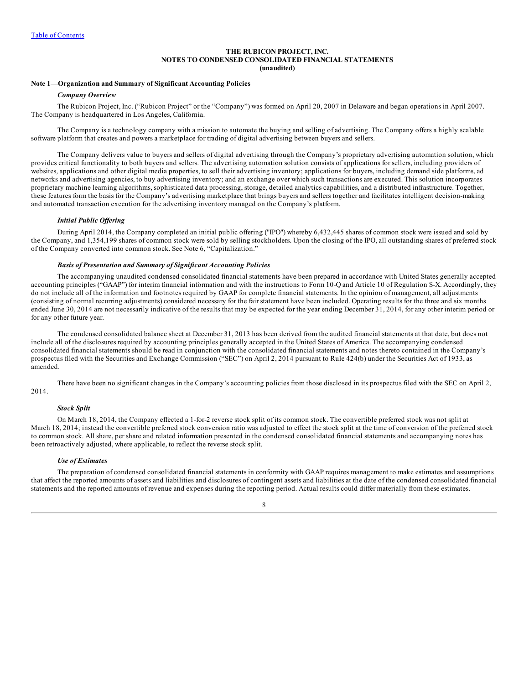### **THE RUBICON PROJECT, INC. NOTES TO CONDENSED CONSOLIDATED FINANCIAL STATEMENTS (unaudited)**

#### <span id="page-7-0"></span>**Note 1—Organization and Summary of Significant Accounting Policies**

#### *Company Overview*

The Rubicon Project, Inc. ("Rubicon Project" or the "Company") was formed on April 20, 2007 in Delaware and began operations in April 2007. The Company is headquartered in Los Angeles, California.

The Company is a technology company with a mission to automate the buying and selling of advertising. The Company offers a highly scalable software platform that creates and powers a marketplace for trading of digital advertising between buyers and sellers.

The Company delivers value to buyers and sellers of digital advertising through the Company's proprietary advertising automation solution, which provides critical functionality to both buyers and sellers. The advertising automation solution consists of applications for sellers, including providers of websites, applications and other digital media properties, to sell their advertising inventory; applications for buyers, including demand side platforms, ad networks and advertising agencies, to buy advertising inventory; and an exchange over which such transactions are executed. This solution incorporates proprietary machine learning algorithms, sophisticated data processing, storage, detailed analytics capabilities, and a distributed infrastructure. Together, these features form the basis for the Company's advertising marketplace that brings buyers and sellers together and facilitates intelligent decision-making and automated transaction execution for the advertising inventory managed on the Company's platform.

#### *Initial Public Of ering*

During April 2014, the Company completed an initial public offering ("IPO") whereby 6,432,445 shares of common stock were issued and sold by the Company, and 1,354,199 shares of common stock were sold by selling stockholders. Upon the closing of the IPO, all outstanding shares of preferred stock of the Company converted into common stock. See Note 6, "Capitalization."

## *Basis of Presentation and Summary of Significant Accounting Policies*

The accompanying unaudited condensed consolidated financial statements have been prepared in accordance with United States generally accepted accounting principles ("GAAP") for interim financial information and with the instructions to Form 10-Q and Article 10 of Regulation S-X. Accordingly, they do not include all of the information and footnotes required by GAAP for complete financial statements. In the opinion of management, all adjustments (consisting of normal recurring adjustments) considered necessary for the fair statement have been included. Operating results for the three and six months ended June 30, 2014 are not necessarily indicative of the results that may be expected for the year ending December 31, 2014, for any other interim period or for any other future year.

The condensed consolidated balance sheet at December 31, 2013 has been derived from the audited financial statements at that date, but does not include all of the disclosures required by accounting principles generally accepted in the United States of America. The accompanying condensed consolidated financial statements should be read in conjunction with the consolidated financial statements and notes thereto contained in the Company's prospectus filed with the Securities and Exchange Commission ("SEC") on April 2, 2014 pursuant to Rule 424(b) under the Securities Act of 1933, as amended.

There have been no significant changes in the Company's accounting policies from those disclosed in its prospectus filed with the SEC on April 2, 2014.

## *Stock Split*

On March 18, 2014, the Company effected a 1-for-2 reverse stock split of its common stock. The convertible preferred stock was not split at March 18, 2014; instead the convertible preferred stock conversion ratio was adjusted to effect the stock split at the time of conversion of the preferred stock to common stock. All share, per share and related information presented in the condensed consolidated financial statements and accompanying notes has been retroactively adjusted, where applicable, to reflect the reverse stock split.

## *Use of Estimates*

The preparation of condensed consolidated financial statements in conformity with GAAP requires management to make estimates and assumptions that affect the reported amounts of assets and liabilities and disclosures of contingent assets and liabilities at the date of the condensed consolidated financial statements and the reported amounts of revenue and expenses during the reporting period. Actual results could differ materially from these estimates.

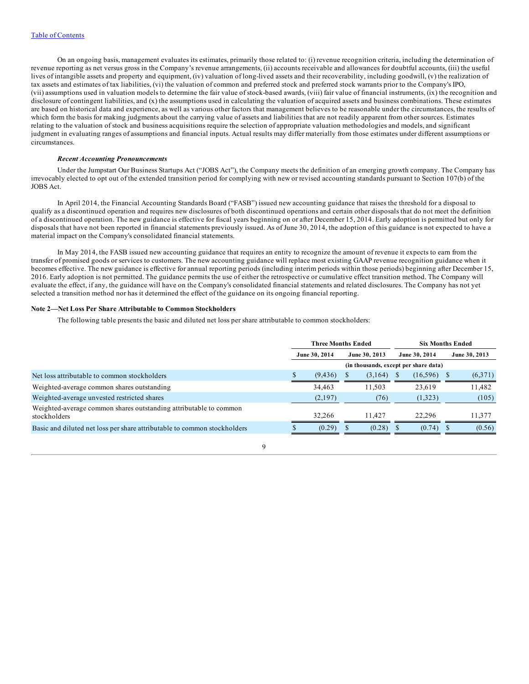On an ongoing basis, management evaluates its estimates, primarily those related to: (i) revenue recognition criteria, including the determination of revenue reporting as net versus gross in the Company's revenue arrangements, (ii) accounts receivable and allowances for doubtful accounts, (iii) the useful lives of intangible assets and property and equipment, (iv) valuation of long-lived assets and their recoverability, including goodwill, (v) the realization of tax assets and estimates of tax liabilities, (vi) the valuation of common and preferred stock and preferred stock warrants prior to the Company's IPO, (vii) assumptions used in valuation models to determine the fair value of stock-based awards, (viii) fair value of financial instruments, (ix) the recognition and disclosure of contingent liabilities, and (x) the assumptions used in calculating the valuation of acquired assets and business combinations. These estimates are based on historical data and experience, as well as various other factors that management believes to be reasonable under the circumstances, the results of which form the basis for making judgments about the carrying value of assets and liabilities that are not readily apparent from other sources. Estimates relating to the valuation of stock and business acquisitions require the selection of appropriate valuation methodologies and models, and significant judgment in evaluating ranges of assumptions and financial inputs. Actual results may differ materially from those estimates under different assumptions or circumstances.

#### *Recent Accounting Pronouncements*

Under the Jumpstart Our Business Startups Act ("JOBS Act"), the Company meets the definition of an emerging growth company. The Company has irrevocably elected to opt out of the extended transition period for complying with new or revised accounting standards pursuant to Section 107(b) of the JOBS Act.

In April 2014, the Financial Accounting Standards Board ("FASB") issued new accounting guidance that raises the threshold for a disposal to qualify as a discontinued operation and requires new disclosures of both discontinued operations and certain other disposals that do not meet the definition of a discontinued operation. The new guidance is effective for fiscal years beginning on or after December 15, 2014. Early adoption is permitted but only for disposals that have not been reported in financial statements previously issued. As of June 30, 2014, the adoption of this guidance is not expected to have a material impact on the Company's consolidated financial statements.

In May 2014, the FASB issued new accounting guidance that requires an entity to recognize the amount of revenue it expects to earn from the transfer of promised goods or services to customers. The new accounting guidance will replace most existing GAAP revenue recognition guidance when it becomes effective. The new guidance is effective for annual reporting periods (including interim periods within those periods) beginning after December 15, 2016. Early adoption is not permitted. The guidance permits the use of either the retrospective or cumulative effect transition method. The Company will evaluate the effect, if any, the guidance will have on the Company's consolidated financial statements and related disclosures. The Company has not yet selected a transition method nor has it determined the effect of the guidance on its ongoing financial reporting.

#### **Note 2—Net Loss Per Share Attributable to Common Stockholders**

The following table presents the basic and diluted net loss per share attributable to common stockholders:

|                                                                                   | <b>Three Months Ended</b> |                                       |  |               |  | <b>Six Months Ended</b> |  |               |
|-----------------------------------------------------------------------------------|---------------------------|---------------------------------------|--|---------------|--|-------------------------|--|---------------|
|                                                                                   | June 30, 2014             |                                       |  | June 30, 2013 |  | June 30, 2014           |  | June 30, 2013 |
|                                                                                   |                           | (in thousands, except per share data) |  |               |  |                         |  |               |
| Net loss attributable to common stockholders                                      |                           | (9, 436)                              |  | (3,164)       |  | (16,596)                |  | (6,371)       |
| Weighted-average common shares outstanding                                        |                           | 34,463                                |  | 11.503        |  | 23,619                  |  | 11,482        |
| Weighted-average unvested restricted shares                                       |                           | (2,197)                               |  | (76)          |  | (1,323)                 |  | (105)         |
| Weighted-average common shares outstanding attributable to common<br>stockholders |                           | 32.266                                |  | 11.427        |  | 22.296                  |  | 11.377        |
| Basic and diluted net loss per share attributable to common stockholders          |                           | (0.29)                                |  | $(0.28)$ \$   |  | (0.74)                  |  | (0.56)        |
|                                                                                   |                           |                                       |  |               |  |                         |  |               |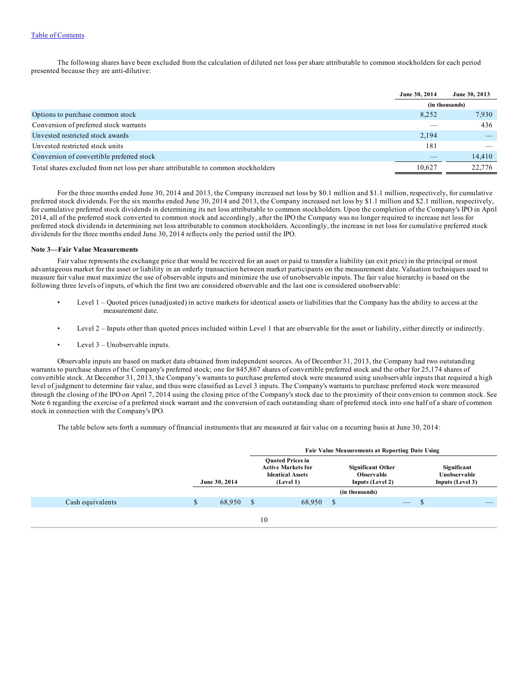The following shares have been excluded from the calculation of diluted net loss per share attributable to common stockholders for each period presented because they are anti-dilutive:

|                                                                                   | June 30, 2014 | June 30, 2013  |
|-----------------------------------------------------------------------------------|---------------|----------------|
|                                                                                   |               | (in thousands) |
| Options to purchase common stock                                                  | 8,252         | 7,930          |
| Conversion of preferred stock warrants                                            |               | 436            |
| Unvested restricted stock awards                                                  | 2,194         |                |
| Unvested restricted stock units                                                   | 181           |                |
| Conversion of convertible preferred stock                                         |               | 14,410         |
| Total shares excluded from net loss per share attributable to common stockholders | 10.627        | 22,776         |

For the three months ended June 30, 2014 and 2013, the Company increased net loss by \$0.1 million and \$1.1 million, respectively, for cumulative preferred stock dividends. For the six months ended June 30, 2014 and 2013, the Company increased net loss by \$1.1 million and \$2.1 million, respectively, for cumulative preferred stock dividends in determining its net loss attributable to common stockholders. Upon the completion of the Company's IPO in April 2014, all of the preferred stock converted to common stock and accordingly, after the IPO the Company was no longer required to increase net loss for preferred stock dividends in determining net loss attributable to common stockholders. Accordingly, the increase in net loss for cumulative preferred stock dividends for the three months ended June 30, 2014 reflects only the period until the IPO.

#### **Note 3—Fair Value Measurements**

Fair value represents the exchange price that would be received for an asset or paid to transfer a liability (an exit price) in the principal or most advantageous market for the asset or liability in an orderly transaction between market participants on the measurement date. Valuation techniques used to measure fair value must maximize the use of observable inputs and minimize the use of unobservable inputs. The fair value hierarchy is based on the following three levels of inputs, of which the first two are considered observable and the last one is considered unobservable:

- Level 1 Quoted prices (unadjusted) in active markets for identical assets or liabilities that the Company has the ability to access at the measurement date.
- Level 2 Inputs other than quoted prices included within Level 1 that are observable for the asset or liability, either directly or indirectly.
- Level  $3$  Unobservable inputs.

Observable inputs are based on market data obtained from independent sources. As of December 31, 2013, the Company had two outstanding warrants to purchase shares of the Company's preferred stock; one for 845,867 shares of convertible preferred stock and the other for 25,174 shares of convertible stock. At December 31, 2013, the Company's warrants to purchase preferred stock were measured using unobservable inputs that required a high level of judgment to determine fair value, and thus were classified as Level 3 inputs. The Company's warrants to purchase preferred stock were measured through the closing of the IPO on April 7, 2014 using the closing price of the Company's stock due to the proximity of their conversion to common stock. See Note 6 regarding the exercise of a preferred stock warrant and the conversion of each outstanding share of preferred stock into one half of a share of common stock in connection with the Company's IPO.

The table below sets forth a summary of financial instruments that are measured at fair value on a recurring basis at June 30, 2014:

|                  |               |        | <b>Fair Value Measurements at Reporting Date Using</b>                                       |        |               |                                                            |  |   |                                                 |  |
|------------------|---------------|--------|----------------------------------------------------------------------------------------------|--------|---------------|------------------------------------------------------------|--|---|-------------------------------------------------|--|
|                  | June 30, 2014 |        | <b>Ouoted Prices in</b><br><b>Active Markets for</b><br><b>Identical Assets</b><br>(Level 1) |        |               | <b>Significant Other</b><br>Observable<br>Inputs (Level 2) |  |   | Significant<br>Unobservable<br>Inputs (Level 3) |  |
|                  |               |        |                                                                                              |        |               | (in thousands)                                             |  |   |                                                 |  |
| Cash equivalents | \$            | 68,950 | -S                                                                                           | 68,950 | <sup>\$</sup> |                                                            |  | D |                                                 |  |
|                  |               |        |                                                                                              | 10     |               |                                                            |  |   |                                                 |  |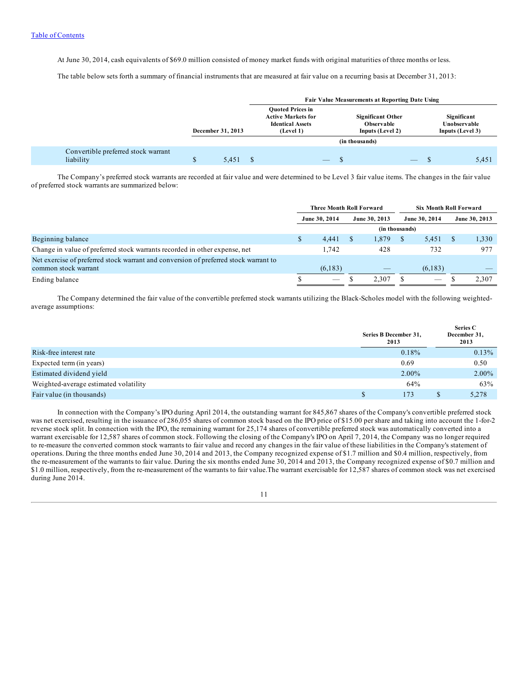At June 30, 2014, cash equivalents of \$69.0 million consisted of money market funds with original maturities of three months or less.

The table below sets forth a summary of financial instruments that are measured at fair value on a recurring basis at December 31, 2013:

|                                                  |                   |       |                                                                                              |  |  | <b>Fair Value Measurements at Reporting Date Using</b>            |  |                                                 |       |
|--------------------------------------------------|-------------------|-------|----------------------------------------------------------------------------------------------|--|--|-------------------------------------------------------------------|--|-------------------------------------------------|-------|
|                                                  | December 31, 2013 |       | <b>Ouoted Prices in</b><br><b>Active Markets for</b><br><b>Identical Assets</b><br>(Level 1) |  |  | <b>Significant Other</b><br><b>Observable</b><br>Inputs (Level 2) |  | Significant<br>Unobservable<br>Inputs (Level 3) |       |
|                                                  |                   |       |                                                                                              |  |  | (in thousands)                                                    |  |                                                 |       |
| Convertible preferred stock warrant<br>liability |                   | 5.451 |                                                                                              |  |  |                                                                   |  |                                                 | 5.451 |

The Company's preferred stock warrants are recorded at fair value and were determined to be Level 3 fair value items. The changes in the fair value of preferred stock warrants are summarized below:

|                                                                                      | <b>Three Month Roll Forward</b> |                          |     | <b>Six Month Roll Forward</b> |    |               |  |               |
|--------------------------------------------------------------------------------------|---------------------------------|--------------------------|-----|-------------------------------|----|---------------|--|---------------|
|                                                                                      |                                 | June 30, 2014            |     | June 30, 2013                 |    | June 30, 2014 |  | June 30, 2013 |
|                                                                                      |                                 |                          |     |                               |    |               |  |               |
| Beginning balance                                                                    |                                 | 4.441                    | \$. | 1,879                         | -8 | 5,451         |  | 1,330         |
| Change in value of preferred stock warrants recorded in other expense, net           |                                 | 1.742                    |     | 428                           |    | 732           |  | 977           |
| Net exercise of preferred stock warrant and conversion of preferred stock warrant to |                                 |                          |     |                               |    |               |  |               |
| common stock warrant                                                                 |                                 | (6,183)                  |     | __                            |    | (6,183)       |  |               |
| Ending balance                                                                       |                                 | $\overline{\phantom{a}}$ |     | 2.307                         |    |               |  | 2,307         |

The Company determined the fair value of the convertible preferred stock warrants utilizing the Black-Scholes model with the following weightedaverage assumptions:

|                                       | Series B December 31,<br>2013 | Series C<br>December 31,<br>2013 |
|---------------------------------------|-------------------------------|----------------------------------|
| Risk-free interest rate               | $0.18\%$                      | $0.13\%$                         |
| Expected term (in years)              | 0.69                          | 0.50                             |
| Estimated dividend yield              | 2.00%                         | $2.00\%$                         |
| Weighted-average estimated volatility | 64%                           | 63%                              |
| Fair value (in thousands)             | 173                           | 5.278                            |

In connection with the Company's IPO during April 2014, the outstanding warrant for 845,867 shares of the Company's convertible preferred stock was net exercised, resulting in the issuance of 286,055 shares of common stock based on the IPO price of \$15.00 per share and taking into account the 1-for-2 reverse stock split. In connection with the IPO, the remaining warrant for 25,174 shares of convertible preferred stock was automatically converted into a warrant exercisable for 12,587 shares of common stock. Following the closing of the Company's IPO on April 7, 2014, the Company was no longer required to re-measure the converted common stock warrants to fair value and record any changes in the fair value of these liabilities in the Company's statement of operations. During the three months ended June 30, 2014 and 2013, the Company recognized expense of \$1.7 million and \$0.4 million, respectively, from the re-measurement of the warrants to fair value. During the six months ended June 30, 2014 and 2013, the Company recognized expense of \$0.7 million and \$1.0 million, respectively, from the re-measurement of the warrants to fair value. The warrant exercisable for 12,587 shares of common stock was net exercised during June 2014.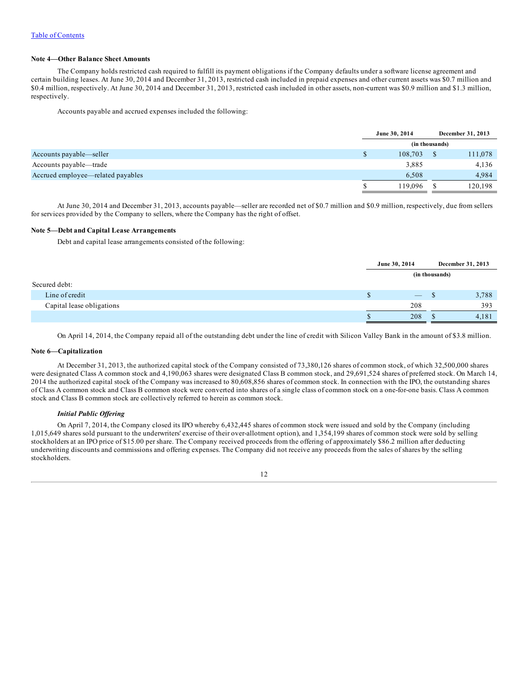## **Note 4—Other Balance Sheet Amounts**

The Company holds restricted cash required to fulfill its payment obligations if the Company defaults under a software license agreement and certain building leases. At June 30, 2014 and December 31, 2013, restricted cash included in prepaid expenses and other current assets was \$0.7 million and \$0.4 million, respectively. At June 30, 2014 and December 31, 2013, restricted cash included in other assets, non-current was \$0.9 million and \$1.3 million, respectively.

Accounts payable and accrued expenses included the following:

|                                   |   | June 30, 2014 |                | December 31, 2013 |
|-----------------------------------|---|---------------|----------------|-------------------|
|                                   |   |               | (in thousands) |                   |
| Accounts payable—seller           | S | 108,703       |                | 111,078           |
| Accounts payable—trade            |   | 3,885         |                | 4,136             |
| Accrued employee—related payables |   | 6,508         |                | 4,984             |
|                                   |   | 119.096       |                | 120.198           |

At June 30, 2014 and December 31, 2013, accounts payable—seller are recorded net of \$0.7 million and \$0.9 million, respectively, due from sellers for services provided by the Company to sellers, where the Company has the right of offset.

## **Note 5—Debt and Capital Lease Arrangements**

Debt and capital lease arrangements consisted of the following:

|                           |                | June 30, 2014                   |    | December 31, 2013 |  |  |
|---------------------------|----------------|---------------------------------|----|-------------------|--|--|
|                           | (in thousands) |                                 |    |                   |  |  |
| Secured debt:             |                |                                 |    |                   |  |  |
| Line of credit            |                | $\hspace{0.1mm}-\hspace{0.1mm}$ | ٠D | 3,788             |  |  |
| Capital lease obligations |                | 208                             |    | 393               |  |  |
|                           |                | 208                             |    | 4,181             |  |  |

On April 14, 2014, the Company repaid all of the outstanding debt under the line of credit with Silicon Valley Bank in the amount of \$3.8 million.

## **Note 6—Capitalization**

At December 31, 2013, the authorized capital stock of the Company consisted of 73,380,126 shares of common stock, of which 32,500,000 shares were designated Class A common stock and 4,190,063 shares were designated Class B common stock, and 29,691,524 shares of preferred stock. On March 14, 2014 the authorized capital stock of the Company was increased to 80,608,856 shares of common stock. In connection with the IPO, the outstanding shares of Class A common stock and Class B common stock were converted into shares of a single class of common stock on a one-for-one basis. Class A common stock and Class B common stock are collectively referred to herein as common stock.

## *Initial Public Of ering*

On April 7, 2014, the Company closed its IPO whereby 6,432,445 shares of common stock were issued and sold by the Company (including 1,015,649 shares sold pursuant to the underwriters' exercise of their over-allotment option), and 1,354,199 shares of common stock were sold by selling stockholders at an IPO price of \$15.00 per share. The Company received proceeds from the offering of approximately \$86.2 million after deducting underwriting discounts and commissions and offering expenses. The Company did not receive any proceeds from the sales of shares by the selling stockholders.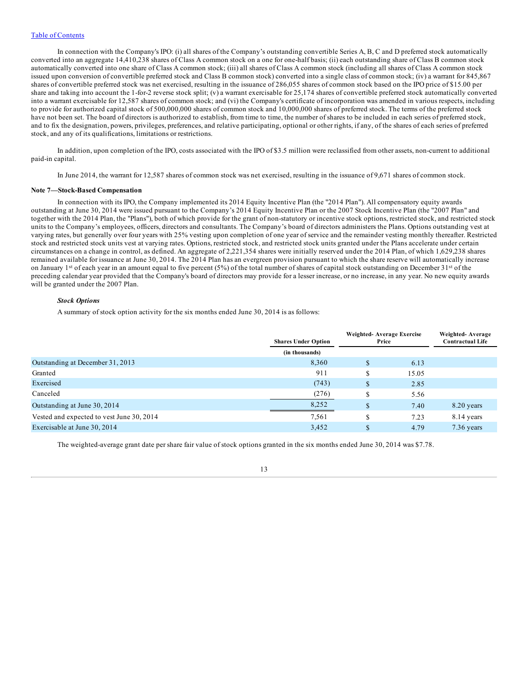In connection with the Company's IPO: (i) all shares of the Company's outstanding convertible Series A, B, C and D preferred stock automatically converted into an aggregate 14,410,238 shares of Class A common stock on a one for one-half basis; (ii) each outstanding share of Class B common stock automatically converted into one share of Class A common stock; (iii) all shares of Class A common stock (including all shares of Class A common stock issued upon conversion of convertible preferred stock and Class B common stock) converted into a single class of common stock; (iv) a warrant for 845,867 shares of convertible preferred stock was net exercised, resulting in the issuance of 286,055 shares of common stock based on the IPO price of \$15.00 per share and taking into account the 1-for-2 reverse stock split; (v) a warrant exercisable for 25,174 shares of convertible preferred stock automatically converted into a warrant exercisable for 12,587 shares of common stock; and (vi) the Company's certificate of incorporation was amended in various respects, including to provide for authorized capital stock of 500,000,000 shares of common stock and 10,000,000 shares of preferred stock. The terms of the preferred stock have not been set. The board of directors is authorized to establish, from time to time, the number of shares to be included in each series of preferred stock, and to fix the designation, powers, privileges, preferences, and relative participating, optional or other rights, if any, of the shares of each series of preferred stock, and any of its qualifications, limitations or restrictions.

In addition, upon completion of the IPO, costs associated with the IPO of \$3.5 million were reclassified from other assets, non-current to additional paid-in capital.

In June 2014, the warrant for 12,587 shares of common stock was net exercised, resulting in the issuance of 9,671 shares of common stock.

#### **Note 7—Stock-Based Compensation**

In connection with its IPO, the Company implemented its 2014 Equity Incentive Plan (the "2014 Plan"). All compensatory equity awards outstanding at June 30, 2014 were issued pursuant to the Company's 2014 Equity Incentive Plan or the 2007 Stock Incentive Plan (the "2007 Plan" and together with the 2014 Plan, the "Plans"), both of which provide for the grant of non-statutory or incentive stock options, restricted stock, and restricted stock units to the Company's employees, officers, directors and consultants. The Company's board of directors administers the Plans. Options outstanding vest at varying rates, but generally over four years with 25% vesting upon completion of one year of service and the remainder vesting monthly thereafter. Restricted stock and restricted stock units vest at varying rates. Options, restricted stock, and restricted stock units granted under the Plans accelerate under certain circumstances on a change in control, as defined. An aggregate of 2,221,354 shares were initially reserved under the 2014 Plan, of which 1,629,238 shares remained available for issuance at June 30, 2014. The 2014 Plan has an evergreen provision pursuant to which the share reserve will automatically increase on January 1st of each year in an amount equal to five percent (5%) of the total number of shares of capital stock outstanding on December 31st of the preceding calendar year provided that the Company's board of directors may provide for a lesser increase, or no increase, in any year. No new equity awards will be granted under the 2007 Plan.

## *Stock Options*

A summary of stock option activity for the six months ended June 30, 2014 is as follows:

|                                           | <b>Shares Under Option</b> | Weighted-Average Exercise<br>Price | Weighted-Average<br><b>Contractual Life</b> |            |
|-------------------------------------------|----------------------------|------------------------------------|---------------------------------------------|------------|
|                                           | (in thousands)             |                                    |                                             |            |
| Outstanding at December 31, 2013          | 8,360                      |                                    | 6.13                                        |            |
| Granted                                   | 911                        | \$                                 | 15.05                                       |            |
| Exercised                                 | (743)                      | \$                                 | 2.85                                        |            |
| Canceled                                  | (276)                      | \$                                 | 5.56                                        |            |
| Outstanding at June 30, 2014              | 8.252                      | \$                                 | 7.40                                        | 8.20 years |
| Vested and expected to vest June 30, 2014 | 7,561                      |                                    | 7.23                                        | 8.14 years |
| Exercisable at June 30, 2014              | 3.452                      |                                    | 4.79                                        | 7.36 years |

The weighted-average grant date per share fair value of stock options granted in the six months ended June 30, 2014 was \$7.78.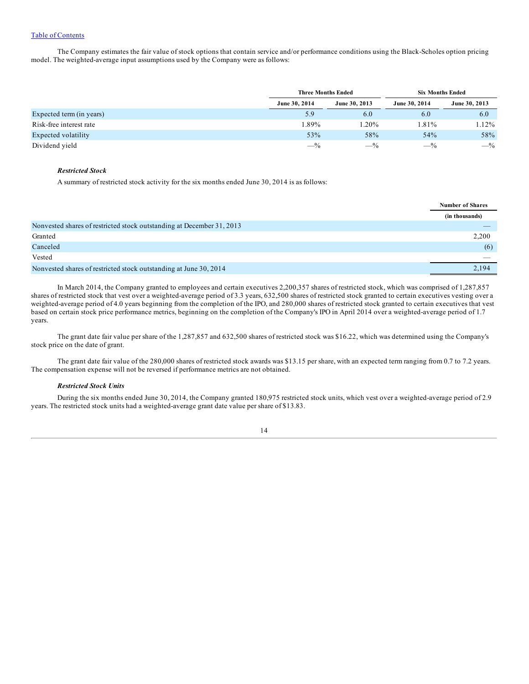The Company estimates the fair value of stock options that contain service and/or performance conditions using the Black-Scholes option pricing model. The weighted-average input assumptions used by the Company were as follows:

|                          | <b>Three Months Ended</b> |               | <b>Six Months Ended</b> |               |  |  |
|--------------------------|---------------------------|---------------|-------------------------|---------------|--|--|
|                          | June 30, 2014             | June 30, 2013 | June 30, 2014           | June 30, 2013 |  |  |
| Expected term (in years) | 5.9                       | 6.0           | 6.0                     | 6.0           |  |  |
| Risk-free interest rate  | 1.89%                     | 1.20%         | 1.81%                   | 1.12%         |  |  |
| Expected volatility      | 53%                       | 58%           | 54%                     | 58%           |  |  |
| Dividend yield           | $-$ %                     | $-$ %         | $-$ %                   | $-$ %         |  |  |

## *Restricted Stock*

A summary of restricted stock activity for the six months ended June 30, 2014 is as follows:

|                                                                       | <b>Number of Shares</b> |
|-----------------------------------------------------------------------|-------------------------|
|                                                                       | (in thousands)          |
| Nonvested shares of restricted stock outstanding at December 31, 2013 |                         |
| Granted                                                               | 2,200                   |
| Canceled                                                              | (6)                     |
| Vested                                                                |                         |
| Nonvested shares of restricted stock outstanding at June 30, 2014     | 2.194                   |

In March 2014, the Company granted to employees and certain executives 2,200,357 shares of restricted stock, which was comprised of 1,287,857 shares of restricted stock that vest over a weighted-average period of 3.3 years, 632,500 shares of restricted stock granted to certain executives vesting over a weighted-average period of 4.0 years beginning from the completion of the IPO, and 280,000 shares of restricted stock granted to certain executives that vest based on certain stock price performance metrics, beginning on the completion of the Company's IPO in April 2014 over a weighted-average period of 1.7 years.

The grant date fair value per share of the 1,287,857 and 632,500 shares of restricted stock was \$16.22, which was determined using the Company's stock price on the date of grant.

The grant date fair value of the 280,000 shares of restricted stock awards was \$13.15 per share, with an expected term ranging from 0.7 to 7.2 years. The compensation expense will not be reversed if performance metrics are not obtained.

#### *Restricted Stock Units*

During the six months ended June 30, 2014, the Company granted 180,975 restricted stock units, which vest over a weighted-average period of 2.9 years. The restricted stock units had a weighted-average grant date value per share of \$13.83.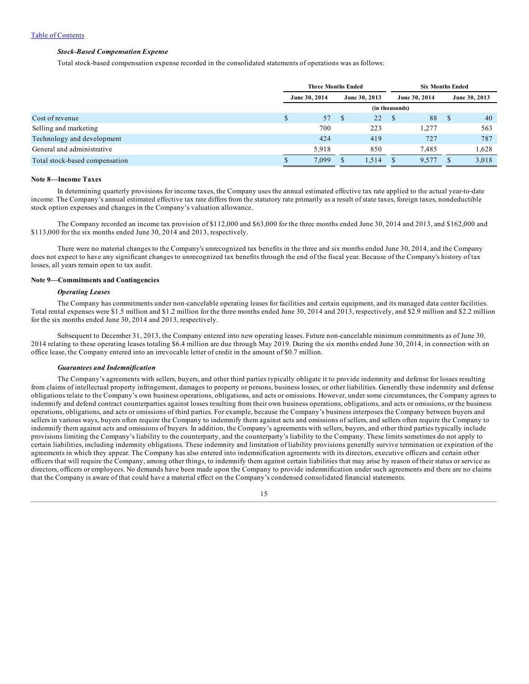# *Stock-Based Compensation Expense*

Total stock-based compensation expense recorded in the consolidated statements of operations was as follows:

|                                |   | <b>Three Months Ended</b> |               |       | <b>Six Months Ended</b> |       |   |               |
|--------------------------------|---|---------------------------|---------------|-------|-------------------------|-------|---|---------------|
|                                |   | June 30, 2014             | June 30, 2013 |       | June 30, 2014           |       |   | June 30, 2013 |
|                                |   | (in thousands)            |               |       |                         |       |   |               |
| Cost of revenue                | D | 57                        | - \$          | 22S   |                         | 88    | S | 40            |
| Selling and marketing          |   | 700                       |               | 223   |                         | 1.277 |   | 563           |
| Technology and development     |   | 424                       |               | 419   |                         | 727   |   | 787           |
| General and administrative     |   | 5.918                     |               | 850   |                         | 7.485 |   | 1,628         |
| Total stock-based compensation |   | 7,099                     | \$            | 1,514 | S                       | 9,577 |   | 3,018         |

#### **Note 8—Income Taxes**

In determining quarterly provisions for income taxes, the Company uses the annual estimated effective tax rate applied to the actual year-to-date income. The Company's annual estimated effective tax rate differs from the statutory rate primarily as a result of state taxes, foreign taxes, nondeductible stock option expenses and changes in the Company's valuation allowance.

The Company recorded an income tax provision of \$112,000 and \$63,000 for the three months ended June 30, 2014 and 2013, and \$162,000 and \$113,000 for the six months ended June 30, 2014 and 2013, respectively.

There were no material changes to the Company's unrecognized tax benefits in the three and six months ended June 30, 2014, and the Company does not expect to have any significant changes to unrecognized tax benefits through the end of the fiscal year. Because of the Company's history of tax losses, all years remain open to tax audit.

### **Note 9—Commitments and Contingencies**

## *Operating Leases*

The Company has commitments under non-cancelable operating leases for facilities and certain equipment, and its managed data center facilities. Total rental expenses were \$1.5 million and \$1.2 million for the three months ended June 30, 2014 and 2013, respectively, and \$2.9 million and \$2.2 million for the six months ended June 30, 2014 and 2013, respectively.

Subsequent to December 31, 2013, the Company entered into new operating leases. Future non-cancelable minimum commitments as of June 30, 2014 relating to these operating leases totaling \$6.4 million are due through May 2019. During the six months ended June 30, 2014, in connection with an office lease, the Company entered into an irrevocable letter of credit in the amount of \$0.7 million.

#### *Guarantees and Indemnification*

The Company's agreements with sellers, buyers, and other third parties typically obligate it to provide indemnity and defense for losses resulting from claims of intellectual property infringement, damages to property or persons, business losses, or other liabilities. Generally these indemnity and defense obligations relate to the Company's own business operations, obligations, and acts or omissions. However, under some circumstances, the Company agrees to indemnify and defend contract counterparties against losses resulting from their own business operations, obligations, and acts or omissions, or the business operations, obligations, and acts or omissions of third parties. For example, because the Company's business interposes the Company between buyers and sellers in various ways, buyers often require the Company to indemnify them against acts and omissions of sellers, and sellers often require the Company to indemnify them against acts and omissions of buyers. In addition, the Company's agreements with sellers, buyers, and other third parties typically include provisions limiting the Company's liability to the counterparty, and the counterparty's liability to the Company. These limits sometimes do not apply to certain liabilities, including indemnity obligations. These indemnity and limitation of liability provisions generally survive termination or expiration of the agreements in which they appear. The Company has also entered into indemnification agreements with its directors, executive officers and certain other officers that will require the Company, among other things, to indemnify them against certain liabilities that may arise by reason of their status or service as directors, officers or employees. No demands have been made upon the Company to provide indemnification under such agreements and there are no claims that the Company is aware of that could have a material effect on the Company's condensed consolidated financial statements.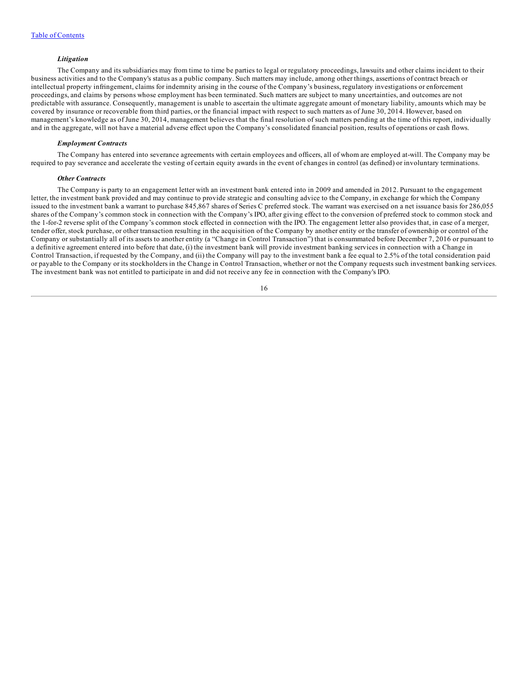### *Litigation*

<span id="page-15-0"></span>The Company and its subsidiaries may from time to time be parties to legal or regulatory proceedings, lawsuits and other claims incident to their business activities and to the Company's status as a public company. Such matters may include, among other things, assertions of contract breach or intellectual property infringement, claims for indemnity arising in the course of the Company's business, regulatory investigations or enforcement proceedings, and claims by persons whose employment has been terminated. Such matters are subject to many uncertainties, and outcomes are not predictable with assurance. Consequently, management is unable to ascertain the ultimate aggregate amount of monetary liability, amounts which may be covered by insurance or recoverable from third parties, or the financial impact with respect to such matters as of June 30, 2014. However, based on management's knowledge as of June 30, 2014, management believes that the final resolution of such matters pending at the time of this report, individually and in the aggregate, will not have a material adverse effect upon the Company's consolidated financial position, results of operations or cash flows.

## *Employment Contracts*

The Company has entered into severance agreements with certain employees and officers, all of whom are employed at-will. The Company may be required to pay severance and accelerate the vesting of certain equity awards in the event of changes in control (as defined) or involuntary terminations.

#### *Other Contracts*

The Company is party to an engagement letter with an investment bank entered into in 2009 and amended in 2012. Pursuant to the engagement letter, the investment bank provided and may continue to provide strategic and consulting advice to the Company, in exchange for which the Company issued to the investment bank a warrant to purchase 845,867 shares of Series C preferred stock. The warrant was exercised on a net issuance basis for 286,055 shares of the Company's common stock in connection with the Company's IPO, after giving effect to the conversion of preferred stock to common stock and the 1-for-2 reverse split of the Company's common stock effected in connection with the IPO. The engagement letter also provides that, in case of a merger, tender offer, stock purchase, or other transaction resulting in the acquisition of the Company by another entity or the transfer of ownership or control of the Company or substantially all of its assets to another entity (a "Change in Control Transaction") that is consummated before December 7, 2016 or pursuant to a definitive agreement entered into before that date, (i) the investment bank will provide investment banking services in connection with a Change in Control Transaction, if requested by the Company, and (ii) the Company will pay to the investment bank a fee equal to 2.5% of the total consideration paid or payable to the Company or its stockholders in the Change in Control Transaction, whether or not the Company requests such investment banking services. The investment bank was not entitled to participate in and did not receive any fee in connection with the Company's IPO.

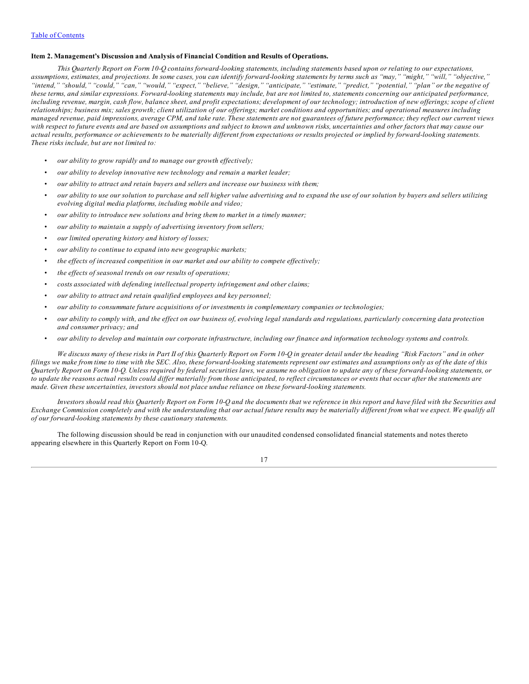## **Item 2. Management's Discussion and Analysis of Financial Condition and Results of Operations.**

This Quarterly Report on Form 10-Q contains forward-looking statements, including statements based upon or relating to our expectations, assumptions, estimates, and projections. In some cases, you can identify forward-looking statements by terms such as "may," "might," "will," "objective," "intend," "should," "could," "can," "would," "expect," "believe," "design," "anticipate," "estimate," "predict," "potential," "plan" or the negative of these terms, and similar expressions. Forward-looking statements may include, but are not limited to, statements concerning our anticipated performance, including revenue, margin, cash flow, balance sheet, and profit expectations; development of our technology; introduction of new offerings; scope of client relationships; business mix; sales growth; client utilization of our offerings; market conditions and opportunities; and operational measures including managed revenue, paid impressions, average CPM, and take rate. These statements are not guarantees of future performance; they reflect our current views with respect to future events and are based on assumptions and subject to known and unknown risks, uncertainties and other factors that may cause our actual results, performance or achievements to be materially different from expectations or results projected or implied by forward-looking statements. *These risks include, but are not limited to:*

- *• our ability to grow rapidly and to manage our growth ef ectively;*
- *• our ability to develop innovative new technology and remain a market leader;*
- *• our ability to attract and retain buyers and sellers and increase our business with them;*
- our ability to use our solution to purchase and sell higher value advertising and to expand the use of our solution by buyers and sellers utilizing *evolving digital media platforms, including mobile and video;*
- *• our ability to introduce new solutions and bring them to market in a timely manner;*
- *• our ability to maintain a supply of advertising inventory from sellers;*
- *• our limited operating history and history of losses;*
- *• our ability to continue to expand into new geographic markets;*
- *• the ef ects of increased competition in our market and our ability to compete ef ectively;*
- *• the ef ects of seasonal trends on our results of operations;*
- *• costs associated with defending intellectual property infringement and other claims;*
- *• our ability to attract and retain qualified employees and key personnel;*
- *• our ability to consummate future acquisitions of or investments in complementary companies or technologies;*
- our ability to comply with, and the effect on our business of, evolving legal standards and regulations, particularly concerning data protection *and consumer privacy; and*
- our ability to develop and maintain our corporate infrastructure, including our finance and information technology systems and controls.

We discuss many of these risks in Part II of this Quarterly Report on Form 10-Q in greater detail under the heading "Risk Factors" and in other filings we make from time to time with the SEC. Also, these forward-looking statements represent our estimates and assumptions only as of the date of this Quarterly Report on Form 10-Q. Unless required by federal securities laws, we assume no obligation to update any of these forward-looking statements, or to update the reasons actual results could differ materially from those anticipated, to reflect circumstances or events that occur after the statements are *made. Given these uncertainties, investors should not place undue reliance on these forward-looking statements.*

Investors should read this Quarterly Report on Form 10-Q and the documents that we reference in this report and have filed with the Securities and Exchange Commission completely and with the understanding that our actual future results may be materially different from what we expect. We qualify all *of our forward-looking statements by these cautionary statements.*

The following discussion should be read in conjunction with our unaudited condensed consolidated financial statements and notes thereto appearing elsewhere in this Quarterly Report on Form 10-Q.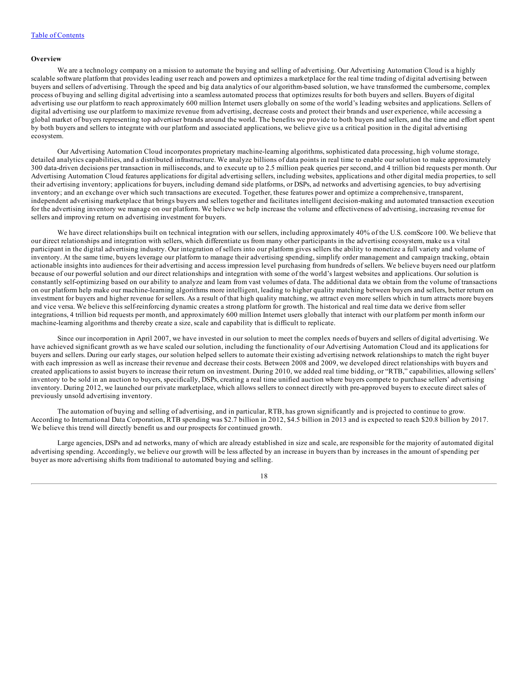#### **Overview**

We are a technology company on a mission to automate the buying and selling of advertising. Our Advertising Automation Cloud is a highly scalable software platform that provides leading user reach and powers and optimizes a marketplace for the real time trading of digital advertising between buyers and sellers of advertising. Through the speed and big data analytics of our algorithm-based solution, we have transformed the cumbersome, complex process of buying and selling digital advertising into a seamless automated process that optimizes results for both buyers and sellers. Buyers of digital advertising use our platform to reach approximately 600 million Internet users globally on some of the world's leading websites and applications. Sellers of digital advertising use our platform to maximize revenue from advertising, decrease costs and protect their brands and user experience, while accessing a global market of buyers representing top advertiser brands around the world. The benefits we provide to both buyers and sellers, and the time and effort spent by both buyers and sellers to integrate with our platform and associated applications, we believe give us a critical position in the digital advertising ecosystem.

Our Advertising Automation Cloud incorporates proprietary machine-learning algorithms, sophisticated data processing, high volume storage, detailed analytics capabilities, and a distributed infrastructure. We analyze billions of data points in real time to enable our solution to make approximately 300 data-driven decisions per transaction in milliseconds, and to execute up to 2.5 million peak queries per second, and 4 trillion bid requests per month. Our Advertising Automation Cloud features applications for digital advertising sellers, including websites, applications and other digital media properties, to sell their advertising inventory; applications for buyers, including demand side platforms, or DSPs, ad networks and advertising agencies, to buy advertising inventory; and an exchange over which such transactions are executed. Together, these features power and optimize a comprehensive, transparent, independent advertising marketplace that brings buyers and sellers together and facilitates intelligent decision-making and automated transaction execution for the advertising inventory we manage on our platform. We believe we help increase the volume and effectiveness of advertising, increasing revenue for sellers and improving return on advertising investment for buyers.

We have direct relationships built on technical integration with our sellers, including approximately 40% of the U.S. comScore 100. We believe that our direct relationships and integration with sellers, which differentiate us from many other participants in the advertising ecosystem, make us a vital participant in the digital advertising industry. Our integration of sellers into our platform gives sellers the ability to monetize a full variety and volume of inventory. At the same time, buyers leverage our platform to manage their advertising spending, simplify order management and campaign tracking, obtain actionable insights into audiences for their advertising and access impression level purchasing from hundreds of sellers. We believe buyers need our platform because of our powerful solution and our direct relationships and integration with some of the world's largest websites and applications. Our solution is constantly self-optimizing based on our ability to analyze and learn from vast volumes of data. The additional data we obtain from the volume of transactions on our platform help make our machine-learning algorithms more intelligent, leading to higher quality matching between buyers and sellers, better return on investment for buyers and higher revenue for sellers. As a result of that high quality matching, we attract even more sellers which in turn attracts more buyers and vice versa. We believe this self-reinforcing dynamic creates a strong platform for growth. The historical and real time data we derive from seller integrations, 4 trillion bid requests per month, and approximately 600 million Internet users globally that interact with our platform per month inform our machine-learning algorithms and thereby create a size, scale and capability that is difficult to replicate.

Since our incorporation in April 2007, we have invested in our solution to meet the complex needs of buyers and sellers of digital advertising. We have achieved significant growth as we have scaled our solution, including the functionality of our Advertising Automation Cloud and its applications for buyers and sellers. During our early stages, our solution helped sellers to automate their existing advertising network relationships to match the right buyer with each impression as well as increase their revenue and decrease their costs. Between 2008 and 2009, we developed direct relationships with buyers and created applications to assist buyers to increase their return on investment. During 2010, we added real time bidding, or "RTB," capabilities, allowing sellers' inventory to be sold in an auction to buyers, specifically, DSPs, creating a real time unified auction where buyers compete to purchase sellers' advertising inventory. During 2012, we launched our private marketplace, which allows sellers to connect directly with pre-approved buyers to execute direct sales of previously unsold advertising inventory.

The automation of buying and selling of advertising, and in particular, RTB, has grown significantly and is projected to continue to grow. According to International Data Corporation, RTB spending was \$2.7 billion in 2012, \$4.5 billion in 2013 and is expected to reach \$20.8 billion by 2017. We believe this trend will directly benefit us and our prospects for continued growth.

Large agencies, DSPs and ad networks, many of which are already established in size and scale, are responsible for the majority of automated digital advertising spending. Accordingly, we believe our growth will be less affected by an increase in buyers than by increases in the amount of spending per buyer as more advertising shifts from traditional to automated buying and selling.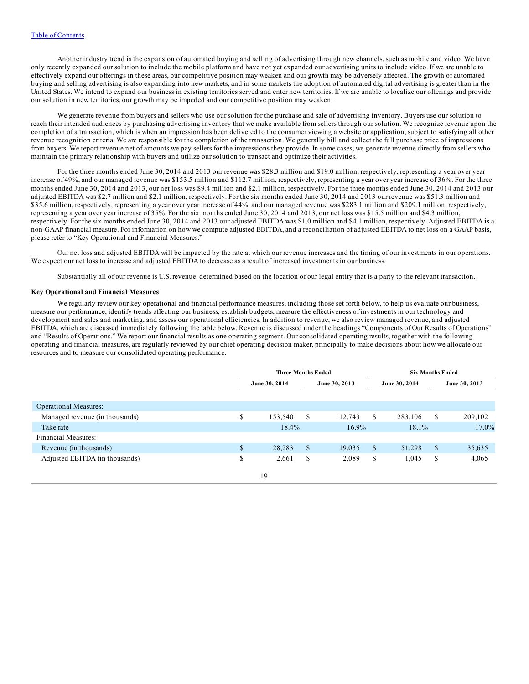Another industry trend is the expansion of automated buying and selling of advertising through new channels, such as mobile and video. We have only recently expanded our solution to include the mobile platform and have not yet expanded our advertising units to include video. If we are unable to effectively expand our offerings in these areas, our competitive position may weaken and our growth may be adversely affected. The growth of automated buying and selling advertising is also expanding into new markets, and in some markets the adoption of automated digital advertising is greater than in the United States. We intend to expand our business in existing territories served and enter new territories. If we are unable to localize our offerings and provide our solution in new territories, our growth may be impeded and our competitive position may weaken.

We generate revenue from buyers and sellers who use our solution for the purchase and sale of advertising inventory. Buyers use our solution to reach their intended audiences by purchasing advertising inventory that we make available from sellers through our solution. We recognize revenue upon the completion of a transaction, which is when an impression has been delivered to the consumer viewing a website or application, subject to satisfying all other revenue recognition criteria. We are responsible for the completion of the transaction. We generally bill and collect the full purchase price of impressions from buyers. We report revenue net of amounts we pay sellers for the impressions they provide. In some cases, we generate revenue directly from sellers who maintain the primary relationship with buyers and utilize our solution to transact and optimize their activities.

For the three months ended June 30, 2014 and 2013 our revenue was \$28.3 million and \$19.0 million, respectively, representing a year over year increase of 49%, and our managed revenue was \$153.5 million and \$112.7 million, respectively, representing a year over year increase of 36%. For the three months ended June 30, 2014 and 2013, our net loss was \$9.4 million and \$2.1 million, respectively. For the three months ended June 30, 2014 and 2013 our adjusted EBITDA was \$2.7 million and \$2.1 million, respectively. For the six months ended June 30, 2014 and 2013 our revenue was \$51.3 million and \$35.6 million, respectively, representing a year over year increase of 44%, and our managed revenue was \$283.1 million and \$209.1 million, respectively, representing a year over year increase of 35%. For the six months ended June 30, 2014 and 2013, our net loss was \$15.5 million and \$4.3 million, respectively. For the six months ended June 30, 2014 and 2013 our adjusted EBITDA was \$1.0 million and \$4.1 million, respectively. Adjusted EBITDA is a non-GAAP financial measure. For information on how we compute adjusted EBITDA, and a reconciliation of adjusted EBITDA to net loss on a GAAP basis, please refer to "Key Operational and Financial Measures."

Our net loss and adjusted EBITDA will be impacted by the rate at which our revenue increases and the timing of our investments in our operations. We expect our net loss to increase and adjusted EBITDA to decrease as a result of increased investments in our business.

Substantially all of our revenue is U.S. revenue, determined based on the location of our legal entity that is a party to the relevant transaction.

#### **Key Operational and Financial Measures**

We regularly review our key operational and financial performance measures, including those set forth below, to help us evaluate our business, measure our performance, identify trends affecting our business, establish budgets, measure the effectiveness of investments in our technology and development and sales and marketing, and assess our operational efficiencies. In addition to revenue, we also review managed revenue, and adjusted EBITDA, which are discussed immediately following the table below. Revenue is discussed under the headings "Components of Our Results of Operations" and "Results of Operations." We report our financial results as one operating segment. Our consolidated operating results, together with the following operating and financial measures, are regularly reviewed by our chief operating decision maker, principally to make decisions about how we allocate our resources and to measure our consolidated operating performance.

|                                |              | <b>Three Months Ended</b> |               |               |               |               | <b>Six Months Ended</b> |               |
|--------------------------------|--------------|---------------------------|---------------|---------------|---------------|---------------|-------------------------|---------------|
|                                |              | June 30, 2014             |               | June 30, 2013 |               | June 30, 2014 |                         | June 30, 2013 |
|                                |              |                           |               |               |               |               |                         |               |
| <b>Operational Measures:</b>   |              |                           |               |               |               |               |                         |               |
| Managed revenue (in thousands) | \$           | 153,540                   | \$            | 112,743       | S             | 283,106       | S                       | 209,102       |
| Take rate                      |              | 18.4%                     |               | 16.9%         |               | 18.1%         |                         | 17.0%         |
| Financial Measures:            |              |                           |               |               |               |               |                         |               |
| Revenue (in thousands)         | $\mathbb{S}$ | 28,283                    | <sup>\$</sup> | 19,035        | <sup>\$</sup> | 51,298        | <sup>\$</sup>           | 35,635        |
| Adjusted EBITDA (in thousands) | S            | 2,661                     | \$            | 2,089         | \$            | 1,045         | S                       | 4,065         |
|                                |              | 19                        |               |               |               |               |                         |               |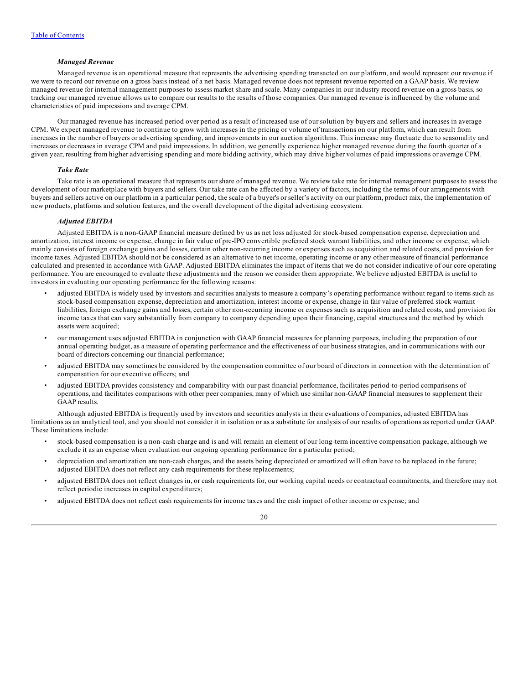# *Managed Revenue*

Managed revenue is an operational measure that represents the advertising spending transacted on our platform, and would represent our revenue if we were to record our revenue on a gross basis instead of a net basis. Managed revenue does not represent revenue reported on a GAAP basis. We review managed revenue for internal management purposes to assess market share and scale. Many companies in our industry record revenue on a gross basis, so tracking our managed revenue allows us to compare our results to the results of those companies. Our managed revenue is influenced by the volume and characteristics of paid impressions and average CPM.

Our managed revenue has increased period over period as a result of increased use of our solution by buyers and sellers and increases in average CPM. We expect managed revenue to continue to grow with increases in the pricing or volume of transactions on our platform, which can result from increases in the number of buyers or advertising spending, and improvements in our auction algorithms. This increase may fluctuate due to seasonality and increases or decreases in average CPM and paid impressions. In addition, we generally experience higher managed revenue during the fourth quarter of a given year, resulting from higher advertising spending and more bidding activity, which may drive higher volumes of paid impressions or average CPM.

## *Take Rate*

Take rate is an operational measure that represents our share of managed revenue. We review take rate for internal management purposes to assess the development of our marketplace with buyers and sellers. Our take rate can be affected by a variety of factors, including the terms of our arrangements with buyers and sellers active on our platform in a particular period, the scale of a buyer's or seller's activity on our platform, product mix, the implementation of new products, platforms and solution features, and the overall development of the digital advertising ecosystem.

### *Adjusted EBITDA*

Adjusted EBITDA is a non-GAAP financial measure defined by us as net loss adjusted for stock-based compensation expense, depreciation and amortization, interest income or expense, change in fair value of pre-IPO convertible preferred stock warrant liabilities, and other income or expense, which mainly consists of foreign exchange gains and losses, certain other non-recurring income or expenses such as acquisition and related costs, and provision for income taxes. Adjusted EBITDA should not be considered as an alternative to net income, operating income or any other measure of financial performance calculated and presented in accordance with GAAP. Adjusted EBITDA eliminates the impact of items that we do not consider indicative of our core operating performance. You are encouraged to evaluate these adjustments and the reason we consider them appropriate. We believe adjusted EBITDA is useful to investors in evaluating our operating performance for the following reasons:

- adjusted EBITDA is widely used by investors and securities analysts to measure a company's operating performance without regard to items such as stock-based compensation expense, depreciation and amortization, interest income or expense, change in fair value of preferred stock warrant liabilities, foreign exchange gains and losses, certain other non-recurring income or expenses such as acquisition and related costs, and provision for income taxes that can vary substantially from company to company depending upon their financing, capital structures and the method by which assets were acquired;
- our management uses adjusted EBITDA in conjunction with GAAP financial measures for planning purposes, including the preparation of our annual operating budget, as a measure of operating performance and the effectiveness of our business strategies, and in communications with our board of directors concerning our financial performance;
- adjusted EBITDA may sometimes be considered by the compensation committee of our board of directors in connection with the determination of compensation for our executive officers; and
- adjusted EBITDA provides consistency and comparability with our past financial performance, facilitates period-to-period comparisons of operations, and facilitates comparisons with other peer companies, many of which use similar non-GAAP financial measures to supplement their GAAP results.

Although adjusted EBITDA is frequently used by investors and securities analysts in their evaluations of companies, adjusted EBITDA has limitations as an analytical tool, and you should not consider it in isolation or as a substitute for analysis of our results of operations as reported under GAAP. These limitations include:

- stock-based compensation is a non-cash charge and is and will remain an element of our long-term incentive compensation package, although we exclude it as an expense when evaluation our ongoing operating performance for a particular period;
- depreciation and amortization are non-cash charges, and the assets being depreciated or amortized will often have to be replaced in the future; adjusted EBITDA does not reflect any cash requirements for these replacements;
- adjusted EBITDA does not reflect changes in, or cash requirements for, our working capital needs or contractual commitments, and therefore may not reflect periodic increases in capital expenditures;
- adjusted EBITDA does not reflect cash requirements for income taxes and the cash impact of other income or expense; and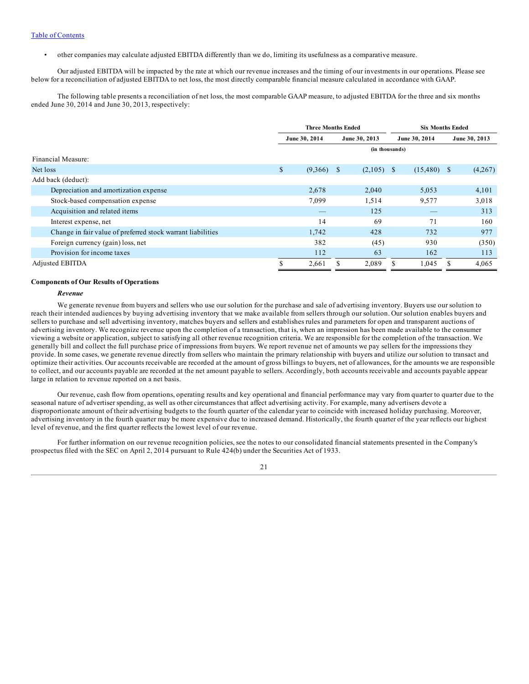• other companies may calculate adjusted EBITDA differently than we do, limiting its usefulness as a comparative measure.

Our adjusted EBITDA will be impacted by the rate at which our revenue increases and the timing of our investments in our operations. Please see below for a reconciliation of adjusted EBITDA to net loss, the most directly comparable financial measure calculated in accordance with GAAP.

The following table presents a reconciliation of net loss, the most comparable GAAP measure, to adjusted EBITDA for the three and six months ended June 30, 2014 and June 30, 2013, respectively:

|                                                             | <b>Three Months Ended</b> |         |               |                | <b>Six Months Ended</b> |               |  |               |
|-------------------------------------------------------------|---------------------------|---------|---------------|----------------|-------------------------|---------------|--|---------------|
|                                                             | June 30, 2014             |         |               | June 30, 2013  |                         | June 30, 2014 |  | June 30, 2013 |
|                                                             |                           |         |               | (in thousands) |                         |               |  |               |
| Financial Measure:                                          |                           |         |               |                |                         |               |  |               |
| Net loss                                                    | \$                        | (9,366) | <sup>\$</sup> | $(2,105)$ \$   |                         | $(15,480)$ \$ |  | (4,267)       |
| Add back (deduct):                                          |                           |         |               |                |                         |               |  |               |
| Depreciation and amortization expense                       |                           | 2,678   |               | 2,040          |                         | 5,053         |  | 4,101         |
| Stock-based compensation expense                            |                           | 7,099   |               | 1,514          |                         | 9,577         |  | 3,018         |
| Acquisition and related items                               |                           |         |               | 125            |                         |               |  | 313           |
| Interest expense, net                                       |                           | 14      |               | 69             |                         | 71            |  | 160           |
| Change in fair value of preferred stock warrant liabilities |                           | 1.742   |               | 428            |                         | 732           |  | 977           |
| Foreign currency (gain) loss, net                           |                           | 382     |               | (45)           |                         | 930           |  | (350)         |
| Provision for income taxes                                  |                           | 112     |               | 63             |                         | 162           |  | 113           |
| <b>Adjusted EBITDA</b>                                      | ¢<br>ъ                    | 2,661   | S             | 2,089          | S                       | 1,045         |  | 4,065         |

#### **Components of Our Results of Operations**

#### *Revenue*

We generate revenue from buyers and sellers who use our solution for the purchase and sale of advertising inventory. Buyers use our solution to reach their intended audiences by buying advertising inventory that we make available from sellers through our solution. Our solution enables buyers and sellers to purchase and sell advertising inventory, matches buyers and sellers and establishes rules and parameters for open and transparent auctions of advertising inventory. We recognize revenue upon the completion of a transaction, that is, when an impression has been made available to the consumer viewing a website or application, subject to satisfying all other revenue recognition criteria. We are responsible for the completion of the transaction. We generally bill and collect the full purchase price of impressions from buyers. We report revenue net of amounts we pay sellers for the impressions they provide. In some cases, we generate revenue directly from sellers who maintain the primary relationship with buyers and utilize our solution to transact and optimize their activities. Our accounts receivable are recorded at the amount of gross billings to buyers, net of allowances, for the amounts we are responsible to collect, and our accounts payable are recorded at the net amount payable to sellers. Accordingly, both accounts receivable and accounts payable appear large in relation to revenue reported on a net basis.

Our revenue, cash flow from operations, operating results and key operational and financial performance may vary from quarter to quarter due to the seasonal nature of advertiser spending, as well as other circumstances that affect advertising activity. For example, many advertisers devote a disproportionate amount of their advertising budgets to the fourth quarter of the calendar year to coincide with increased holiday purchasing. Moreover, advertising inventory in the fourth quarter may be more expensive due to increased demand. Historically, the fourth quarter of the year reflects our highest level of revenue, and the first quarter reflects the lowest level of our revenue.

For further information on our revenue recognition policies, see the notes to our consolidated financial statements presented in the Company's prospectus filed with the SEC on April 2, 2014 pursuant to Rule 424(b) under the Securities Act of 1933.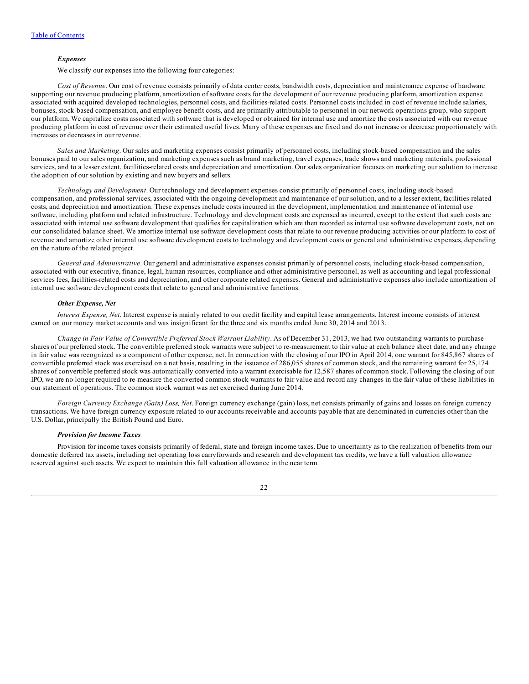#### *Expenses*

We classify our expenses into the following four categories:

*Cost of Revenue*. Our cost of revenue consists primarily of data center costs, bandwidth costs, depreciation and maintenance expense of hardware supporting our revenue producing platform, amortization of software costs for the development of our revenue producing platform, amortization expense associated with acquired developed technologies, personnel costs, and facilities-related costs. Personnel costs included in cost of revenue include salaries, bonuses, stock-based compensation, and employee benefit costs, and are primarily attributable to personnel in our network operations group, who support our platform. We capitalize costs associated with software that is developed or obtained for internal use and amortize the costs associated with our revenue producing platform in cost of revenue over their estimated useful lives. Many of these expenses are fixed and do not increase or decrease proportionately with increases or decreases in our revenue.

*Sales and Marketing*. Our sales and marketing expenses consist primarily of personnel costs, including stock-based compensation and the sales bonuses paid to our sales organization, and marketing expenses such as brand marketing, travel expenses, trade shows and marketing materials, professional services, and to a lesser extent, facilities-related costs and depreciation and amortization. Our sales organization focuses on marketing our solution to increase the adoption of our solution by existing and new buyers and sellers.

*Technology and Development*. Our technology and development expenses consist primarily of personnel costs, including stock-based compensation, and professional services, associated with the ongoing development and maintenance of our solution, and to a lesser extent, facilities-related costs, and depreciation and amortization. These expenses include costs incurred in the development, implementation and maintenance of internal use software, including platform and related infrastructure. Technology and development costs are expensed as incurred, except to the extent that such costs are associated with internal use software development that qualifies for capitalization which are then recorded as internal use software development costs, net on our consolidated balance sheet. We amortize internal use software development costs that relate to our revenue producing activities or our platform to cost of revenue and amortize other internal use software development costs to technology and development costs or general and administrative expenses, depending on the nature of the related project.

*General and Administrative*. Our general and administrative expenses consist primarily of personnel costs, including stock-based compensation, associated with our executive, finance, legal, human resources, compliance and other administrative personnel, as well as accounting and legal professional services fees, facilities-related costs and depreciation, and other corporate related expenses. General and administrative expenses also include amortization of internal use software development costs that relate to general and administrative functions.

## *Other Expense, Net*

*Interest Expense, Net*. Interest expense is mainly related to our credit facility and capital lease arrangements. Interest income consists of interest earned on our money market accounts and was insignificant for the three and six months ended June 30, 2014 and 2013.

*Change in Fair Value of Convertible Preferred Stock Warrant Liability*. As of December 31, 2013, we had two outstanding warrants to purchase shares of our preferred stock. The convertible preferred stock warrants were subject to re-measurement to fair value at each balance sheet date, and any change in fair value was recognized as a component of other expense, net. In connection with the closing of our IPO in April 2014, one warrant for 845,867 shares of convertible preferred stock was exercised on a net basis, resulting in the issuance of 286,055 shares of common stock, and the remaining warrant for 25,174 shares of convertible preferred stock was automatically converted into a warrant exercisable for 12,587 shares of common stock. Following the closing of our IPO, we are no longer required to re-measure the converted common stock warrants to fair value and record any changes in the fair value of these liabilities in our statement of operations. The common stock warrant was net exercised during June 2014.

*Foreign Currency Exchange (Gain) Loss, Net*. Foreign currency exchange (gain) loss, net consists primarily of gains and losses on foreign currency transactions. We have foreign currency exposure related to our accounts receivable and accounts payable that are denominated in currencies other than the U.S. Dollar, principally the British Pound and Euro.

#### *Provision for Income Taxes*

Provision for income taxes consists primarily of federal, state and foreign income taxes. Due to uncertainty as to the realization of benefits from our domestic deferred tax assets, including net operating loss carryforwards and research and development tax credits, we have a full valuation allowance reserved against such assets. We expect to maintain this full valuation allowance in the near term.

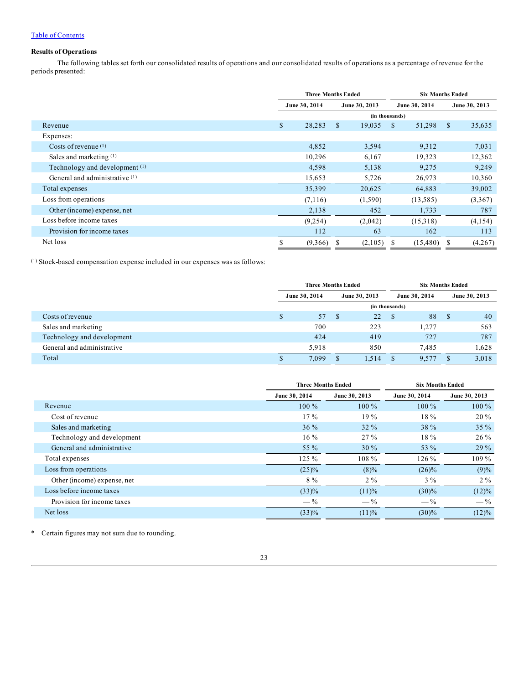# Table of [Contents](#page-1-0)

# **Results of Operations**

The following tables set forth our consolidated results of operations and our consolidated results of operations as a percentage of revenue for the periods presented:

|                                | <b>Three Months Ended</b> |         |               | <b>Six Months Ended</b> |                |          |               |               |
|--------------------------------|---------------------------|---------|---------------|-------------------------|----------------|----------|---------------|---------------|
|                                | June 30, 2014             |         | June 30, 2013 |                         | June 30, 2014  |          |               | June 30, 2013 |
|                                |                           |         |               |                         | (in thousands) |          |               |               |
| Revenue                        | \$                        | 28,283  | \$            | 19,035                  | \$             | 51,298   | <sup>\$</sup> | 35,635        |
| Expenses:                      |                           |         |               |                         |                |          |               |               |
| Costs of revenue $(1)$         |                           | 4,852   |               | 3,594                   |                | 9,312    |               | 7,031         |
| Sales and marketing $(1)$      |                           | 10,296  |               | 6,167                   |                | 19,323   |               | 12,362        |
| Technology and development (1) |                           | 4,598   |               | 5,138                   |                | 9,275    |               | 9,249         |
| General and administrative (1) |                           | 15,653  |               | 5,726                   |                | 26,973   |               | 10,360        |
| Total expenses                 |                           | 35,399  |               | 20,625                  |                | 64,883   |               | 39,002        |
| Loss from operations           |                           | (7,116) |               | (1,590)                 |                | (13,585) |               | (3,367)       |
| Other (income) expense, net    |                           | 2,138   |               | 452                     |                | 1,733    |               | 787           |
| Loss before income taxes       |                           | (9,254) |               | (2,042)                 |                | (15,318) |               | (4,154)       |
| Provision for income taxes     |                           | 112     |               | 63                      |                | 162      |               | 113           |
| Net loss                       |                           | (9,366) | S             | (2,105)                 |                | (15,480) |               | (4,267)       |

(1) Stock-based compensation expense included in our expenses was as follows:

|                            | <b>Three Months Ended</b> |       |               |       | <b>Six Months Ended</b> |       |  |               |
|----------------------------|---------------------------|-------|---------------|-------|-------------------------|-------|--|---------------|
|                            | June 30, 2014             |       | June 30, 2013 |       | June 30, 2014           |       |  | June 30, 2013 |
|                            | (in thousands)            |       |               |       |                         |       |  |               |
| Costs of revenue           | \$                        | 57    |               | 22    | -S                      | 88    |  | 40            |
| Sales and marketing        |                           | 700   |               | 223   |                         | .277  |  | 563           |
| Technology and development |                           | 424   |               | 419   |                         | 727   |  | 787           |
| General and administrative |                           | 5.918 |               | 850   |                         | 7.485 |  | 1.628         |
| Total                      |                           | 7,099 |               | 1,514 |                         | 9,577 |  | 3,018         |

|                             |               | <b>Three Months Ended</b> | <b>Six Months Ended</b> |                |  |  |
|-----------------------------|---------------|---------------------------|-------------------------|----------------|--|--|
|                             | June 30, 2014 | June 30, 2013             | June 30, 2014           | June 30, 2013  |  |  |
| Revenue                     | $100\%$       | $100\%$                   | $100\%$                 | $100\%$        |  |  |
| Cost of revenue             | $17\%$        | 19%                       | $18\%$                  | $20\%$         |  |  |
| Sales and marketing         | $36\%$        | $32\%$                    | $38 \%$                 | $35\%$         |  |  |
| Technology and development  | $16\%$        | 27%                       | $18\%$                  | $26\%$         |  |  |
| General and administrative  | 55 %          | $30\%$                    | 53 %                    | 29%            |  |  |
| Total expenses              | $125 \%$      | $108\%$                   | $126\%$                 | $109\%$        |  |  |
| Loss from operations        | $(25)\%$      | $(8)\%$                   | $(26)\%$                | (9)%           |  |  |
| Other (income) expense, net | $8\%$         | $2\%$                     | $3\%$                   | $2\%$          |  |  |
| Loss before income taxes    | $(33)\%$      | (11)%                     | $(30)\%$                | $(12)\%$       |  |  |
| Provision for income taxes  | $-$ %         | $-\frac{9}{6}$            | $-$ %                   | $-\frac{9}{6}$ |  |  |
| Net loss                    | (33)%         | (11)%                     | (30)%                   | $(12)\%$       |  |  |

\* Certain figures may not sum due to rounding.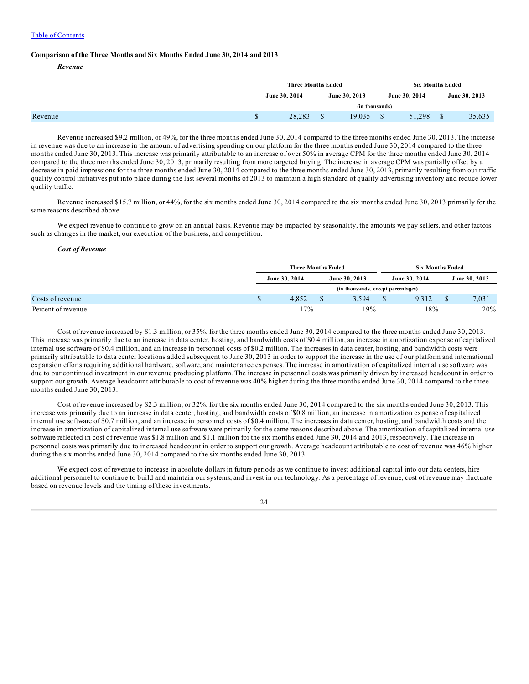#### **Comparison of the Three Months and Six Months Ended June 30, 2014 and 2013**

*Revenue*

|  | <b>Three Months Ended</b>      |                |               | <b>Six Months Ended</b> |        |
|--|--------------------------------|----------------|---------------|-------------------------|--------|
|  | June 30, 2014<br>June 30, 2013 |                | June 30, 2014 | June 30, 2013           |        |
|  |                                | (in thousands) |               |                         |        |
|  | 28,283                         |                | 19.035        | 51,298                  | 35,635 |

Revenue increased \$9.2 million, or 49%, for the three months ended June 30, 2014 compared to the three months ended June 30, 2013. The increase in revenue was due to an increase in the amount of advertising spending on our platform for the three months ended June 30, 2014 compared to the three months ended June 30, 2013. This increase was primarily attributable to an increase of over 50% in average CPM for the three months ended June 30, 2014 compared to the three months ended June 30, 2013, primarily resulting from more targeted buying. The increase in average CPM was partially offset by a decrease in paid impressions for the three months ended June 30, 2014 compared to the three months ended June 30, 2013, primarily resulting from our traffic quality control initiatives put into place during the last several months of 2013 to maintain a high standard of quality advertising inventory and reduce lower quality traffic.

Revenue increased \$15.7 million, or 44%, for the six months ended June 30, 2014 compared to the six months ended June 30, 2013 primarily for the same reasons described above.

We expect revenue to continue to grow on an annual basis. Revenue may be impacted by seasonality, the amounts we pay sellers, and other factors such as changes in the market, our execution of the business, and competition.

#### *Cost of Revenue*

|                  |               | <b>Three Months Ended</b> |  |                                    |               | <b>Six Months Ended</b> |               |  |  |
|------------------|---------------|---------------------------|--|------------------------------------|---------------|-------------------------|---------------|--|--|
|                  | June 30, 2014 |                           |  | June 30, 2013                      | June 30, 2014 |                         | June 30, 2013 |  |  |
|                  |               |                           |  | (in thousands, except percentages) |               |                         |               |  |  |
| Costs of revenue |               | 4.852                     |  | 3.594                              | 9.312         |                         | 7,031         |  |  |
|                  |               | 17%                       |  | 19%                                | 18%           |                         | 20%           |  |  |

Cost of revenue increased by \$1.3 million, or 35%, for the three months ended June 30, 2014 compared to the three months ended June 30, 2013. This increase was primarily due to an increase in data center, hosting, and bandwidth costs of \$0.4 million, an increase in amortization expense of capitalized internal use software of \$0.4 million, and an increase in personnel costs of \$0.2 million. The increases in data center, hosting, and bandwidth costs were primarily attributable to data center locations added subsequent to June 30, 2013 in order to support the increase in the use of our platform and international expansion efforts requiring additional hardware, software, and maintenance expenses. The increase in amortization of capitalized internal use software was due to our continued investment in our revenue producing platform. The increase in personnel costs was primarily driven by increased headcount in order to support our growth. Average headcount attributable to cost of revenue was 40% higher during the three months ended June 30, 2014 compared to the three months ended June 30, 2013.

Cost of revenue increased by \$2.3 million, or 32%, for the six months ended June 30, 2014 compared to the six months ended June 30, 2013. This increase was primarily due to an increase in data center, hosting, and bandwidth costs of \$0.8 million, an increase in amortization expense of capitalized internal use software of \$0.7 million, and an increase in personnel costs of \$0.4 million. The increases in data center, hosting, and bandwidth costs and the increase in amortization of capitalized internal use software were primarily for the same reasons described above. The amortization of capitalized internal use software reflected in cost of revenue was \$1.8 million and \$1.1 million for the six months ended June 30, 2014 and 2013, respectively. The increase in personnel costs was primarily due to increased headcount in order to support our growth. Average headcount attributable to cost of revenue was 46% higher during the six months ended June 30, 2014 compared to the six months ended June 30, 2013.

We expect cost of revenue to increase in absolute dollars in future periods as we continue to invest additional capital into our data centers, hire additional personnel to continue to build and maintain our systems, and invest in our technology. As a percentage of revenue, cost of revenue may fluctuate based on revenue levels and the timing of these investments.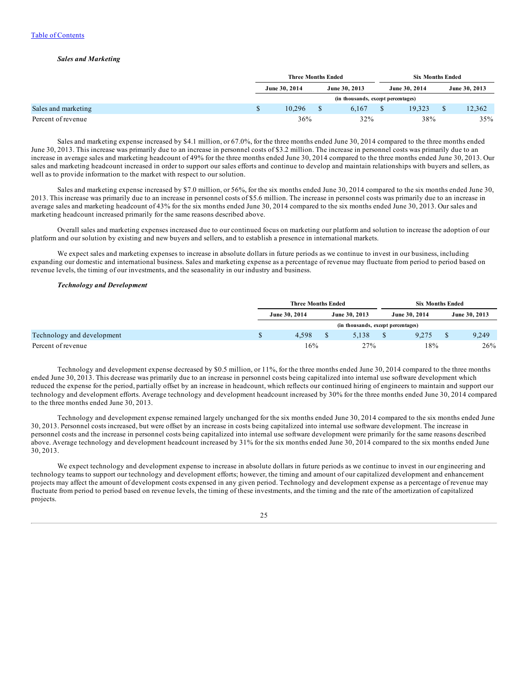### *Sales and Marketing*

|                     | <b>Three Months Ended</b>          |  |               |  |               | <b>Six Months Ended</b> |               |  |  |
|---------------------|------------------------------------|--|---------------|--|---------------|-------------------------|---------------|--|--|
|                     | June 30, 2014                      |  | June 30, 2013 |  | June 30, 2014 |                         | June 30, 2013 |  |  |
|                     | (in thousands, except percentages) |  |               |  |               |                         |               |  |  |
| Sales and marketing | 10.296                             |  | 6.167         |  | 19.323        |                         | 12,362        |  |  |
| Percent of revenue  | 36%                                |  | 32%           |  | 38%           |                         | 35%           |  |  |

Sales and marketing expense increased by \$4.1 million, or 67.0%, for the three months ended June 30, 2014 compared to the three months ended June 30, 2013. This increase was primarily due to an increase in personnel costs of \$3.2 million. The increase in personnel costs was primarily due to an increase in average sales and marketing headcount of 49% for the three months ended June 30, 2014 compared to the three months ended June 30, 2013. Our sales and marketing headcount increased in order to support our sales efforts and continue to develop and maintain relationships with buyers and sellers, as well as to provide information to the market with respect to our solution.

Sales and marketing expense increased by \$7.0 million, or 56%, for the six months ended June 30, 2014 compared to the six months ended June 30, 2013. This increase was primarily due to an increase in personnel costs of \$5.6 million. The increase in personnel costs was primarily due to an increase in average sales and marketing headcount of 43% for the six months ended June 30, 2014 compared to the six months ended June 30, 2013. Our sales and marketing headcount increased primarily for the same reasons described above.

Overall sales and marketing expenses increased due to our continued focus on marketing our platform and solution to increase the adoption of our platform and our solution by existing and new buyers and sellers, and to establish a presence in international markets.

We expect sales and marketing expenses to increase in absolute dollars in future periods as we continue to invest in our business, including expanding our domestic and international business. Sales and marketing expense as a percentage of revenue may fluctuate from period to period based on revenue levels, the timing of our investments, and the seasonality in our industry and business.

### *Technology and Development*

|                            | <b>Three Months Ended</b>          |  |               |  |               | <b>Six Months Ended</b> |               |  |  |
|----------------------------|------------------------------------|--|---------------|--|---------------|-------------------------|---------------|--|--|
|                            | June 30, 2014                      |  | June 30, 2013 |  | June 30, 2014 |                         | June 30, 2013 |  |  |
|                            | (in thousands, except percentages) |  |               |  |               |                         |               |  |  |
| Technology and development | 4.598                              |  | 5.138         |  | 9.275         |                         | 9.249         |  |  |
| Percent of revenue         | 16%                                |  | 27%           |  | 18%           |                         | 26%           |  |  |

Technology and development expense decreased by \$0.5 million, or 11%, for the three months ended June 30, 2014 compared to the three months ended June 30, 2013. This decrease was primarily due to an increase in personnel costs being capitalized into internal use software development which reduced the expense for the period, partially offset by an increase in headcount, which reflects our continued hiring of engineers to maintain and support our technology and development efforts. Average technology and development headcount increased by 30% for the three months ended June 30, 2014 compared to the three months ended June 30, 2013.

Technology and development expense remained largely unchanged for the six months ended June 30, 2014 compared to the six months ended June 30, 2013. Personnel costs increased, but were offset by an increase in costs being capitalized into internal use software development. The increase in personnel costs and the increase in personnel costs being capitalized into internal use software development were primarily for the same reasons described above. Average technology and development headcount increased by 31% for the six months ended June 30, 2014 compared to the six months ended June 30, 2013.

We expect technology and development expense to increase in absolute dollars in future periods as we continue to invest in our engineering and technology teams to support our technology and development efforts; however, the timing and amount of our capitalized development and enhancement projects may affect the amount of development costs expensed in any given period. Technology and development expense as a percentage of revenue may fluctuate from period to period based on revenue levels, the timing of these investments, and the timing and the rate of the amortization of capitalized projects.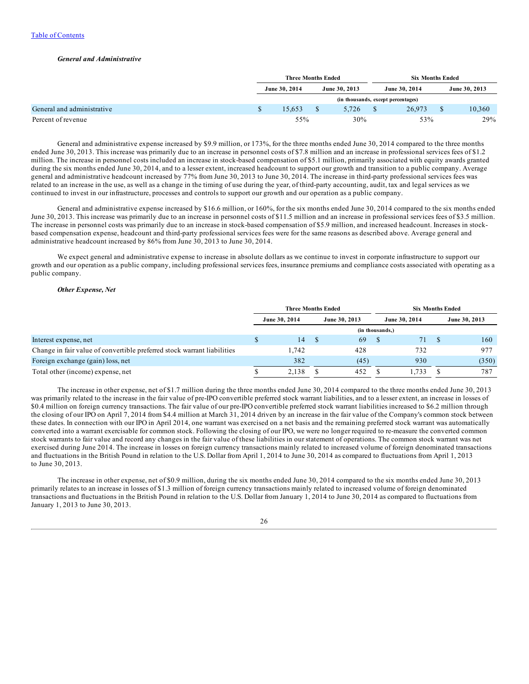#### *General and Administrative*

|                            | <b>Three Months Ended</b> |  |                                    |               | <b>Six Months Ended</b> |               |  |  |
|----------------------------|---------------------------|--|------------------------------------|---------------|-------------------------|---------------|--|--|
|                            | June 30, 2014             |  | June 30, 2013                      | June 30, 2014 |                         | June 30, 2013 |  |  |
|                            |                           |  | (in thousands, except percentages) |               |                         |               |  |  |
| General and administrative | 15.653                    |  | 5.726                              | 26,973        |                         | 10,360        |  |  |
| Percent of revenue         | 55%                       |  | 30%                                | 53%           |                         | 29%           |  |  |

General and administrative expense increased by \$9.9 million, or 173%, for the three months ended June 30, 2014 compared to the three months ended June 30, 2013. This increase was primarily due to an increase in personnel costs of \$7.8 million and an increase in professional services fees of \$1.2 million. The increase in personnel costs included an increase in stock-based compensation of \$5.1 million, primarily associated with equity awards granted during the six months ended June 30, 2014, and to a lesser extent, increased headcount to support our growth and transition to a public company. Average general and administrative headcount increased by 77% from June 30, 2013 to June 30, 2014. The increase in third-party professional services fees was related to an increase in the use, as well as a change in the timing of use during the year, of third-party accounting, audit, tax and legal services as we continued to invest in our infrastructure, processes and controls to support our growth and our operation as a public company.

General and administrative expense increased by \$16.6 million, or 160%, for the six months ended June 30, 2014 compared to the six months ended June 30, 2013. This increase was primarily due to an increase in personnel costs of \$11.5 million and an increase in professional services fees of \$3.5 million. The increase in personnel costs was primarily due to an increase in stock-based compensation of \$5.9 million, and increased headcount. Increases in stockbased compensation expense, headcount and third-party professional services fees were for the same reasons as described above. Average general and administrative headcount increased by 86% from June 30, 2013 to June 30, 2014.

We expect general and administrative expense to increase in absolute dollars as we continue to invest in corporate infrastructure to support our growth and our operation as a public company, including professional services fees, insurance premiums and compliance costs associated with operating as a public company.

## *Other Expense, Net*

|                                                                         | <b>Three Months Ended</b> |               |                 | <b>Six Months Ended</b> |  |               |  |               |
|-------------------------------------------------------------------------|---------------------------|---------------|-----------------|-------------------------|--|---------------|--|---------------|
|                                                                         |                           | June 30, 2014 |                 | June 30, 2013           |  | June 30, 2014 |  | June 30, 2013 |
|                                                                         |                           |               | (in thousands.) |                         |  |               |  |               |
| Interest expense, net                                                   | S                         | 14            |                 | 69                      |  | 71            |  | 160           |
| Change in fair value of convertible preferred stock warrant liabilities |                           | 1.742         |                 | 428                     |  | 732           |  | 977           |
| Foreign exchange (gain) loss, net                                       |                           | 382           |                 | (45)                    |  | 930           |  | (350)         |
| Total other (income) expense, net                                       | J.                        | 2.138         |                 | 452                     |  | .733          |  | 787           |

The increase in other expense, net of \$1.7 million during the three months ended June 30, 2014 compared to the three months ended June 30, 2013 was primarily related to the increase in the fair value of pre-IPO convertible preferred stock warrant liabilities, and to a lesser extent, an increase in losses of \$0.4 million on foreign currency transactions. The fair value of our pre-IPO convertible preferred stock warrant liabilities increased to \$6.2 million through the closing of our IPO on April 7, 2014 from \$4.4 million at March 31, 2014 driven by an increase in the fair value of the Company's common stock between these dates. In connection with our IPO in April 2014, one warrant was exercised on a net basis and the remaining preferred stock warrant was automatically converted into a warrant exercisable for common stock. Following the closing of our IPO, we were no longer required to re-measure the converted common stock warrants to fair value and record any changes in the fair value of these liabilities in our statement of operations. The common stock warrant was net exercised during June 2014. The increase in losses on foreign currency transactions mainly related to increased volume of foreign denominated transactions and fluctuations in the British Pound in relation to the U.S. Dollar from April 1, 2014 to June 30, 2014 as compared to fluctuations from April 1, 2013 to June 30, 2013.

The increase in other expense, net of \$0.9 million, during the six months ended June 30, 2014 compared to the six months ended June 30, 2013 primarily relates to an increase in losses of \$1.3 million of foreign currency transactions mainly related to increased volume of foreign denominated transactions and fluctuations in the British Pound in relation to the U.S. Dollar from January 1, 2014 to June 30, 2014 as compared to fluctuations from January 1, 2013 to June 30, 2013.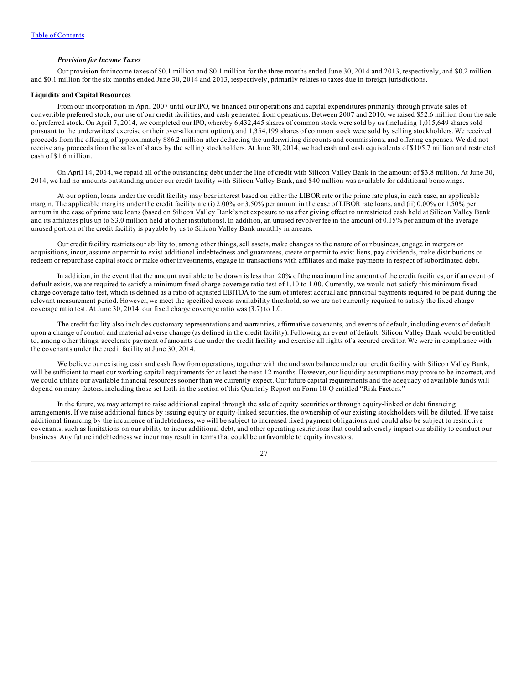### *Provision for Income Taxes*

Our provision for income taxes of \$0.1 million and \$0.1 million for the three months ended June 30, 2014 and 2013, respectively, and \$0.2 million and \$0.1 million for the six months ended June 30, 2014 and 2013, respectively, primarily relates to taxes due in foreign jurisdictions.

#### **Liquidity and Capital Resources**

From our incorporation in April 2007 until our IPO, we financed our operations and capital expenditures primarily through private sales of convertible preferred stock, our use of our credit facilities, and cash generated from operations. Between 2007 and 2010, we raised \$52.6 million from the sale of preferred stock. On April 7, 2014, we completed our IPO, whereby 6,432,445 shares of common stock were sold by us (including 1,015,649 shares sold pursuant to the underwriters' exercise or their over-allotment option), and 1,354,199 shares of common stock were sold by selling stockholders. We received proceeds from the offering of approximately \$86.2 million after deducting the underwriting discounts and commissions, and offering expenses. We did not receive any proceeds from the sales of shares by the selling stockholders. At June 30, 2014, we had cash and cash equivalents of \$105.7 million and restricted cash of \$1.6 million.

On April 14, 2014, we repaid all of the outstanding debt under the line of credit with Silicon Valley Bank in the amount of \$3.8 million. At June 30, 2014, we had no amounts outstanding under our credit facility with Silicon Valley Bank, and \$40 million was available for additional borrowings.

At our option, loans under the credit facility may bear interest based on either the LIBOR rate or the prime rate plus, in each case, an applicable margin. The applicable margins under the credit facility are (i) 2.00% or 3.50% per annum in the case of LIBOR rate loans, and (ii) 0.00% or 1.50% per annum in the case of prime rate loans (based on Silicon Valley Bank's net exposure to us after giving effect to unrestricted cash held at Silicon Valley Bank and its affiliates plus up to \$3.0 million held at other institutions). In addition, an unused revolver fee in the amount of 0.15% per annum of the average unused portion of the credit facility is payable by us to Silicon Valley Bank monthly in arrears.

Our credit facility restricts our ability to, among other things, sell assets, make changes to the nature of our business, engage in mergers or acquisitions, incur, assume or permit to exist additional indebtedness and guarantees, create or permit to exist liens, pay dividends, make distributions or redeem or repurchase capital stock or make other investments, engage in transactions with affiliates and make payments in respect of subordinated debt.

In addition, in the event that the amount available to be drawn is less than 20% of the maximum line amount of the credit facilities, or if an event of default exists, we are required to satisfy a minimum fixed charge coverage ratio test of 1.10 to 1.00. Currently, we would not satisfy this minimum fixed charge coverage ratio test, which is defined as a ratio of adjusted EBITDA to the sum of interest accrual and principal payments required to be paid during the relevant measurement period. However, we meet the specified excess availability threshold, so we are not currently required to satisfy the fixed charge coverage ratio test. At June 30, 2014, our fixed charge coverage ratio was (3.7) to 1.0.

The credit facility also includes customary representations and warranties, affirmative covenants, and events of default, including events of default upon a change of control and material adverse change (as defined in the credit facility). Following an event of default, Silicon Valley Bank would be entitled to, among other things, accelerate payment of amounts due under the credit facility and exercise all rights of a secured creditor. We were in compliance with the covenants under the credit facility at June 30, 2014.

We believe our existing cash and cash flow from operations, together with the undrawn balance under our credit facility with Silicon Valley Bank, will be sufficient to meet our working capital requirements for at least the next 12 months. However, our liquidity assumptions may prove to be incorrect, and we could utilize our available financial resources sooner than we currently expect. Our future capital requirements and the adequacy of available funds will depend on many factors, including those set forth in the section of this Quarterly Report on Form 10-Q entitled "Risk Factors."

In the future, we may attempt to raise additional capital through the sale of equity securities or through equity-linked or debt financing arrangements. If we raise additional funds by issuing equity or equity-linked securities, the ownership of our existing stockholders will be diluted. If we raise additional financing by the incurrence of indebtedness, we will be subject to increased fixed payment obligations and could also be subject to restrictive covenants, such as limitations on our ability to incur additional debt, and other operating restrictions that could adversely impact our ability to conduct our business. Any future indebtedness we incur may result in terms that could be unfavorable to equity investors.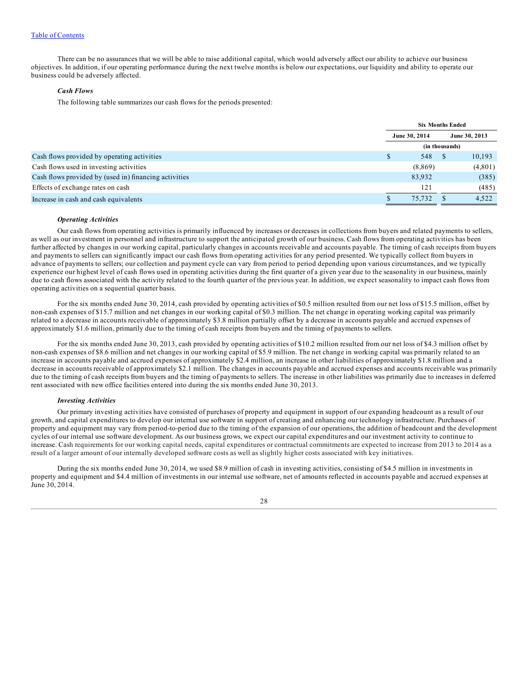There can be no assurances that we will be able to raise additional capital, which would adversely affect our ability to achieve our business objectives. In addition, if our operating performance during the next twelve months is below our expectations, our liquidity and ability to operate our business could be adversely affected.

# *Cash Flows*

The following table summarizes our cash flows for the periods presented:

|                                                       | <b>Six Months Ended</b> |         |     |               |
|-------------------------------------------------------|-------------------------|---------|-----|---------------|
|                                                       | June 30, 2014           |         |     | June 30, 2013 |
|                                                       | (in thousands)          |         |     |               |
| Cash flows provided by operating activities           |                         | 548     | - 8 | 10,193        |
| Cash flows used in investing activities               |                         | (8,869) |     | (4,801)       |
| Cash flows provided by (used in) financing activities |                         | 83,932  |     | (385)         |
| Effects of exchange rates on cash                     |                         | 121     |     | (485)         |
| Increase in cash and cash equivalents                 |                         | 75.732  |     | 4,522         |

# *Operating Activities*

Our cash flows from operating activities is primarily influenced by increases or decreases in collections from buyers and related payments to sellers, as well as our investment in personnel and infrastructure to support the anticipated growth of our business. Cash flows from operating activities has been further affected by changes in our working capital, particularly changes in accounts receivable and accounts payable. The timing of cash receipts from buyers and payments to sellers can significantly impact our cash flows from operating activities for any period presented. We typically collect from buyers in advance of payments to sellers; our collection and payment cycle can vary from period to period depending upon various circumstances, and we typically experience our highest level of cash flows used in operating activities during the first quarter of a given year due to the seasonality in our business, mainly due to cash flows associated with the activity related to the fourth quarter of the previous year. In addition, we expect seasonality to impact cash flows from operating activities on a sequential quarter basis.

For the six months ended June 30, 2014, cash provided by operating activities of \$0.5 million resulted from our net loss of \$15.5 million, offset by non-cash expenses of \$15.7 million and net changes in our working capital of \$0.3 million. The net change in operating working capital was primarily related to a decrease in accounts receivable of approximately \$3.8 million partially offset by a decrease in accounts payable and accrued expenses of approximately \$1.6 million, primarily due to the timing of cash receipts from buyers and the timing of payments to sellers.

For the six months ended June 30, 2013, cash provided by operating activities of \$10.2 million resulted from our net loss of \$4.3 million offset by non-cash expenses of \$8.6 million and net changes in our working capital of \$5.9 million. The net change in working capital was primarily related to an increase in accounts payable and accrued expenses of approximately \$2.4 million, an increase in other liabilities of approximately \$1.8 million and a decrease in accounts receivable of approximately \$2.1 million. The changes in accounts payable and accrued expenses and accounts receivable was primarily due to the timing of cash receipts from buyers and the timing of payments to sellers. The increase in other liabilities was primarily due to increases in deferred rent associated with new office facilities entered into during the six months ended June 30, 2013.

#### *Investing Activities*

Our primary investing activities have consisted of purchases of property and equipment in support of our expanding headcount as a result of our growth, and capital expenditures to develop our internal use software in support of creating and enhancing our technology infrastructure. Purchases of property and equipment may vary from period-to-period due to the timing of the expansion of our operations, the addition of headcount and the development cycles of our internal use software development. As our business grows, we expect our capital expenditures and our investment activity to continue to increase. Cash requirements for our working capital needs, capital expenditures or contractual commitments are expected to increase from 2013 to 2014 as a result of a larger amount of our internally developed software costs as well as slightly higher costs associated with key initiatives.

During the six months ended June 30, 2014, we used \$8.9 million of cash in investing activities, consisting of \$4.5 million in investments in property and equipment and \$4.4 million of investments in our internal use software, net of amounts reflected in accounts payable and accrued expenses at June 30, 2014.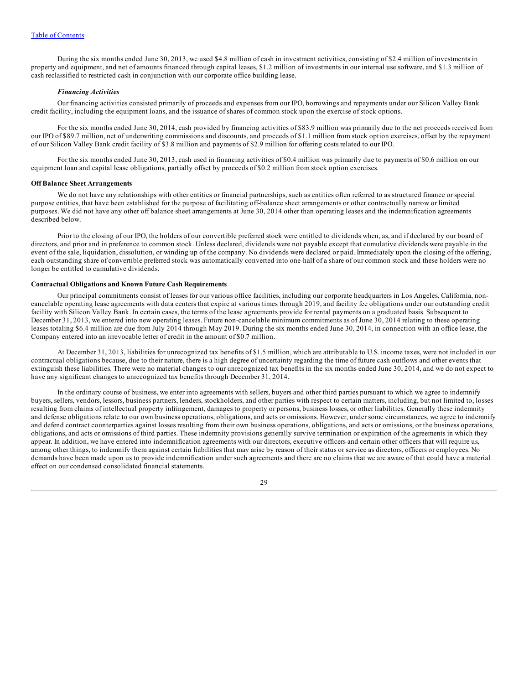During the six months ended June 30, 2013, we used \$4.8 million of cash in investment activities, consisting of \$2.4 million of investments in property and equipment, and net of amounts financed through capital leases, \$1.2 million of investments in our internal use software, and \$1.3 million of cash reclassified to restricted cash in conjunction with our corporate office building lease.

#### *Financing Activities*

Our financing activities consisted primarily of proceeds and expenses from our IPO, borrowings and repayments under our Silicon Valley Bank credit facility, including the equipment loans, and the issuance of shares of common stock upon the exercise of stock options.

For the six months ended June 30, 2014, cash provided by financing activities of \$83.9 million was primarily due to the net proceeds received from our IPO of \$89.7 million, net of underwriting commissions and discounts, and proceeds of \$1.1 million from stock option exercises, offset by the repayment of our Silicon Valley Bank credit facility of \$3.8 million and payments of \$2.9 million for offering costs related to our IPO.

For the six months ended June 30, 2013, cash used in financing activities of \$0.4 million was primarily due to payments of \$0.6 million on our equipment loan and capital lease obligations, partially offset by proceeds of \$0.2 million from stock option exercises.

#### **Off Balance Sheet Arrangements**

We do not have any relationships with other entities or financial partnerships, such as entities often referred to as structured finance or special purpose entities, that have been established for the purpose of facilitating off-balance sheet arrangements or other contractually narrow or limited purposes. We did not have any other off balance sheet arrangements at June 30, 2014 other than operating leases and the indemnification agreements described below.

Prior to the closing of our IPO, the holders of our convertible preferred stock were entitled to dividends when, as, and if declared by our board of directors, and prior and in preference to common stock. Unless declared, dividends were not payable except that cumulative dividends were payable in the event of the sale, liquidation, dissolution, or winding up of the company. No dividends were declared or paid. Immediately upon the closing of the offering, each outstanding share of convertible preferred stock was automatically converted into one-half of a share of our common stock and these holders were no longer be entitled to cumulative dividends.

## **Contractual Obligations and Known Future Cash Requirements**

Our principal commitments consist of leases for our various office facilities, including our corporate headquarters in Los Angeles, California, noncancelable operating lease agreements with data centers that expire at various times through 2019, and facility fee obligations under our outstanding credit facility with Silicon Valley Bank. In certain cases, the terms of the lease agreements provide for rental payments on a graduated basis. Subsequent to December 31, 2013, we entered into new operating leases. Future non-cancelable minimum commitments as of June 30, 2014 relating to these operating leases totaling \$6.4 million are due from July 2014 through May 2019. During the six months ended June 30, 2014, in connection with an office lease, the Company entered into an irrevocable letter of credit in the amount of \$0.7 million.

At December 31, 2013, liabilities for unrecognized tax benefits of \$1.5 million, which are attributable to U.S. income taxes, were not included in our contractual obligations because, due to their nature, there is a high degree of uncertainty regarding the time of future cash outflows and other events that extinguish these liabilities. There were no material changes to our unrecognized tax benefits in the six months ended June 30, 2014, and we do not expect to have any significant changes to unrecognized tax benefits through December 31, 2014.

In the ordinary course of business, we enter into agreements with sellers, buyers and other third parties pursuant to which we agree to indemnify buyers, sellers, vendors, lessors, business partners, lenders, stockholders, and other parties with respect to certain matters, including, but not limited to, losses resulting from claims of intellectual property infringement, damages to property or persons, business losses, or other liabilities. Generally these indemnity and defense obligations relate to our own business operations, obligations, and acts or omissions. However, under some circumstances, we agree to indemnify and defend contract counterparties against losses resulting from their own business operations, obligations, and acts or omissions, or the business operations, obligations, and acts or omissions of third parties. These indemnity provisions generally survive termination or expiration of the agreements in which they appear. In addition, we have entered into indemnification agreements with our directors, executive officers and certain other officers that will require us, among other things, to indemnify them against certain liabilities that may arise by reason of their status or service as directors, officers or employees. No demands have been made upon us to provide indemnification under such agreements and there are no claims that we are aware of that could have a material effect on our condensed consolidated financial statements.

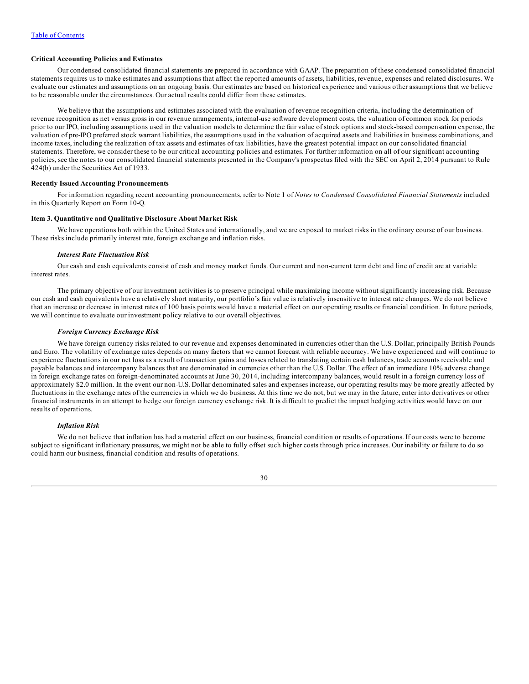#### <span id="page-29-0"></span>**Critical Accounting Policies and Estimates**

Our condensed consolidated financial statements are prepared in accordance with GAAP. The preparation of these condensed consolidated financial statements requires us to make estimates and assumptions that affect the reported amounts of assets, liabilities, revenue, expenses and related disclosures. We evaluate our estimates and assumptions on an ongoing basis. Our estimates are based on historical experience and various other assumptions that we believe to be reasonable under the circumstances. Our actual results could differ from these estimates.

We believe that the assumptions and estimates associated with the evaluation of revenue recognition criteria, including the determination of revenue recognition as net versus gross in our revenue arrangements, internal-use software development costs, the valuation of common stock for periods prior to our IPO, including assumptions used in the valuation models to determine the fair value of stock options and stock-based compensation expense, the valuation of pre-IPO preferred stock warrant liabilities, the assumptions used in the valuation of acquired assets and liabilities in business combinations, and income taxes, including the realization of tax assets and estimates of tax liabilities, have the greatest potential impact on our consolidated financial statements. Therefore, we consider these to be our critical accounting policies and estimates. For further information on all of our significant accounting policies, see the notes to our consolidated financial statements presented in the Company's prospectus filed with the SEC on April 2, 2014 pursuant to Rule 424(b) under the Securities Act of 1933.

## **Recently Issued Accounting Pronouncements**

For information regarding recent accounting pronouncements, refer to Note 1 of *Notes to Condensed Consolidated Financial Statements* included in this Quarterly Report on Form 10-Q.

#### **Item 3. Quantitative and Qualitative Disclosure About Market Risk**

We have operations both within the United States and internationally, and we are exposed to market risks in the ordinary course of our business. These risks include primarily interest rate, foreign exchange and inflation risks.

#### *Interest Rate Fluctuation Risk*

Our cash and cash equivalents consist of cash and money market funds. Our current and non-current term debt and line of credit are at variable interest rates.

The primary objective of our investment activities is to preserve principal while maximizing income without significantly increasing risk. Because our cash and cash equivalents have a relatively short maturity, our portfolio's fair value is relatively insensitive to interest rate changes. We do not believe that an increase or decrease in interest rates of 100 basis points would have a material effect on our operating results or financial condition. In future periods, we will continue to evaluate our investment policy relative to our overall objectives.

#### *Foreign Currency Exchange Risk*

We have foreign currency risks related to our revenue and expenses denominated in currencies other than the U.S. Dollar, principally British Pounds and Euro. The volatility of exchange rates depends on many factors that we cannot forecast with reliable accuracy. We have experienced and will continue to experience fluctuations in our net loss as a result of transaction gains and losses related to translating certain cash balances, trade accounts receivable and payable balances and intercompany balances that are denominated in currencies other than the U.S. Dollar. The effect of an immediate 10% adverse change in foreign exchange rates on foreign-denominated accounts at June 30, 2014, including intercompany balances, would result in a foreign currency loss of approximately \$2.0 million. In the event our non-U.S. Dollar denominated sales and expenses increase, our operating results may be more greatly affected by fluctuations in the exchange rates of the currencies in which we do business. At this time we do not, but we may in the future, enter into derivatives or other financial instruments in an attempt to hedge our foreign currency exchange risk. It is difficult to predict the impact hedging activities would have on our results of operations.

## *Inflation Risk*

We do not believe that inflation has had a material effect on our business, financial condition or results of operations. If our costs were to become subject to significant inflationary pressures, we might not be able to fully offset such higher costs through price increases. Our inability or failure to do so could harm our business, financial condition and results of operations.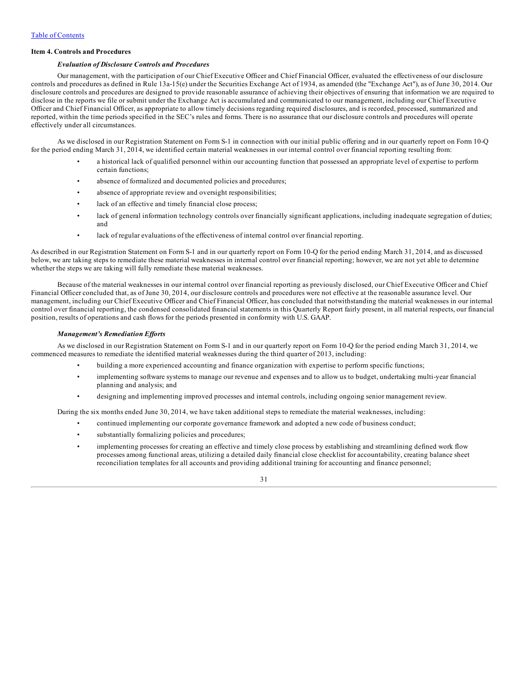### **Item 4. Controls and Procedures**

#### *Evaluation of Disclosure Controls and Procedures*

Our management, with the participation of our Chief Executive Officer and Chief Financial Officer, evaluated the effectiveness of our disclosure controls and procedures as defined in Rule 13a-15(e) under the Securities Exchange Act of 1934, as amended (the "Exchange Act"), as of June 30, 2014. Our disclosure controls and procedures are designed to provide reasonable assurance of achieving their objectives of ensuring that information we are required to disclose in the reports we file or submit under the Exchange Act is accumulated and communicated to our management, including our Chief Executive Officer and Chief Financial Officer, as appropriate to allow timely decisions regarding required disclosures, and is recorded, processed, summarized and reported, within the time periods specified in the SEC's rules and forms. There is no assurance that our disclosure controls and procedures will operate effectively under all circumstances.

As we disclosed in our Registration Statement on Form S-1 in connection with our initial public offering and in our quarterly report on Form 10-Q for the period ending March 31, 2014, we identified certain material weaknesses in our internal control over financial reporting resulting from:

- a historical lack of qualified personnel within our accounting function that possessed an appropriate level of expertise to perform certain functions;
- absence of formalized and documented policies and procedures;
- absence of appropriate review and oversight responsibilities;
- lack of an effective and timely financial close process;
- lack of general information technology controls over financially significant applications, including inadequate segregation of duties; and
- lack of regular evaluations of the effectiveness of internal control over financial reporting.

As described in our Registration Statement on Form S-1 and in our quarterly report on Form 10-Q for the period ending March 31, 2014, and as discussed below, we are taking steps to remediate these material weaknesses in internal control over financial reporting; however, we are not yet able to determine whether the steps we are taking will fully remediate these material weaknesses.

Because of the material weaknesses in our internal control over financial reporting as previously disclosed, our Chief Executive Officer and Chief Financial Officer concluded that, as of June 30, 2014, our disclosure controls and procedures were not effective at the reasonable assurance level. Our management, including our Chief Executive Officer and Chief Financial Officer, has concluded that notwithstanding the material weaknesses in our internal control over financial reporting, the condensed consolidated financial statements in this Quarterly Report fairly present, in all material respects, our financial position, results of operations and cash flows for the periods presented in conformity with U.S. GAAP.

#### *Management's Remediation Ef orts*

As we disclosed in our Registration Statement on Form S-1 and in our quarterly report on Form 10-Q for the period ending March 31, 2014, we commenced measures to remediate the identified material weaknesses during the third quarter of 2013, including:

- building a more experienced accounting and finance organization with expertise to perform specific functions;
- implementing software systems to manage our revenue and expenses and to allow us to budget, undertaking multi-year financial planning and analysis; and
- designing and implementing improved processes and internal controls, including ongoing senior management review.

During the six months ended June 30, 2014, we have taken additional steps to remediate the material weaknesses, including:

- continued implementing our corporate governance framework and adopted a new code of business conduct;
	- substantially formalizing policies and procedures;
	- implementing processes for creating an effective and timely close process by establishing and streamlining defined work flow processes among functional areas, utilizing a detailed daily financial close checklist for accountability, creating balance sheet reconciliation templates for all accounts and providing additional training for accounting and finance personnel;

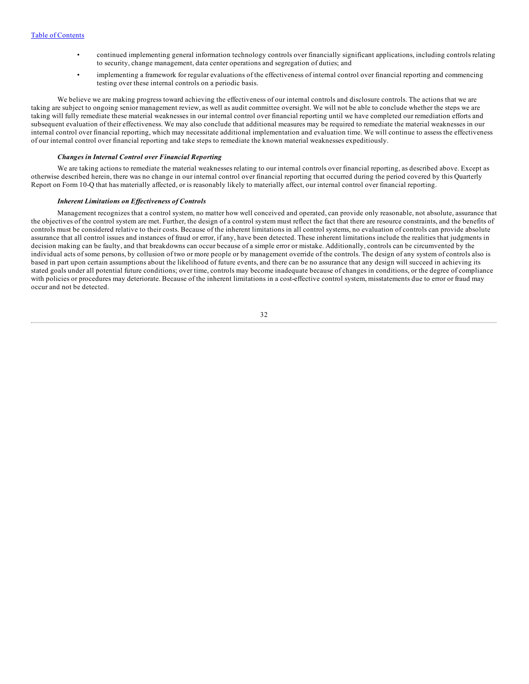- continued implementing general information technology controls over financially significant applications, including controls relating to security, change management, data center operations and segregation of duties; and
- implementing a framework for regular evaluations of the effectiveness of internal control over financial reporting and commencing testing over these internal controls on a periodic basis.

We believe we are making progress toward achieving the effectiveness of our internal controls and disclosure controls. The actions that we are taking are subject to ongoing senior management review, as well as audit committee oversight. We will not be able to conclude whether the steps we are taking will fully remediate these material weaknesses in our internal control over financial reporting until we have completed our remediation efforts and subsequent evaluation of their effectiveness. We may also conclude that additional measures may be required to remediate the material weaknesses in our internal control over financial reporting, which may necessitate additional implementation and evaluation time. We will continue to assess the effectiveness of our internal control over financial reporting and take steps to remediate the known material weaknesses expeditiously.

#### *Changes in Internal Control over Financial Reporting*

We are taking actions to remediate the material weaknesses relating to our internal controls over financial reporting, as described above. Except as otherwise described herein, there was no change in our internal control over financial reporting that occurred during the period covered by this Quarterly Report on Form 10-Q that has materially affected, or is reasonably likely to materially affect, our internal control over financial reporting.

#### *Inherent Limitations on Ef ectiveness of Controls*

Management recognizes that a control system, no matter how well conceived and operated, can provide only reasonable, not absolute, assurance that the objectives of the control system are met. Further, the design of a control system must reflect the fact that there are resource constraints, and the benefits of controls must be considered relative to their costs. Because of the inherent limitations in all control systems, no evaluation of controls can provide absolute assurance that all control issues and instances of fraud or error, if any, have been detected. These inherent limitations include the realities that judgments in decision making can be faulty, and that breakdowns can occur because of a simple error or mistake. Additionally, controls can be circumvented by the individual acts of some persons, by collusion of two or more people or by management override of the controls. The design of any system of controls also is based in part upon certain assumptions about the likelihood of future events, and there can be no assurance that any design will succeed in achieving its stated goals under all potential future conditions; over time, controls may become inadequate because of changes in conditions, or the degree of compliance with policies or procedures may deteriorate. Because of the inherent limitations in a cost-effective control system, misstatements due to error or fraud may occur and not be detected.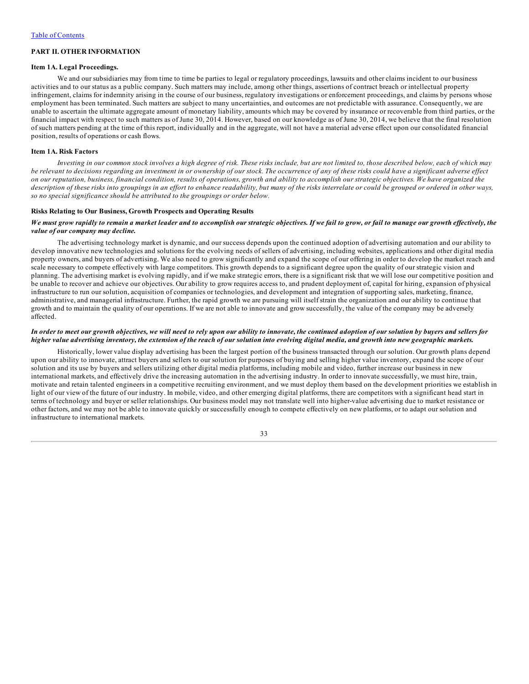## <span id="page-32-0"></span>**PART II. OTHER INFORMATION**

## **Item 1A. Legal Proceedings.**

We and our subsidiaries may from time to time be parties to legal or regulatory proceedings, lawsuits and other claims incident to our business activities and to our status as a public company. Such matters may include, among other things, assertions of contract breach or intellectual property infringement, claims for indemnity arising in the course of our business, regulatory investigations or enforcement proceedings, and claims by persons whose employment has been terminated. Such matters are subject to many uncertainties, and outcomes are not predictable with assurance. Consequently, we are unable to ascertain the ultimate aggregate amount of monetary liability, amounts which may be covered by insurance or recoverable from third parties, or the financial impact with respect to such matters as of June 30, 2014. However, based on our knowledge as of June 30, 2014, we believe that the final resolution of such matters pending at the time of this report, individually and in the aggregate, will not have a material adverse effect upon our consolidated financial position, results of operations or cash flows.

#### **Item 1A. Risk Factors**

Investing in our common stock involves a high degree of risk. These risks include, but are not limited to, those described below, each of which may be relevant to decisions regarding an investment in or ownership of our stock. The occurrence of any of these risks could have a significant adverse effect on our reputation, business, financial condition, results of operations, growth and ability to accomplish our strategic objectives. We have organized the description of these risks into groupings in an effort to enhance readability, but many of the risks interrelate or could be grouped or ordered in other ways, *so no special significance should be attributed to the groupings or order below.*

#### **Risks Relating to Our Business, Growth Prospects and Operating Results**

#### We must grow rapidly to remain a market leader and to accomplish our strategic objectives. If we fail to grow, or fail to manage our growth effectively, the *value of our company may decline.*

The advertising technology market is dynamic, and our success depends upon the continued adoption of advertising automation and our ability to develop innovative new technologies and solutions for the evolving needs of sellers of advertising, including websites, applications and other digital media property owners, and buyers of advertising. We also need to grow significantly and expand the scope of our offering in order to develop the market reach and scale necessary to compete effectively with large competitors. This growth depends to a significant degree upon the quality of our strategic vision and planning. The advertising market is evolving rapidly, and if we make strategic errors, there is a significant risk that we will lose our competitive position and be unable to recover and achieve our objectives. Our ability to grow requires access to, and prudent deployment of, capital for hiring, expansion of physical infrastructure to run our solution, acquisition of companies or technologies, and development and integration of supporting sales, marketing, finance, administrative, and managerial infrastructure. Further, the rapid growth we are pursuing will itself strain the organization and our ability to continue that growth and to maintain the quality of our operations. If we are not able to innovate and grow successfully, the value of the company may be adversely affected.

#### In order to meet our growth objectives, we will need to rely upon our ability to innovate, the continued adoption of our solution by buyers and sellers for higher value advertising inventory, the extension of the reach of our solution into evolving digital media, and growth into new geographic markets.

Historically, lower value display advertising has been the largest portion of the business transacted through our solution. Our growth plans depend upon our ability to innovate, attract buyers and sellers to our solution for purposes of buying and selling higher value inventory, expand the scope of our solution and its use by buyers and sellers utilizing other digital media platforms, including mobile and video, further increase our business in new international markets, and effectively drive the increasing automation in the advertising industry. In order to innovate successfully, we must hire, train, motivate and retain talented engineers in a competitive recruiting environment, and we must deploy them based on the development priorities we establish in light of our view of the future of our industry. In mobile, video, and other emerging digital platforms, there are competitors with a significant head start in terms of technology and buyer or seller relationships. Our business model may not translate well into higher-value advertising due to market resistance or other factors, and we may not be able to innovate quickly or successfully enough to compete effectively on new platforms, or to adapt our solution and infrastructure to international markets.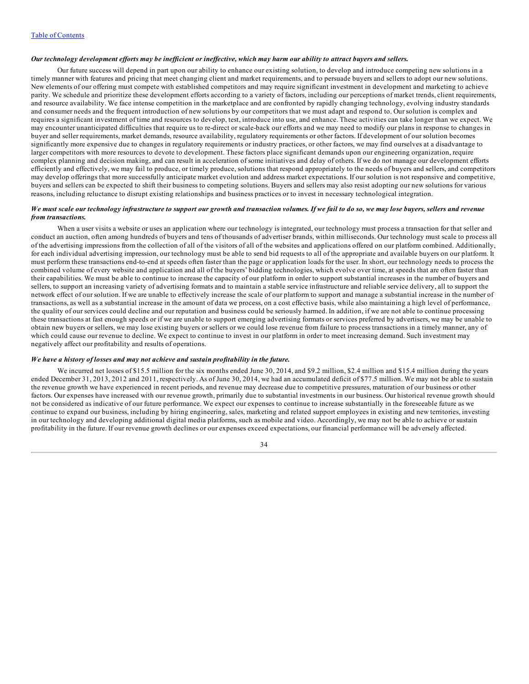## Our technology development efforts may be inefficient or ineffective, which may harm our ability to attract buyers and sellers.

Our future success will depend in part upon our ability to enhance our existing solution, to develop and introduce competing new solutions in a timely manner with features and pricing that meet changing client and market requirements, and to persuade buyers and sellers to adopt our new solutions. New elements of our offering must compete with established competitors and may require significant investment in development and marketing to achieve parity. We schedule and prioritize these development efforts according to a variety of factors, including our perceptions of market trends, client requirements, and resource availability. We face intense competition in the marketplace and are confronted by rapidly changing technology, evolving industry standards and consumer needs and the frequent introduction of new solutions by our competitors that we must adapt and respond to. Our solution is complex and requires a significant investment of time and resources to develop, test, introduce into use, and enhance. These activities can take longer than we expect. We may encounter unanticipated difficulties that require us to re-direct or scale-back our efforts and we may need to modify our plans in response to changes in buyer and seller requirements, market demands, resource availability, regulatory requirements or other factors. If development of our solution becomes significantly more expensive due to changes in regulatory requirements or industry practices, or other factors, we may find ourselves at a disadvantage to larger competitors with more resources to devote to development. These factors place significant demands upon our engineering organization, require complex planning and decision making, and can result in acceleration of some initiatives and delay of others. If we do not manage our development efforts efficiently and effectively, we may fail to produce, or timely produce, solutions that respond appropriately to the needs of buyers and sellers, and competitors may develop offerings that more successfully anticipate market evolution and address market expectations. If our solution is not responsive and competitive, buyers and sellers can be expected to shift their business to competing solutions. Buyers and sellers may also resist adopting our new solutions for various reasons, including reluctance to disrupt existing relationships and business practices or to invest in necessary technological integration.

### We must scale our technology infrastructure to support our growth and transaction volumes. If we fail to do so, we may lose buyers, sellers and revenue *from transactions.*

When a user visits a website or uses an application where our technology is integrated, our technology must process a transaction for that seller and conduct an auction, often among hundreds of buyers and tens of thousands of advertiser brands, within milliseconds. Our technology must scale to process all of the advertising impressions from the collection of all of the visitors of all of the websites and applications offered on our platform combined. Additionally, for each individual advertising impression, our technology must be able to send bid requests to all of the appropriate and available buyers on our platform. It must perform these transactions end-to-end at speeds often faster than the page or application loads for the user. In short, our technology needs to process the combined volume of every website and application and all of the buyers' bidding technologies, which evolve over time, at speeds that are often faster than their capabilities. We must be able to continue to increase the capacity of our platform in order to support substantial increases in the number of buyers and sellers, to support an increasing variety of advertising formats and to maintain a stable service infrastructure and reliable service delivery, all to support the network effect of our solution. If we are unable to effectively increase the scale of our platform to support and manage a substantial increase in the number of transactions, as well as a substantial increase in the amount of data we process, on a cost effective basis, while also maintaining a high level of performance, the quality of our services could decline and our reputation and business could be seriously harmed. In addition, if we are not able to continue processing these transactions at fast enough speeds or if we are unable to support emerging advertising formats or services preferred by advertisers, we may be unable to obtain new buyers or sellers, we may lose existing buyers or sellers or we could lose revenue from failure to process transactions in a timely manner, any of which could cause our revenue to decline. We expect to continue to invest in our platform in order to meet increasing demand. Such investment may negatively affect our profitability and results of operations.

# *We have a history of losses and may not achieve and sustain profitability in the future.*

We incurred net losses of \$15.5 million for the six months ended June 30, 2014, and \$9.2 million, \$2.4 million and \$15.4 million during the years ended December 31, 2013, 2012 and 2011, respectively. As of June 30, 2014, we had an accumulated deficit of \$77.5 million. We may not be able to sustain the revenue growth we have experienced in recent periods, and revenue may decrease due to competitive pressures, maturation of our business or other factors. Our expenses have increased with our revenue growth, primarily due to substantial investments in our business. Our historical revenue growth should not be considered as indicative of our future performance. We expect our expenses to continue to increase substantially in the foreseeable future as we continue to expand our business, including by hiring engineering, sales, marketing and related support employees in existing and new territories, investing in our technology and developing additional digital media platforms, such as mobile and video. Accordingly, we may not be able to achieve or sustain profitability in the future. If our revenue growth declines or our expenses exceed expectations, our financial performance will be adversely affected.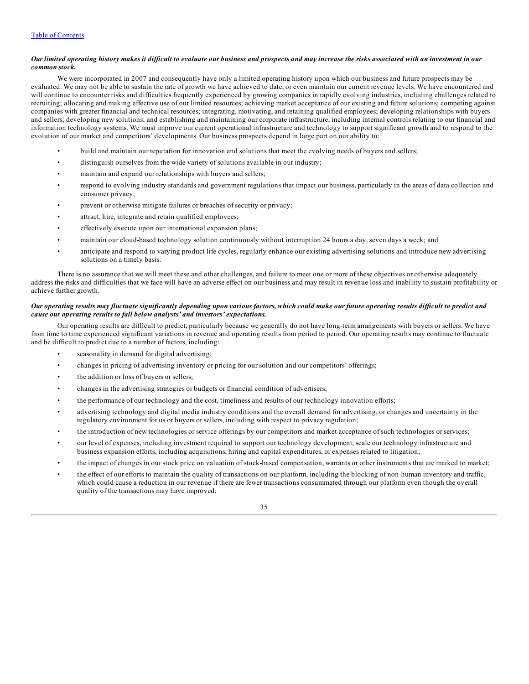### Our limited operating history makes it difficult to evaluate our business and prospects and may increase the risks associated with an investment in our *common stock.*

We were incorporated in 2007 and consequently have only a limited operating history upon which our business and future prospects may be evaluated. We may not be able to sustain the rate of growth we have achieved to date, or even maintain our current revenue levels. We have encountered and will continue to encounter risks and difficulties frequently experienced by growing companies in rapidly evolving industries, including challenges related to recruiting; allocating and making effective use of our limited resources; achieving market acceptance of our existing and future solutions; competing against companies with greater financial and technical resources; integrating, motivating, and retaining qualified employees; developing relationships with buyers and sellers; developing new solutions; and establishing and maintaining our corporate infrastructure, including internal controls relating to our financial and information technology systems. We must improve our current operational infrastructure and technology to support significant growth and to respond to the evolution of our market and competitors' developments. Our business prospects depend in large part on our ability to:

- build and maintain our reputation for innovation and solutions that meet the evolving needs of buyers and sellers;
- distinguish ourselves from the wide variety of solutions available in our industry;
- maintain and expand our relationships with buyers and sellers;
- respond to evolving industry standards and government regulations that impact our business, particularly in the areas of data collection and consumer privacy;
- prevent or otherwise mitigate failures or breaches of security or privacy;
- attract, hire, integrate and retain qualified employees;
- effectively execute upon our international expansion plans;
- maintain our cloud-based technology solution continuously without interruption 24 hours a day, seven days a week; and
- anticipate and respond to varying product life cycles, regularly enhance our existing advertising solutions and introduce new advertising solutions on a timely basis.

There is no assurance that we will meet these and other challenges, and failure to meet one or more of these objectives or otherwise adequately address the risks and difficulties that we face will have an adverse effect on our business and may result in revenue loss and inability to sustain profitability or achieve further growth.

## Our operating results may fluctuate significantly depending upon various factors, which could make our future operating results difficult to predict and *cause our operating results to fall below analysts' and investors' expectations.*

Our operating results are difficult to predict, particularly because we generally do not have long-term arrangements with buyers or sellers. We have from time to time experienced significant variations in revenue and operating results from period to period. Our operating results may continue to fluctuate and be difficult to predict due to a number of factors, including:

- seasonality in demand for digital advertising;
- changes in pricing of advertising inventory or pricing for our solution and our competitors' offerings;
- the addition or loss of buyers or sellers;
- changes in the advertising strategies or budgets or financial condition of advertisers;
- the performance of our technology and the cost, timeliness and results of our technology innovation efforts;
- advertising technology and digital media industry conditions and the overall demand for advertising, or changes and uncertainty in the regulatory environment for us or buyers or sellers, including with respect to privacy regulation;
- the introduction of new technologies or service offerings by our competitors and market acceptance of such technologies or services;
- our level of expenses, including investment required to support our technology development, scale our technology infrastructure and business expansion efforts, including acquisitions, hiring and capital expenditures, or expenses related to litigation;
- the impact of changes in our stock price on valuation of stock-based compensation, warrants or other instruments that are marked to market;
- the effect of our efforts to maintain the quality of transactions on our platform, including the blocking of non-human inventory and traffic, which could cause a reduction in our revenue if there are fewer transactions consummated through our platform even though the overall quality of the transactions may have improved;

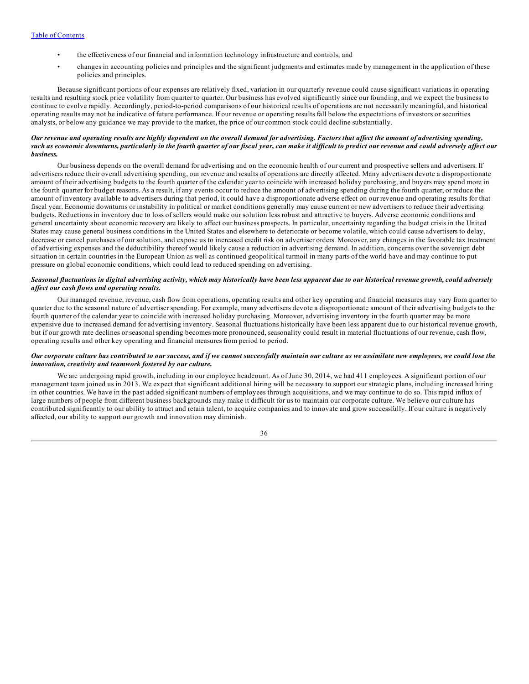- the effectiveness of our financial and information technology infrastructure and controls; and
- changes in accounting policies and principles and the significant judgments and estimates made by management in the application of these policies and principles.

Because significant portions of our expenses are relatively fixed, variation in our quarterly revenue could cause significant variations in operating results and resulting stock price volatility from quarter to quarter. Our business has evolved significantly since our founding, and we expect the business to continue to evolve rapidly. Accordingly, period-to-period comparisons of our historical results of operations are not necessarily meaningful, and historical operating results may not be indicative of future performance. If our revenue or operating results fall below the expectations of investors or securities analysts, or below any guidance we may provide to the market, the price of our common stock could decline substantially.

## Our revenue and operating results are highly dependent on the overall demand for advertising. Factors that affect the amount of advertising spending, such as economic downturns, particularly in the fourth quarter of our fiscal year, can make it difficult to predict our revenue and could adversely affect our *business.*

Our business depends on the overall demand for advertising and on the economic health of our current and prospective sellers and advertisers. If advertisers reduce their overall advertising spending, our revenue and results of operations are directly affected. Many advertisers devote a disproportionate amount of their advertising budgets to the fourth quarter of the calendar year to coincide with increased holiday purchasing, and buyers may spend more in the fourth quarter for budget reasons. As a result, if any events occur to reduce the amount of advertising spending during the fourth quarter, or reduce the amount of inventory available to advertisers during that period, it could have a disproportionate adverse effect on our revenue and operating results for that fiscal year. Economic downturns or instability in political or market conditions generally may cause current or new advertisers to reduce their advertising budgets. Reductions in inventory due to loss of sellers would make our solution less robust and attractive to buyers. Adverse economic conditions and general uncertainty about economic recovery are likely to affect our business prospects. In particular, uncertainty regarding the budget crisis in the United States may cause general business conditions in the United States and elsewhere to deteriorate or become volatile, which could cause advertisers to delay, decrease or cancel purchases of our solution, and expose us to increased credit risk on advertiser orders. Moreover, any changes in the favorable tax treatment of advertising expenses and the deductibility thereof would likely cause a reduction in advertising demand. In addition, concerns over the sovereign debt situation in certain countries in the European Union as well as continued geopolitical turmoil in many parts of the world have and may continue to put pressure on global economic conditions, which could lead to reduced spending on advertising.

## Seasonal fluctuations in digital advertising activity, which may historically have been less apparent due to our historical revenue growth, could adversely *af ect our cash flows and operating results.*

Our managed revenue, revenue, cash flow from operations, operating results and other key operating and financial measures may vary from quarter to quarter due to the seasonal nature of advertiser spending. For example, many advertisers devote a disproportionate amount of their advertising budgets to the fourth quarter of the calendar year to coincide with increased holiday purchasing. Moreover, advertising inventory in the fourth quarter may be more expensive due to increased demand for advertising inventory. Seasonal fluctuations historically have been less apparent due to our historical revenue growth, but if our growth rate declines or seasonal spending becomes more pronounced, seasonality could result in material fluctuations of our revenue, cash flow, operating results and other key operating and financial measures from period to period.

## Our corporate culture has contributed to our success, and if we cannot successfully maintain our culture as we assimilate new employees, we could lose the *innovation, creativity and teamwork fostered by our culture.*

We are undergoing rapid growth, including in our employee headcount. As of June 30, 2014, we had 411 employees. A significant portion of our management team joined us in 2013. We expect that significant additional hiring will be necessary to support our strategic plans, including increased hiring in other countries. We have in the past added significant numbers of employees through acquisitions, and we may continue to do so. This rapid influx of large numbers of people from different business backgrounds may make it difficult for us to maintain our corporate culture. We believe our culture has contributed significantly to our ability to attract and retain talent, to acquire companies and to innovate and grow successfully. If our culture is negatively affected, our ability to support our growth and innovation may diminish.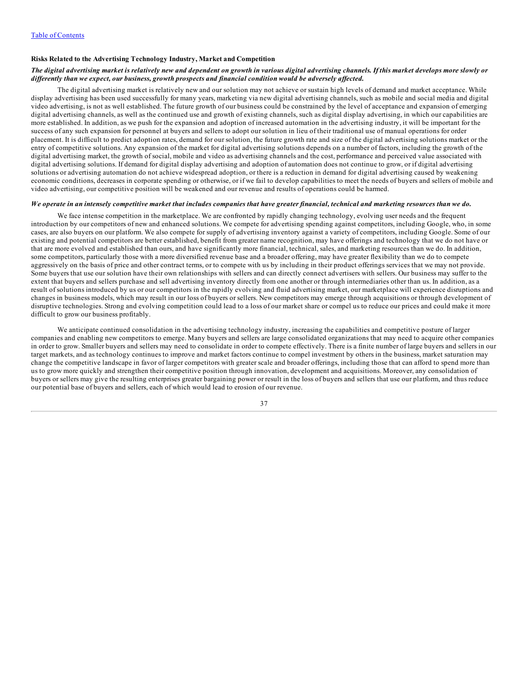## **Risks Related to the Advertising Technology Industry, Market and Competition**

## The digital advertising market is relatively new and dependent on growth in various digital advertising channels. If this market develops more slowly or differently than we expect, our business, growth prospects and financial condition would be adversely affected.

The digital advertising market is relatively new and our solution may not achieve or sustain high levels of demand and market acceptance. While display advertising has been used successfully for many years, marketing via new digital advertising channels, such as mobile and social media and digital video advertising, is not as well established. The future growth of our business could be constrained by the level of acceptance and expansion of emerging digital advertising channels, as well as the continued use and growth of existing channels, such as digital display advertising, in which our capabilities are more established. In addition, as we push for the expansion and adoption of increased automation in the advertising industry, it will be important for the success of any such expansion for personnel at buyers and sellers to adopt our solution in lieu of their traditional use of manual operations for order placement. It is difficult to predict adoption rates, demand for our solution, the future growth rate and size of the digital advertising solutions market or the entry of competitive solutions. Any expansion of the market for digital advertising solutions depends on a number of factors, including the growth of the digital advertising market, the growth of social, mobile and video as advertising channels and the cost, performance and perceived value associated with digital advertising solutions. If demand for digital display advertising and adoption of automation does not continue to grow, or if digital advertising solutions or advertising automation do not achieve widespread adoption, or there is a reduction in demand for digital advertising caused by weakening economic conditions, decreases in corporate spending or otherwise, or if we fail to develop capabilities to meet the needs of buyers and sellers of mobile and video advertising, our competitive position will be weakened and our revenue and results of operations could be harmed.

### We operate in an intensely competitive market that includes companies that have greater financial, technical and marketing resources than we do.

We face intense competition in the marketplace. We are confronted by rapidly changing technology, evolving user needs and the frequent introduction by our competitors of new and enhanced solutions. We compete for advertising spending against competitors, including Google, who, in some cases, are also buyers on our platform. We also compete for supply of advertising inventory against a variety of competitors, including Google. Some of our existing and potential competitors are better established, benefit from greater name recognition, may have offerings and technology that we do not have or that are more evolved and established than ours, and have significantly more financial, technical, sales, and marketing resources than we do. In addition, some competitors, particularly those with a more diversified revenue base and a broader offering, may have greater flexibility than we do to compete aggressively on the basis of price and other contract terms, or to compete with us by including in their product offerings services that we may not provide. Some buyers that use our solution have their own relationships with sellers and can directly connect advertisers with sellers. Our business may suffer to the extent that buyers and sellers purchase and sell advertising inventory directly from one another or through intermediaries other than us. In addition, as a result of solutions introduced by us or our competitors in the rapidly evolving and fluid advertising market, our marketplace will experience disruptions and changes in business models, which may result in our loss of buyers or sellers. New competitors may emerge through acquisitions or through development of disruptive technologies. Strong and evolving competition could lead to a loss of our market share or compel us to reduce our prices and could make it more difficult to grow our business profitably.

We anticipate continued consolidation in the advertising technology industry, increasing the capabilities and competitive posture of larger companies and enabling new competitors to emerge. Many buyers and sellers are large consolidated organizations that may need to acquire other companies in order to grow. Smaller buyers and sellers may need to consolidate in order to compete effectively. There is a finite number of large buyers and sellers in our target markets, and as technology continues to improve and market factors continue to compel investment by others in the business, market saturation may change the competitive landscape in favor of larger competitors with greater scale and broader offerings, including those that can afford to spend more than us to grow more quickly and strengthen their competitive position through innovation, development and acquisitions. Moreover, any consolidation of buyers or sellers may give the resulting enterprises greater bargaining power or result in the loss of buyers and sellers that use our platform, and thus reduce our potential base of buyers and sellers, each of which would lead to erosion of our revenue.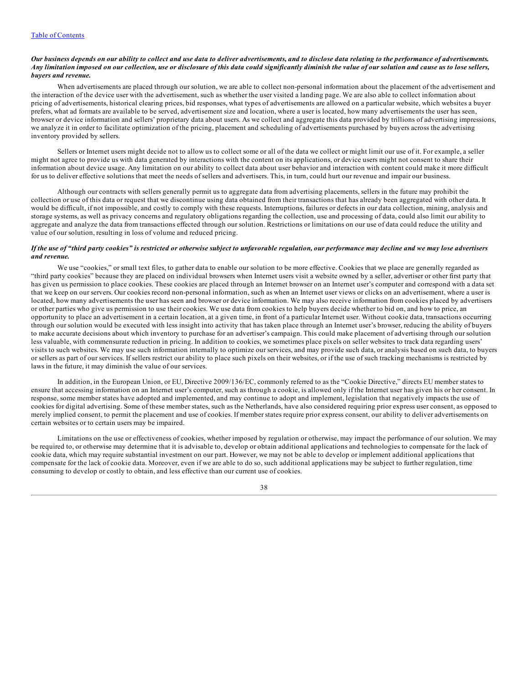### Our business depends on our ability to collect and use data to deliver advertisements, and to disclose data relating to the performance of advertisements. Any limitation imposed on our collection, use or disclosure of this data could significantly diminish the value of our solution and cause us to lose sellers, *buyers and revenue.*

When advertisements are placed through our solution, we are able to collect non-personal information about the placement of the advertisement and the interaction of the device user with the advertisement, such as whether the user visited a landing page. We are also able to collect information about pricing of advertisements, historical clearing prices, bid responses, what types of advertisements are allowed on a particular website, which websites a buyer prefers, what ad formats are available to be served, advertisement size and location, where a user is located, how many advertisements the user has seen, browser or device information and sellers' proprietary data about users. As we collect and aggregate this data provided by trillions of advertising impressions, we analyze it in order to facilitate optimization of the pricing, placement and scheduling of advertisements purchased by buyers across the advertising inventory provided by sellers.

Sellers or Internet users might decide not to allow us to collect some or all of the data we collect or might limit our use of it. For example, a seller might not agree to provide us with data generated by interactions with the content on its applications, or device users might not consent to share their information about device usage. Any limitation on our ability to collect data about user behavior and interaction with content could make it more difficult for us to deliver effective solutions that meet the needs of sellers and advertisers. This, in turn, could hurt our revenue and impair our business.

Although our contracts with sellers generally permit us to aggregate data from advertising placements, sellers in the future may prohibit the collection or use of this data or request that we discontinue using data obtained from their transactions that has already been aggregated with other data. It would be difficult, if not impossible, and costly to comply with these requests. Interruptions, failures or defects in our data collection, mining, analysis and storage systems, as well as privacy concerns and regulatory obligations regarding the collection, use and processing of data, could also limit our ability to aggregate and analyze the data from transactions effected through our solution. Restrictions or limitations on our use of data could reduce the utility and value of our solution, resulting in loss of volume and reduced pricing.

## If the use of "third party cookies" is restricted or otherwise subject to unfavorable regulation, our performance may decline and we may lose advertisers *and revenue.*

We use "cookies," or small text files, to gather data to enable our solution to be more effective. Cookies that we place are generally regarded as "third party cookies" because they are placed on individual browsers when Internet users visit a website owned by a seller, advertiser or other first party that has given us permission to place cookies. These cookies are placed through an Internet browser on an Internet user's computer and correspond with a data set that we keep on our servers. Our cookies record non-personal information, such as when an Internet user views or clicks on an advertisement, where a user is located, how many advertisements the user has seen and browser or device information. We may also receive information from cookies placed by advertisers or other parties who give us permission to use their cookies. We use data from cookies to help buyers decide whether to bid on, and how to price, an opportunity to place an advertisement in a certain location, at a given time, in front of a particular Internet user. Without cookie data, transactions occurring through our solution would be executed with less insight into activity that has taken place through an Internet user's browser, reducing the ability of buyers to make accurate decisions about which inventory to purchase for an advertiser's campaign. This could make placement of advertising through our solution less valuable, with commensurate reduction in pricing. In addition to cookies, we sometimes place pixels on seller websites to track data regarding users' visits to such websites. We may use such information internally to optimize our services, and may provide such data, or analysis based on such data, to buyers or sellers as part of our services. If sellers restrict our ability to place such pixels on their websites, or if the use of such tracking mechanisms is restricted by laws in the future, it may diminish the value of our services.

In addition, in the European Union, or EU, Directive 2009/136/EC, commonly referred to as the "Cookie Directive," directs EU member states to ensure that accessing information on an Internet user's computer, such as through a cookie, is allowed only if the Internet user has given his or her consent. In response, some member states have adopted and implemented, and may continue to adopt and implement, legislation that negatively impacts the use of cookies for digital advertising. Some of these member states, such as the Netherlands, have also considered requiring prior express user consent, as opposed to merely implied consent, to permit the placement and use of cookies. If member states require prior express consent, our ability to deliver advertisements on certain websites or to certain users may be impaired.

Limitations on the use or effectiveness of cookies, whether imposed by regulation or otherwise, may impact the performance of our solution. We may be required to, or otherwise may determine that it is advisable to, develop or obtain additional applications and technologies to compensate for the lack of cookie data, which may require substantial investment on our part. However, we may not be able to develop or implement additional applications that compensate for the lack of cookie data. Moreover, even if we are able to do so, such additional applications may be subject to further regulation, time consuming to develop or costly to obtain, and less effective than our current use of cookies.

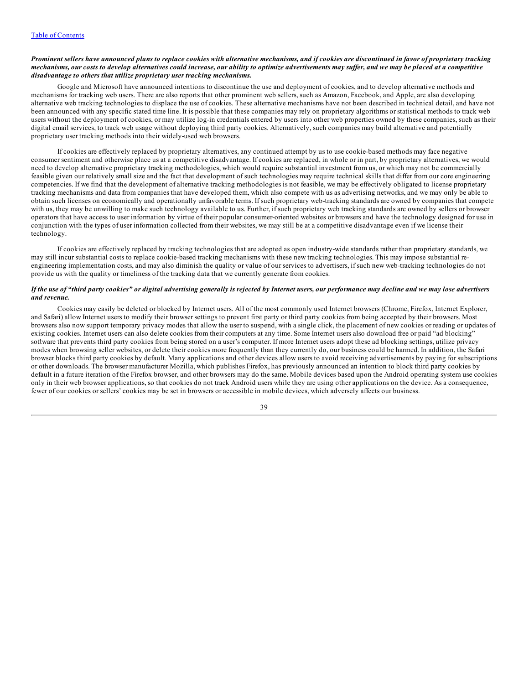### Prominent sellers have announced plans to replace cookies with alternative mechanisms, and if cookies are discontinued in favor of proprietary tracking mechanisms, our costs to develop alternatives could increase, our ability to optimize advertisements may suffer, and we may be placed at a competitive *disadvantage to others that utilize proprietary user tracking mechanisms.*

Google and Microsoft have announced intentions to discontinue the use and deployment of cookies, and to develop alternative methods and mechanisms for tracking web users. There are also reports that other prominent web sellers, such as Amazon, Facebook, and Apple, are also developing alternative web tracking technologies to displace the use of cookies. These alternative mechanisms have not been described in technical detail, and have not been announced with any specific stated time line. It is possible that these companies may rely on proprietary algorithms or statistical methods to track web users without the deployment of cookies, or may utilize log-in credentials entered by users into other web properties owned by these companies, such as their digital email services, to track web usage without deploying third party cookies. Alternatively, such companies may build alternative and potentially proprietary user tracking methods into their widely-used web browsers.

If cookies are effectively replaced by proprietary alternatives, any continued attempt by us to use cookie-based methods may face negative consumer sentiment and otherwise place us at a competitive disadvantage. If cookies are replaced, in whole or in part, by proprietary alternatives, we would need to develop alternative proprietary tracking methodologies, which would require substantial investment from us, or which may not be commercially feasible given our relatively small size and the fact that development of such technologies may require technical skills that differ from our core engineering competencies. If we find that the development of alternative tracking methodologies is not feasible, we may be effectively obligated to license proprietary tracking mechanisms and data from companies that have developed them, which also compete with us as advertising networks, and we may only be able to obtain such licenses on economically and operationally unfavorable terms. If such proprietary web-tracking standards are owned by companies that compete with us, they may be unwilling to make such technology available to us. Further, if such proprietary web tracking standards are owned by sellers or browser operators that have access to user information by virtue of their popular consumer-oriented websites or browsers and have the technology designed for use in conjunction with the types of user information collected from their websites, we may still be at a competitive disadvantage even if we license their technology.

If cookies are effectively replaced by tracking technologies that are adopted as open industry-wide standards rather than proprietary standards, we may still incur substantial costs to replace cookie-based tracking mechanisms with these new tracking technologies. This may impose substantial reengineering implementation costs, and may also diminish the quality or value of our services to advertisers, if such new web-tracking technologies do not provide us with the quality or timeliness of the tracking data that we currently generate from cookies.

## If the use of "third party cookies" or digital advertising generally is rejected by Internet users, our performance may decline and we may lose advertisers *and revenue.*

Cookies may easily be deleted or blocked by Internet users. All of the most commonly used Internet browsers (Chrome, Firefox, Internet Explorer, and Safari) allow Internet users to modify their browser settings to prevent first party or third party cookies from being accepted by their browsers. Most browsers also now support temporary privacy modes that allow the user to suspend, with a single click, the placement of new cookies or reading or updates of existing cookies. Internet users can also delete cookies from their computers at any time. Some Internet users also download free or paid "ad blocking" software that prevents third party cookies from being stored on a user's computer. If more Internet users adopt these ad blocking settings, utilize privacy modes when browsing seller websites, or delete their cookies more frequently than they currently do, our business could be harmed. In addition, the Safari browser blocks third party cookies by default. Many applications and other devices allow users to avoid receiving advertisements by paying for subscriptions or other downloads. The browser manufacturer Mozilla, which publishes Firefox, has previously announced an intention to block third party cookies by default in a future iteration of the Firefox browser, and other browsers may do the same. Mobile devices based upon the Android operating system use cookies only in their web browser applications, so that cookies do not track Android users while they are using other applications on the device. As a consequence, fewer of our cookies or sellers' cookies may be set in browsers or accessible in mobile devices, which adversely affects our business.

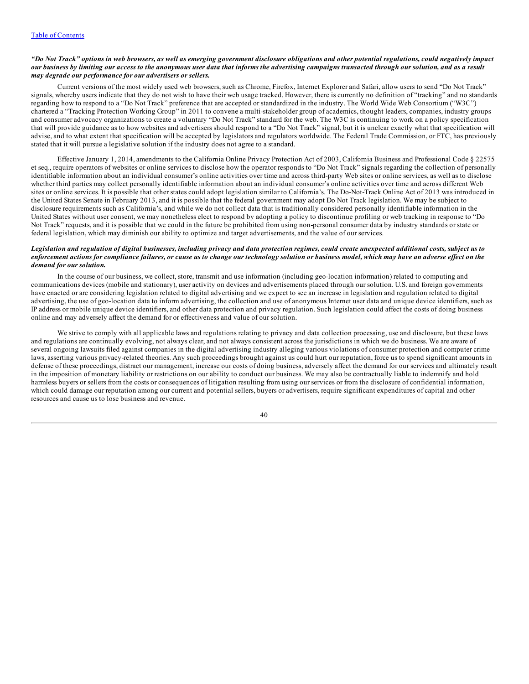#### "Do Not Track" options in web browsers, as well as emerging government disclosure obligations and other potential regulations, could negatively impact our business by limiting our access to the anonymous user data that informs the advertising campaigns transacted through our solution, and as a result *may degrade our performance for our advertisers or sellers.*

Current versions of the most widely used web browsers, such as Chrome, Firefox, Internet Explorer and Safari, allow users to send "Do Not Track" signals, whereby users indicate that they do not wish to have their web usage tracked. However, there is currently no definition of "tracking" and no standards regarding how to respond to a "Do Not Track" preference that are accepted or standardized in the industry. The World Wide Web Consortium ("W3C") chartered a "Tracking Protection Working Group" in 2011 to convene a multi-stakeholder group of academics, thought leaders, companies, industry groups and consumer advocacy organizations to create a voluntary "Do Not Track" standard for the web. The W3C is continuing to work on a policy specification that will provide guidance as to how websites and advertisers should respond to a "Do Not Track" signal, but it is unclear exactly what that specification will advise, and to what extent that specification will be accepted by legislators and regulators worldwide. The Federal Trade Commission, or FTC, has previously stated that it will pursue a legislative solution if the industry does not agree to a standard.

Effective January 1, 2014, amendments to the California Online Privacy Protection Act of 2003, California Business and Professional Code § 22575 et seq., require operators of websites or online services to disclose how the operator responds to "Do Not Track" signals regarding the collection of personally identifiable information about an individual consumer's online activities over time and across third-party Web sites or online services, as well as to disclose whether third parties may collect personally identifiable information about an individual consumer's online activities over time and across different Web sites or online services. It is possible that other states could adopt legislation similar to California's. The Do-Not-Track Online Act of 2013 was introduced in the United States Senate in February 2013, and it is possible that the federal government may adopt Do Not Track legislation. We may be subject to disclosure requirements such as California's, and while we do not collect data that is traditionally considered personally identifiable information in the United States without user consent, we may nonetheless elect to respond by adopting a policy to discontinue profiling or web tracking in response to "Do Not Track" requests, and it is possible that we could in the future be prohibited from using non-personal consumer data by industry standards or state or federal legislation, which may diminish our ability to optimize and target advertisements, and the value of our services.

## Legislation and regulation of digital businesses, including privacy and data protection regimes, could create unexpected additional costs, subject us to enforcement actions for compliance failures, or cause us to change our technology solution or business model, which may have an adverse effect on the *demand for our solution.*

In the course of our business, we collect, store, transmit and use information (including geo-location information) related to computing and communications devices (mobile and stationary), user activity on devices and advertisements placed through our solution. U.S. and foreign governments have enacted or are considering legislation related to digital advertising and we expect to see an increase in legislation and regulation related to digital advertising, the use of geo-location data to inform advertising, the collection and use of anonymous Internet user data and unique device identifiers, such as IP address or mobile unique device identifiers, and other data protection and privacy regulation. Such legislation could affect the costs of doing business online and may adversely affect the demand for or effectiveness and value of our solution.

We strive to comply with all applicable laws and regulations relating to privacy and data collection processing, use and disclosure, but these laws and regulations are continually evolving, not always clear, and not always consistent across the jurisdictions in which we do business. We are aware of several ongoing lawsuits filed against companies in the digital advertising industry alleging various violations of consumer protection and computer crime laws, asserting various privacy-related theories. Any such proceedings brought against us could hurt our reputation, force us to spend significant amounts in defense of these proceedings, distract our management, increase our costs of doing business, adversely affect the demand for our services and ultimately result in the imposition of monetary liability or restrictions on our ability to conduct our business. We may also be contractually liable to indemnify and hold harmless buyers or sellers from the costs or consequences of litigation resulting from using our services or from the disclosure of confidential information, which could damage our reputation among our current and potential sellers, buyers or advertisers, require significant expenditures of capital and other resources and cause us to lose business and revenue.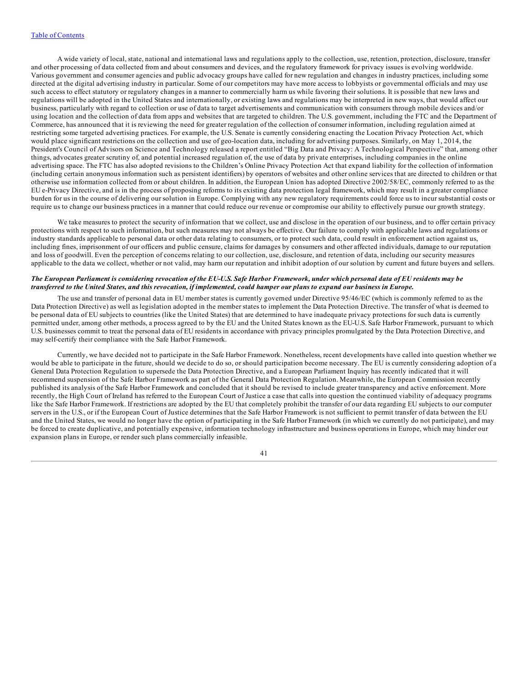A wide variety of local, state, national and international laws and regulations apply to the collection, use, retention, protection, disclosure, transfer and other processing of data collected from and about consumers and devices, and the regulatory framework for privacy issues is evolving worldwide. Various government and consumer agencies and public advocacy groups have called for new regulation and changes in industry practices, including some directed at the digital advertising industry in particular. Some of our competitors may have more access to lobbyists or governmental officials and may use such access to effect statutory or regulatory changes in a manner to commercially harm us while favoring their solutions. It is possible that new laws and regulations will be adopted in the United States and internationally, or existing laws and regulations may be interpreted in new ways, that would affect our business, particularly with regard to collection or use of data to target advertisements and communication with consumers through mobile devices and/or using location and the collection of data from apps and websites that are targeted to children. The U.S. government, including the FTC and the Department of Commerce, has announced that it is reviewing the need for greater regulation of the collection of consumer information, including regulation aimed at restricting some targeted advertising practices. For example, the U.S. Senate is currently considering enacting the Location Privacy Protection Act, which would place significant restrictions on the collection and use of geo-location data, including for advertising purposes. Similarly, on May 1, 2014, the President's Council of Advisors on Science and Technology released a report entitled "Big Data and Privacy: A Technological Perspective" that, among other things, advocates greater scrutiny of, and potential increased regulation of, the use of data by private enterprises, including companies in the online advertising space. The FTC has also adopted revisions to the Children's Online Privacy Protection Act that expand liability for the collection of information (including certain anonymous information such as persistent identifiers) by operators of websites and other online services that are directed to children or that otherwise use information collected from or about children. In addition, the European Union has adopted Directive 2002/58/EC, commonly referred to as the EU e-Privacy Directive, and is in the process of proposing reforms to its existing data protection legal framework, which may result in a greater compliance burden for us in the course of delivering our solution in Europe. Complying with any new regulatory requirements could force us to incur substantial costs or require us to change our business practices in a manner that could reduce our revenue or compromise our ability to effectively pursue our growth strategy.

We take measures to protect the security of information that we collect, use and disclose in the operation of our business, and to offer certain privacy protections with respect to such information, but such measures may not always be effective. Our failure to comply with applicable laws and regulations or industry standards applicable to personal data or other data relating to consumers, or to protect such data, could result in enforcement action against us, including fines, imprisonment of our officers and public censure, claims for damages by consumers and other affected individuals, damage to our reputation and loss of goodwill. Even the perception of concerns relating to our collection, use, disclosure, and retention of data, including our security measures applicable to the data we collect, whether or not valid, may harm our reputation and inhibit adoption of our solution by current and future buyers and sellers.

## The European Parliament is considering revocation of the EU-U.S. Safe Harbor Framework, under which personal data of EU residents may be transferred to the United States, and this revocation, if implemented, could hamper our plans to expand our business in Europe.

The use and transfer of personal data in EU member states is currently governed under Directive 95/46/EC (which is commonly referred to as the Data Protection Directive) as well as legislation adopted in the member states to implement the Data Protection Directive. The transfer of what is deemed to be personal data of EU subjects to countries (like the United States) that are determined to have inadequate privacy protections for such data is currently permitted under, among other methods, a process agreed to by the EU and the United States known as the EU-U.S. Safe Harbor Framework, pursuant to which U.S. businesses commit to treat the personal data of EU residents in accordance with privacy principles promulgated by the Data Protection Directive, and may self-certify their compliance with the Safe Harbor Framework.

Currently, we have decided not to participate in the Safe Harbor Framework. Nonetheless, recent developments have called into question whether we would be able to participate in the future, should we decide to do so, or should participation become necessary. The EU is currently considering adoption of a General Data Protection Regulation to supersede the Data Protection Directive, and a European Parliament Inquiry has recently indicated that it will recommend suspension of the Safe Harbor Framework as part of the General Data Protection Regulation. Meanwhile, the European Commission recently published its analysis of the Safe Harbor Framework and concluded that it should be revised to include greater transparency and active enforcement. More recently, the High Court of Ireland has referred to the European Court of Justice a case that calls into question the continued viability of adequacy programs like the Safe Harbor Framework. If restrictions are adopted by the EU that completely prohibit the transfer of our data regarding EU subjects to our computer servers in the U.S., or if the European Court of Justice determines that the Safe Harbor Framework is not sufficient to permit transfer of data between the EU and the United States, we would no longer have the option of participating in the Safe Harbor Framework (in which we currently do not participate), and may be forced to create duplicative, and potentially expensive, information technology infrastructure and business operations in Europe, which may hinder our expansion plans in Europe, or render such plans commercially infeasible.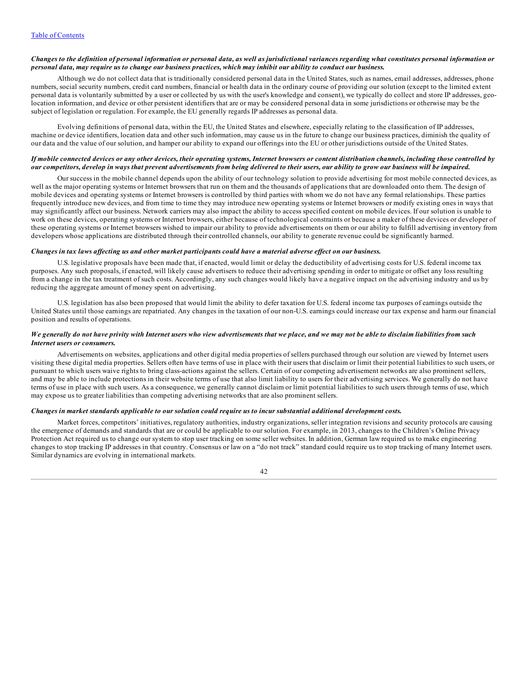## Changes to the definition of personal information or personal data, as well as jurisdictional variances regarding what constitutes personal information or personal data, may require us to change our business practices, which may inhibit our ability to conduct our business.

Although we do not collect data that is traditionally considered personal data in the United States, such as names, email addresses, addresses, phone numbers, social security numbers, credit card numbers, financial or health data in the ordinary course of providing our solution (except to the limited extent personal data is voluntarily submitted by a user or collected by us with the user's knowledge and consent), we typically do collect and store IP addresses, geolocation information, and device or other persistent identifiers that are or may be considered personal data in some jurisdictions or otherwise may be the subject of legislation or regulation. For example, the EU generally regards IP addresses as personal data.

Evolving definitions of personal data, within the EU, the United States and elsewhere, especially relating to the classification of IP addresses, machine or device identifiers, location data and other such information, may cause us in the future to change our business practices, diminish the quality of our data and the value of our solution, and hamper our ability to expand our offerings into the EU or other jurisdictions outside of the United States.

## If mobile connected devices or any other devices, their operating systems, Internet browsers or content distribution channels, including those controlled by our competitors, develop in ways that prevent advertisements from being delivered to their users, our ability to grow our business will be impaired.

Our success in the mobile channel depends upon the ability of our technology solution to provide advertising for most mobile connected devices, as well as the major operating systems or Internet browsers that run on them and the thousands of applications that are downloaded onto them. The design of mobile devices and operating systems or Internet browsers is controlled by third parties with whom we do not have any formal relationships. These parties frequently introduce new devices, and from time to time they may introduce new operating systems or Internet browsers or modify existing ones in ways that may significantly affect our business. Network carriers may also impact the ability to access specified content on mobile devices. If our solution is unable to work on these devices, operating systems or Internet browsers, either because of technological constraints or because a maker of these devices or developer of these operating systems or Internet browsers wished to impair our ability to provide advertisements on them or our ability to fulfill advertising inventory from developers whose applications are distributed through their controlled channels, our ability to generate revenue could be significantly harmed.

## Changes in tax laws affecting us and other market participants could have a material adverse effect on our business.

U.S. legislative proposals have been made that, if enacted, would limit or delay the deductibility of advertising costs for U.S. federal income tax purposes. Any such proposals, if enacted, will likely cause advertisers to reduce their advertising spending in order to mitigate or offset any loss resulting from a change in the tax treatment of such costs. Accordingly, any such changes would likely have a negative impact on the advertising industry and us by reducing the aggregate amount of money spent on advertising.

U.S. legislation has also been proposed that would limit the ability to defer taxation for U.S. federal income tax purposes of earnings outside the United States until those earnings are repatriated. Any changes in the taxation of our non-U.S. earnings could increase our tax expense and harm our financial position and results of operations.

#### We generally do not have privity with Internet users who view advertisements that we place, and we may not be able to disclaim liabilities from such *Internet users or consumers.*

Advertisements on websites, applications and other digital media properties of sellers purchased through our solution are viewed by Internet users visiting these digital media properties. Sellers often have terms of use in place with their users that disclaim or limit their potential liabilities to such users, or pursuant to which users waive rights to bring class-actions against the sellers. Certain of our competing advertisement networks are also prominent sellers, and may be able to include protections in their website terms of use that also limit liability to users for their advertising services. We generally do not have terms of use in place with such users. As a consequence, we generally cannot disclaim or limit potential liabilities to such users through terms of use, which may expose us to greater liabilities than competing advertising networks that are also prominent sellers.

## Changes in market standards applicable to our solution could require us to incur substantial additional development costs.

Market forces, competitors' initiatives, regulatory authorities, industry organizations, seller integration revisions and security protocols are causing the emergence of demands and standards that are or could be applicable to our solution. For example, in 2013, changes to the Children's Online Privacy Protection Act required us to change our system to stop user tracking on some seller websites. In addition, German law required us to make engineering changes to stop tracking IP addresses in that country. Consensus or law on a "do not track" standard could require us to stop tracking of many Internet users. Similar dynamics are evolving in international markets.

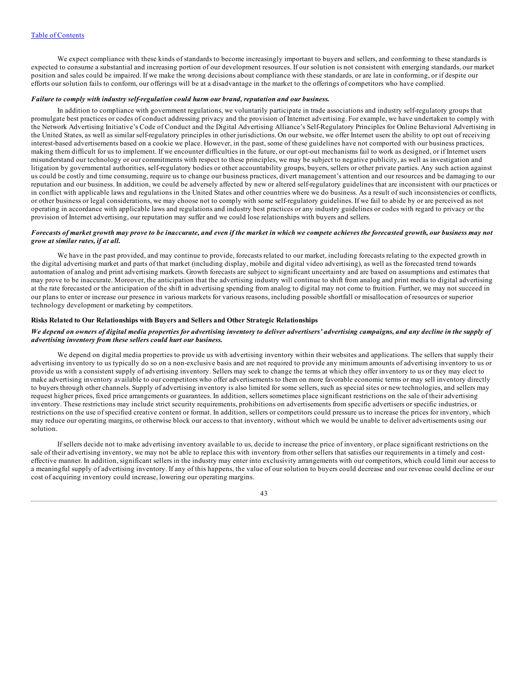We expect compliance with these kinds of standards to become increasingly important to buyers and sellers, and conforming to these standards is expected to consume a substantial and increasing portion of our development resources. If our solution is not consistent with emerging standards, our market position and sales could be impaired. If we make the wrong decisions about compliance with these standards, or are late in conforming, or if despite our efforts our solution fails to conform, our offerings will be at a disadvantage in the market to the offerings of competitors who have complied.

# *Failure to comply with industry self-regulation could harm our brand, reputation and our business.*

In addition to compliance with government regulations, we voluntarily participate in trade associations and industry self-regulatory groups that promulgate best practices or codes of conduct addressing privacy and the provision of Internet advertising. For example, we have undertaken to comply with the Network Advertising Initiative's Code of Conduct and the Digital Advertising Alliance's Self-Regulatory Principles for Online Behavioral Advertising in the United States, as well as similar self-regulatory principles in other jurisdictions. On our website, we offer Internet users the ability to opt out of receiving interest-based advertisements based on a cookie we place. However, in the past, some of these guidelines have not comported with our business practices, making them difficult for us to implement. If we encounter difficulties in the future, or our opt-out mechanisms fail to work as designed, or if Internet users misunderstand our technology or our commitments with respect to these principles, we may be subject to negative publicity, as well as investigation and litigation by governmental authorities, self-regulatory bodies or other accountability groups, buyers, sellers or other private parties. Any such action against us could be costly and time consuming, require us to change our business practices, divert management's attention and our resources and be damaging to our reputation and our business. In addition, we could be adversely affected by new or altered self-regulatory guidelines that are inconsistent with our practices or in conflict with applicable laws and regulations in the United States and other countries where we do business. As a result of such inconsistencies or conflicts, or other business or legal considerations, we may choose not to comply with some self-regulatory guidelines. If we fail to abide by or are perceived as not operating in accordance with applicable laws and regulations and industry best practices or any industry guidelines or codes with regard to privacy or the provision of Internet advertising, our reputation may suffer and we could lose relationships with buyers and sellers.

# Forecasts of market growth may prove to be inaccurate, and even if the market in which we compete achieves the forecasted growth, our business may not *grow at similar rates, if at all.*

We have in the past provided, and may continue to provide, forecasts related to our market, including forecasts relating to the expected growth in the digital advertising market and parts of that market (including display, mobile and digital video advertising), as well as the forecasted trend towards automation of analog and print advertising markets. Growth forecasts are subject to significant uncertainty and are based on assumptions and estimates that may prove to be inaccurate. Moreover, the anticipation that the advertising industry will continue to shift from analog and print media to digital advertising at the rate forecasted or the anticipation of the shift in advertising spending from analog to digital may not come to fruition. Further, we may not succeed in our plans to enter or increase our presence in various markets for various reasons, including possible shortfall or misallocation of resources or superior technology development or marketing by competitors.

#### **Risks Related to Our Relationships with Buyers and Sellers and Other Strategic Relationships**

## We depend on owners of digital media properties for advertising inventory to deliver advertisers' advertising campaigns, and any decline in the supply of *advertising inventory from these sellers could hurt our business.*

We depend on digital media properties to provide us with advertising inventory within their websites and applications. The sellers that supply their advertising inventory to us typically do so on a non-exclusive basis and are not required to provide any minimum amounts of advertising inventory to us or provide us with a consistent supply of advertising inventory. Sellers may seek to change the terms at which they offer inventory to us or they may elect to make advertising inventory available to our competitors who offer advertisements to them on more favorable economic terms or may sell inventory directly to buyers through other channels. Supply of advertising inventory is also limited for some sellers, such as special sites or new technologies, and sellers may request higher prices, fixed price arrangements or guarantees. In addition, sellers sometimes place significant restrictions on the sale of their advertising inventory. These restrictions may include strict security requirements, prohibitions on advertisements from specific advertisers or specific industries, or restrictions on the use of specified creative content or format. In addition, sellers or competitors could pressure us to increase the prices for inventory, which may reduce our operating margins, or otherwise block our access to that inventory, without which we would be unable to deliver advertisements using our solution.

If sellers decide not to make advertising inventory available to us, decide to increase the price of inventory, or place significant restrictions on the sale of their advertising inventory, we may not be able to replace this with inventory from other sellers that satisfies our requirements in a timely and costeffective manner. In addition, significant sellers in the industry may enter into exclusivity arrangements with our competitors, which could limit our access to a meaningful supply of advertising inventory. If any of this happens, the value of our solution to buyers could decrease and our revenue could decline or our cost of acquiring inventory could increase, lowering our operating margins.

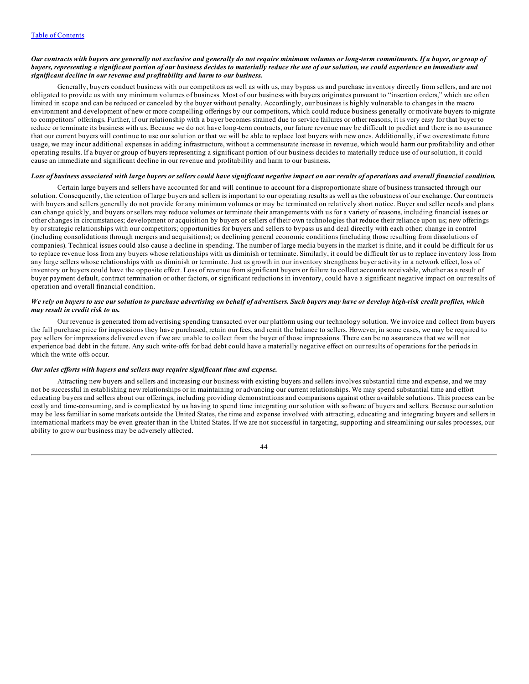#### Our contracts with buyers are generally not exclusive and generally do not require minimum volumes or long-term commitments. If a buyer, or group of buyers, representing a significant portion of our business decides to materially reduce the use of our solution, we could experience an immediate and *significant decline in our revenue and profitability and harm to our business.*

Generally, buyers conduct business with our competitors as well as with us, may bypass us and purchase inventory directly from sellers, and are not obligated to provide us with any minimum volumes of business. Most of our business with buyers originates pursuant to "insertion orders," which are often limited in scope and can be reduced or canceled by the buyer without penalty. Accordingly, our business is highly vulnerable to changes in the macro environment and development of new or more compelling offerings by our competitors, which could reduce business generally or motivate buyers to migrate to competitors' offerings. Further, if our relationship with a buyer becomes strained due to service failures or other reasons, it is very easy for that buyer to reduce or terminate its business with us. Because we do not have long-term contracts, our future revenue may be difficult to predict and there is no assurance that our current buyers will continue to use our solution or that we will be able to replace lost buyers with new ones. Additionally, if we overestimate future usage, we may incur additional expenses in adding infrastructure, without a commensurate increase in revenue, which would harm our profitability and other operating results. If a buyer or group of buyers representing a significant portion of our business decides to materially reduce use of our solution, it could cause an immediate and significant decline in our revenue and profitability and harm to our business.

#### Loss of business associated with large buyers or sellers could have significant negative impact on our results of operations and overall financial condition.

Certain large buyers and sellers have accounted for and will continue to account for a disproportionate share of business transacted through our solution. Consequently, the retention of large buyers and sellers is important to our operating results as well as the robustness of our exchange. Our contracts with buyers and sellers generally do not provide for any minimum volumes or may be terminated on relatively short notice. Buyer and seller needs and plans can change quickly, and buyers or sellers may reduce volumes or terminate their arrangements with us for a variety of reasons, including financial issues or other changes in circumstances; development or acquisition by buyers or sellers of their own technologies that reduce their reliance upon us; new offerings by or strategic relationships with our competitors; opportunities for buyers and sellers to bypass us and deal directly with each other; change in control (including consolidations through mergers and acquisitions); or declining general economic conditions (including those resulting from dissolutions of companies). Technical issues could also cause a decline in spending. The number of large media buyers in the market is finite, and it could be difficult for us to replace revenue loss from any buyers whose relationships with us diminish or terminate. Similarly, it could be difficult for us to replace inventory loss from any large sellers whose relationships with us diminish or terminate. Just as growth in our inventory strengthens buyer activity in a network effect, loss of inventory or buyers could have the opposite effect. Loss of revenue from significant buyers or failure to collect accounts receivable, whether as a result of buyer payment default, contract termination or other factors, or significant reductions in inventory, could have a significant negative impact on our results of operation and overall financial condition.

## We rely on buyers to use our solution to purchase advertising on behalf of advertisers. Such buyers may have or develop high-risk credit profiles, which *may result in credit risk to us.*

Our revenue is generated from advertising spending transacted over our platform using our technology solution. We invoice and collect from buyers the full purchase price for impressions they have purchased, retain our fees, and remit the balance to sellers. However, in some cases, we may be required to pay sellers for impressions delivered even if we are unable to collect from the buyer of those impressions. There can be no assurances that we will not experience bad debt in the future. Any such write-offs for bad debt could have a materially negative effect on our results of operations for the periods in which the write-offs occur.

# *Our sales ef orts with buyers and sellers may require significant time and expense.*

Attracting new buyers and sellers and increasing our business with existing buyers and sellers involves substantial time and expense, and we may not be successful in establishing new relationships or in maintaining or advancing our current relationships. We may spend substantial time and effort educating buyers and sellers about our offerings, including providing demonstrations and comparisons against other available solutions. This process can be costly and time-consuming, and is complicated by us having to spend time integrating our solution with software of buyers and sellers. Because our solution may be less familiar in some markets outside the United States, the time and expense involved with attracting, educating and integrating buyers and sellers in international markets may be even greater than in the United States. If we are not successful in targeting, supporting and streamlining our sales processes, our ability to grow our business may be adversely affected.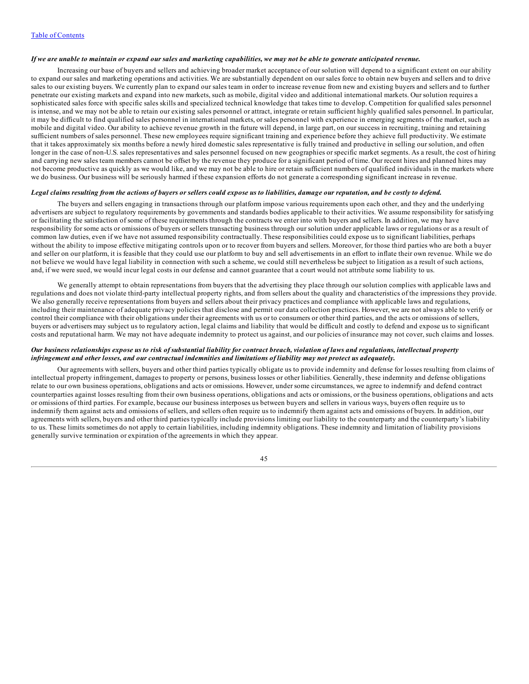## If we are unable to maintain or expand our sales and marketing capabilities, we may not be able to generate anticipated revenue.

Increasing our base of buyers and sellers and achieving broader market acceptance of our solution will depend to a significant extent on our ability to expand our sales and marketing operations and activities. We are substantially dependent on our sales force to obtain new buyers and sellers and to drive sales to our existing buyers. We currently plan to expand our sales team in order to increase revenue from new and existing buyers and sellers and to further penetrate our existing markets and expand into new markets, such as mobile, digital video and additional international markets. Our solution requires a sophisticated sales force with specific sales skills and specialized technical knowledge that takes time to develop. Competition for qualified sales personnel is intense, and we may not be able to retain our existing sales personnel or attract, integrate or retain sufficient highly qualified sales personnel. In particular, it may be difficult to find qualified sales personnel in international markets, or sales personnel with experience in emerging segments of the market, such as mobile and digital video. Our ability to achieve revenue growth in the future will depend, in large part, on our success in recruiting, training and retaining sufficient numbers of sales personnel. These new employees require significant training and experience before they achieve full productivity. We estimate that it takes approximately six months before a newly hired domestic sales representative is fully trained and productive in selling our solution, and often longer in the case of non-U.S. sales representatives and sales personnel focused on new geographies or specific market segments. As a result, the cost of hiring and carrying new sales team members cannot be offset by the revenue they produce for a significant period of time. Our recent hires and planned hires may not become productive as quickly as we would like, and we may not be able to hire or retain sufficient numbers of qualified individuals in the markets where we do business. Our business will be seriously harmed if these expansion efforts do not generate a corresponding significant increase in revenue.

#### Legal claims resulting from the actions of buyers or sellers could expose us to liabilities, damage our reputation, and be costly to defend.

The buyers and sellers engaging in transactions through our platform impose various requirements upon each other, and they and the underlying advertisers are subject to regulatory requirements by governments and standards bodies applicable to their activities. We assume responsibility for satisfying or facilitating the satisfaction of some of these requirements through the contracts we enter into with buyers and sellers. In addition, we may have responsibility for some acts or omissions of buyers or sellers transacting business through our solution under applicable laws or regulations or as a result of common law duties, even if we have not assumed responsibility contractually. These responsibilities could expose us to significant liabilities, perhaps without the ability to impose effective mitigating controls upon or to recover from buyers and sellers. Moreover, for those third parties who are both a buyer and seller on our platform, it is feasible that they could use our platform to buy and sell advertisements in an effort to inflate their own revenue. While we do not believe we would have legal liability in connection with such a scheme, we could still nevertheless be subject to litigation as a result of such actions, and, if we were sued, we would incur legal costs in our defense and cannot guarantee that a court would not attribute some liability to us.

We generally attempt to obtain representations from buyers that the advertising they place through our solution complies with applicable laws and regulations and does not violate third-party intellectual property rights, and from sellers about the quality and characteristics of the impressions they provide. We also generally receive representations from buyers and sellers about their privacy practices and compliance with applicable laws and regulations, including their maintenance of adequate privacy policies that disclose and permit our data collection practices. However, we are not always able to verify or control their compliance with their obligations under their agreements with us or to consumers or other third parties, and the acts or omissions of sellers, buyers or advertisers may subject us to regulatory action, legal claims and liability that would be difficult and costly to defend and expose us to significant costs and reputational harm. We may not have adequate indemnity to protect us against, and our policies of insurance may not cover, such claims and losses.

### Our business relationships expose us to risk of substantial liability for contract breach, violation of laws and regulations, intellectual property infringement and other losses, and our contractual indemnities and limitations of liability may not protect us adequately.

Our agreements with sellers, buyers and other third parties typically obligate us to provide indemnity and defense for losses resulting from claims of intellectual property infringement, damages to property or persons, business losses or other liabilities. Generally, these indemnity and defense obligations relate to our own business operations, obligations and acts or omissions. However, under some circumstances, we agree to indemnify and defend contract counterparties against losses resulting from their own business operations, obligations and acts or omissions, or the business operations, obligations and acts or omissions of third parties. For example, because our business interposes us between buyers and sellers in various ways, buyers often require us to indemnify them against acts and omissions of sellers, and sellers often require us to indemnify them against acts and omissions of buyers. In addition, our agreements with sellers, buyers and other third parties typically include provisions limiting our liability to the counterparty and the counterparty's liability to us. These limits sometimes do not apply to certain liabilities, including indemnity obligations. These indemnity and limitation of liability provisions generally survive termination or expiration of the agreements in which they appear.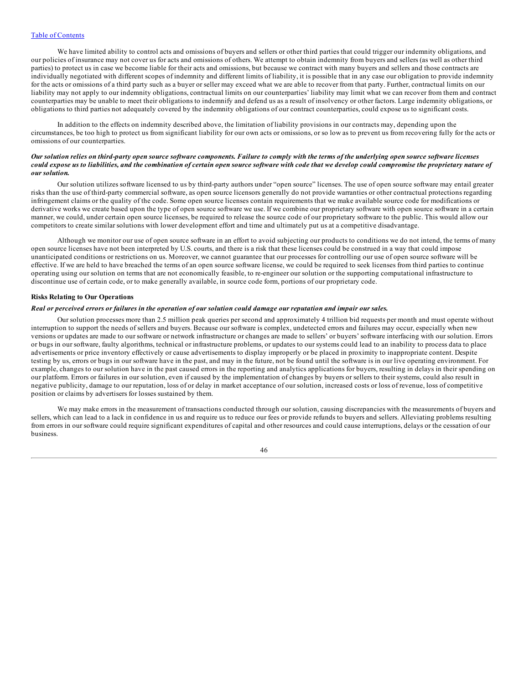We have limited ability to control acts and omissions of buyers and sellers or other third parties that could trigger our indemnity obligations, and our policies of insurance may not cover us for acts and omissions of others. We attempt to obtain indemnity from buyers and sellers (as well as other third parties) to protect us in case we become liable for their acts and omissions, but because we contract with many buyers and sellers and those contracts are individually negotiated with different scopes of indemnity and different limits of liability, it is possible that in any case our obligation to provide indemnity for the acts or omissions of a third party such as a buyer or seller may exceed what we are able to recover from that party. Further, contractual limits on our liability may not apply to our indemnity obligations, contractual limits on our counterparties' liability may limit what we can recover from them and contract counterparties may be unable to meet their obligations to indemnify and defend us as a result of insolvency or other factors. Large indemnity obligations, or obligations to third parties not adequately covered by the indemnity obligations of our contract counterparties, could expose us to significant costs.

In addition to the effects on indemnity described above, the limitation of liability provisions in our contracts may, depending upon the circumstances, be too high to protect us from significant liability for our own acts or omissions, or so low as to prevent us from recovering fully for the acts or omissions of our counterparties.

## Our solution relies on third-party open source software components. Failure to comply with the terms of the underlying open source software licenses could expose us to liabilities, and the combination of certain open source software with code that we develop could compromise the proprietary nature of *our solution.*

Our solution utilizes software licensed to us by third-party authors under "open source" licenses. The use of open source software may entail greater risks than the use of third-party commercial software, as open source licensors generally do not provide warranties or other contractual protections regarding infringement claims or the quality of the code. Some open source licenses contain requirements that we make available source code for modifications or derivative works we create based upon the type of open source software we use. If we combine our proprietary software with open source software in a certain manner, we could, under certain open source licenses, be required to release the source code of our proprietary software to the public. This would allow our competitors to create similar solutions with lower development effort and time and ultimately put us at a competitive disadvantage.

Although we monitor our use of open source software in an effort to avoid subjecting our products to conditions we do not intend, the terms of many open source licenses have not been interpreted by U.S. courts, and there is a risk that these licenses could be construed in a way that could impose unanticipated conditions or restrictions on us. Moreover, we cannot guarantee that our processes for controlling our use of open source software will be effective. If we are held to have breached the terms of an open source software license, we could be required to seek licenses from third parties to continue operating using our solution on terms that are not economically feasible, to re-engineer our solution or the supporting computational infrastructure to discontinue use of certain code, or to make generally available, in source code form, portions of our proprietary code.

#### **Risks Relating to Our Operations**

## Real or perceived errors or failures in the operation of our solution could damage our reputation and impair our sales.

Our solution processes more than 2.5 million peak queries per second and approximately 4 trillion bid requests per month and must operate without interruption to support the needs of sellers and buyers. Because our software is complex, undetected errors and failures may occur, especially when new versions or updates are made to our software or network infrastructure or changes are made to sellers' or buyers' software interfacing with our solution. Errors or bugs in our software, faulty algorithms, technical or infrastructure problems, or updates to our systems could lead to an inability to process data to place advertisements or price inventory effectively or cause advertisements to display improperly or be placed in proximity to inappropriate content. Despite testing by us, errors or bugs in our software have in the past, and may in the future, not be found until the software is in our live operating environment. For example, changes to our solution have in the past caused errors in the reporting and analytics applications for buyers, resulting in delays in their spending on our platform. Errors or failures in our solution, even if caused by the implementation of changes by buyers or sellers to their systems, could also result in negative publicity, damage to our reputation, loss of or delay in market acceptance of our solution, increased costs or loss of revenue, loss of competitive position or claims by advertisers for losses sustained by them.

We may make errors in the measurement of transactions conducted through our solution, causing discrepancies with the measurements of buyers and sellers, which can lead to a lack in confidence in us and require us to reduce our fees or provide refunds to buyers and sellers. Alleviating problems resulting from errors in our software could require significant expenditures of capital and other resources and could cause interruptions, delays or the cessation of our business.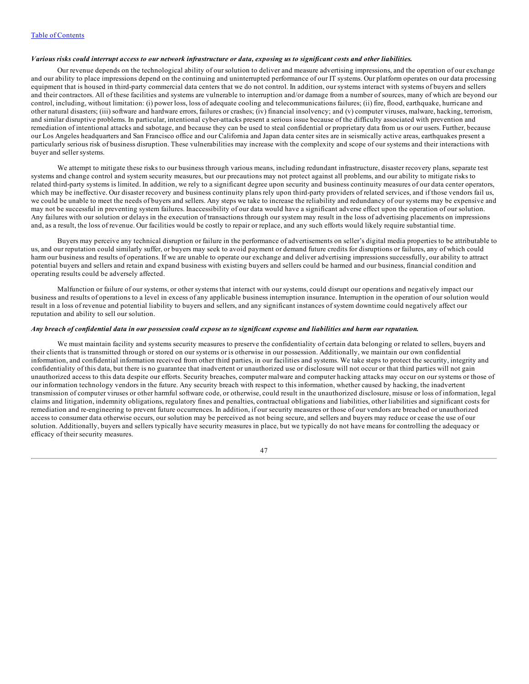## Various risks could interrupt access to our network infrastructure or data, exposing us to significant costs and other liabilities.

Our revenue depends on the technological ability of our solution to deliver and measure advertising impressions, and the operation of our exchange and our ability to place impressions depend on the continuing and uninterrupted performance of our IT systems. Our platform operates on our data processing equipment that is housed in third-party commercial data centers that we do not control. In addition, our systems interact with systems of buyers and sellers and their contractors. All of these facilities and systems are vulnerable to interruption and/or damage from a number of sources, many of which are beyond our control, including, without limitation: (i) power loss, loss of adequate cooling and telecommunications failures; (ii) fire, flood, earthquake, hurricane and other natural disasters; (iii) software and hardware errors, failures or crashes; (iv) financial insolvency; and (v) computer viruses, malware, hacking, terrorism, and similar disruptive problems. In particular, intentional cyber-attacks present a serious issue because of the difficulty associated with prevention and remediation of intentional attacks and sabotage, and because they can be used to steal confidential or proprietary data from us or our users. Further, because our Los Angeles headquarters and San Francisco office and our California and Japan data center sites are in seismically active areas, earthquakes present a particularly serious risk of business disruption. These vulnerabilities may increase with the complexity and scope of our systems and their interactions with buyer and seller systems.

We attempt to mitigate these risks to our business through various means, including redundant infrastructure, disaster recovery plans, separate test systems and change control and system security measures, but our precautions may not protect against all problems, and our ability to mitigate risks to related third-party systems is limited. In addition, we rely to a significant degree upon security and business continuity measures of our data center operators, which may be ineffective. Our disaster recovery and business continuity plans rely upon third-party providers of related services, and if those vendors fail us, we could be unable to meet the needs of buyers and sellers. Any steps we take to increase the reliability and redundancy of our systems may be expensive and may not be successful in preventing system failures. Inaccessibility of our data would have a significant adverse effect upon the operation of our solution. Any failures with our solution or delays in the execution of transactions through our system may result in the loss of advertising placements on impressions and, as a result, the loss of revenue. Our facilities would be costly to repair or replace, and any such efforts would likely require substantial time.

Buyers may perceive any technical disruption or failure in the performance of advertisements on seller's digital media properties to be attributable to us, and our reputation could similarly suffer, or buyers may seek to avoid payment or demand future credits for disruptions or failures, any of which could harm our business and results of operations. If we are unable to operate our exchange and deliver advertising impressions successfully, our ability to attract potential buyers and sellers and retain and expand business with existing buyers and sellers could be harmed and our business, financial condition and operating results could be adversely affected.

Malfunction or failure of our systems, or other systems that interact with our systems, could disrupt our operations and negatively impact our business and results of operations to a level in excess of any applicable business interruption insurance. Interruption in the operation of our solution would result in a loss of revenue and potential liability to buyers and sellers, and any significant instances of system downtime could negatively affect our reputation and ability to sell our solution.

#### Any breach of confidential data in our possession could expose us to significant expense and liabilities and harm our reputation.

We must maintain facility and systems security measures to preserve the confidentiality of certain data belonging or related to sellers, buyers and their clients that is transmitted through or stored on our systems or is otherwise in our possession. Additionally, we maintain our own confidential information, and confidential information received from other third parties, in our facilities and systems. We take steps to protect the security, integrity and confidentiality of this data, but there is no guarantee that inadvertent or unauthorized use or disclosure will not occur or that third parties will not gain unauthorized access to this data despite our efforts. Security breaches, computer malware and computer hacking attacks may occur on our systems or those of our information technology vendors in the future. Any security breach with respect to this information, whether caused by hacking, the inadvertent transmission of computer viruses or other harmful software code, or otherwise, could result in the unauthorized disclosure, misuse or loss of information, legal claims and litigation, indemnity obligations, regulatory fines and penalties, contractual obligations and liabilities, other liabilities and significant costs for remediation and re-engineering to prevent future occurrences. In addition, if our security measures or those of our vendors are breached or unauthorized access to consumer data otherwise occurs, our solution may be perceived as not being secure, and sellers and buyers may reduce or cease the use of our solution. Additionally, buyers and sellers typically have security measures in place, but we typically do not have means for controlling the adequacy or efficacy of their security measures.

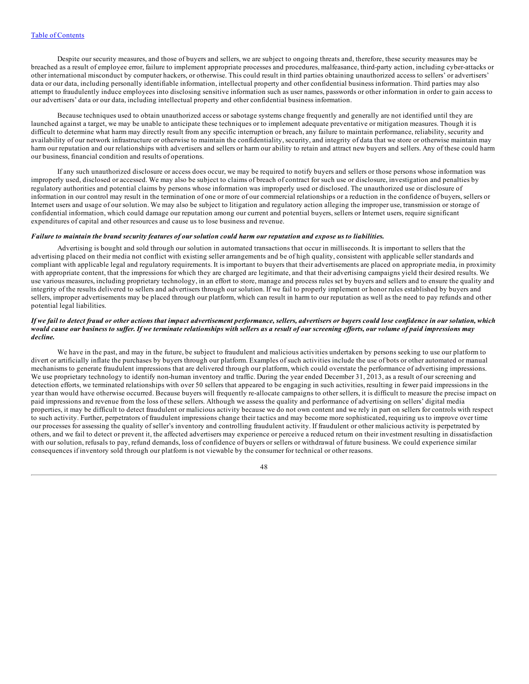Despite our security measures, and those of buyers and sellers, we are subject to ongoing threats and, therefore, these security measures may be breached as a result of employee error, failure to implement appropriate processes and procedures, malfeasance, third-party action, including cyber-attacks or other international misconduct by computer hackers, or otherwise. This could result in third parties obtaining unauthorized access to sellers' or advertisers' data or our data, including personally identifiable information, intellectual property and other confidential business information. Third parties may also attempt to fraudulently induce employees into disclosing sensitive information such as user names, passwords or other information in order to gain access to our advertisers' data or our data, including intellectual property and other confidential business information.

Because techniques used to obtain unauthorized access or sabotage systems change frequently and generally are not identified until they are launched against a target, we may be unable to anticipate these techniques or to implement adequate preventative or mitigation measures. Though it is difficult to determine what harm may directly result from any specific interruption or breach, any failure to maintain performance, reliability, security and availability of our network infrastructure or otherwise to maintain the confidentiality, security, and integrity of data that we store or otherwise maintain may harm our reputation and our relationships with advertisers and sellers or harm our ability to retain and attract new buyers and sellers. Any of these could harm our business, financial condition and results of operations.

If any such unauthorized disclosure or access does occur, we may be required to notify buyers and sellers or those persons whose information was improperly used, disclosed or accessed. We may also be subject to claims of breach of contract for such use or disclosure, investigation and penalties by regulatory authorities and potential claims by persons whose information was improperly used or disclosed. The unauthorized use or disclosure of information in our control may result in the termination of one or more of our commercial relationships or a reduction in the confidence of buyers, sellers or Internet users and usage of our solution. We may also be subject to litigation and regulatory action alleging the improper use, transmission or storage of confidential information, which could damage our reputation among our current and potential buyers, sellers or Internet users, require significant expenditures of capital and other resources and cause us to lose business and revenue.

#### Failure to maintain the brand security features of our solution could harm our reputation and expose us to liabilities.

Advertising is bought and sold through our solution in automated transactions that occur in milliseconds. It is important to sellers that the advertising placed on their media not conflict with existing seller arrangements and be of high quality, consistent with applicable seller standards and compliant with applicable legal and regulatory requirements. It is important to buyers that their advertisements are placed on appropriate media, in proximity with appropriate content, that the impressions for which they are charged are legitimate, and that their advertising campaigns yield their desired results. We use various measures, including proprietary technology, in an effort to store, manage and process rules set by buyers and sellers and to ensure the quality and integrity of the results delivered to sellers and advertisers through our solution. If we fail to properly implement or honor rules established by buyers and sellers, improper advertisements may be placed through our platform, which can result in harm to our reputation as well as the need to pay refunds and other potential legal liabilities.

#### If we fail to detect fraud or other actions that impact advertisement performance, sellers, advertisers or buyers could lose confidence in our solution, which would cause our business to suffer. If we terminate relationships with sellers as a result of our screening efforts, our volume of paid impressions may *decline.*

We have in the past, and may in the future, be subject to fraudulent and malicious activities undertaken by persons seeking to use our platform to divert or artificially inflate the purchases by buyers through our platform. Examples of such activities include the use of bots or other automated or manual mechanisms to generate fraudulent impressions that are delivered through our platform, which could overstate the performance of advertising impressions. We use proprietary technology to identify non-human inventory and traffic. During the year ended December 31, 2013, as a result of our screening and detection efforts, we terminated relationships with over 50 sellers that appeared to be engaging in such activities, resulting in fewer paid impressions in the year than would have otherwise occurred. Because buyers will frequently re-allocate campaigns to other sellers, it is difficult to measure the precise impact on paid impressions and revenue from the loss of these sellers. Although we assess the quality and performance of advertising on sellers' digital media properties, it may be difficult to detect fraudulent or malicious activity because we do not own content and we rely in part on sellers for controls with respect to such activity. Further, perpetrators of fraudulent impressions change their tactics and may become more sophisticated, requiring us to improve over time our processes for assessing the quality of seller's inventory and controlling fraudulent activity. If fraudulent or other malicious activity is perpetrated by others, and we fail to detect or prevent it, the affected advertisers may experience or perceive a reduced return on their investment resulting in dissatisfaction with our solution, refusals to pay, refund demands, loss of confidence of buyers or sellers or withdrawal of future business. We could experience similar consequences if inventory sold through our platform is not viewable by the consumer for technical or other reasons.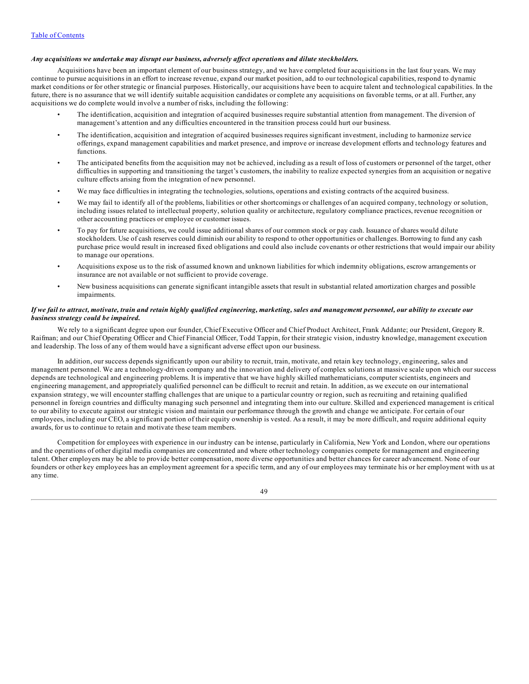## *Any acquisitions we undertake may disrupt our business, adversely af ect operations and dilute stockholders.*

Acquisitions have been an important element of our business strategy, and we have completed four acquisitions in the last four years. We may continue to pursue acquisitions in an effort to increase revenue, expand our market position, add to our technological capabilities, respond to dynamic market conditions or for other strategic or financial purposes. Historically, our acquisitions have been to acquire talent and technological capabilities. In the future, there is no assurance that we will identify suitable acquisition candidates or complete any acquisitions on favorable terms, or at all. Further, any acquisitions we do complete would involve a number of risks, including the following:

- The identification, acquisition and integration of acquired businesses require substantial attention from management. The diversion of management's attention and any difficulties encountered in the transition process could hurt our business.
- The identification, acquisition and integration of acquired businesses requires significant investment, including to harmonize service offerings, expand management capabilities and market presence, and improve or increase development efforts and technology features and functions.
- The anticipated benefits from the acquisition may not be achieved, including as a result of loss of customers or personnel of the target, other difficulties in supporting and transitioning the target's customers, the inability to realize expected synergies from an acquisition or negative culture effects arising from the integration of new personnel.
- We may face difficulties in integrating the technologies, solutions, operations and existing contracts of the acquired business.
- We may fail to identify all of the problems, liabilities or other shortcomings or challenges of an acquired company, technology or solution, including issues related to intellectual property, solution quality or architecture, regulatory compliance practices, revenue recognition or other accounting practices or employee or customer issues.
- To pay for future acquisitions, we could issue additional shares of our common stock or pay cash. Issuance of shares would dilute stockholders. Use of cash reserves could diminish our ability to respond to other opportunities or challenges. Borrowing to fund any cash purchase price would result in increased fixed obligations and could also include covenants or other restrictions that would impair our ability to manage our operations.
- Acquisitions expose us to the risk of assumed known and unknown liabilities for which indemnity obligations, escrow arrangements or insurance are not available or not sufficient to provide coverage.
- New business acquisitions can generate significant intangible assets that result in substantial related amortization charges and possible impairments.

## If we fail to attract, motivate, train and retain highly qualified engineering, marketing, sales and management personnel, our ability to execute our *business strategy could be impaired.*

We rely to a significant degree upon our founder, Chief Executive Officer and Chief Product Architect, Frank Addante; our President, Gregory R. Raifman; and our Chief Operating Officer and Chief Financial Officer, Todd Tappin, for their strategic vision, industry knowledge, management execution and leadership. The loss of any of them would have a significant adverse effect upon our business.

In addition, our success depends significantly upon our ability to recruit, train, motivate, and retain key technology, engineering, sales and management personnel. We are a technology-driven company and the innovation and delivery of complex solutions at massive scale upon which our success depends are technological and engineering problems. It is imperative that we have highly skilled mathematicians, computer scientists, engineers and engineering management, and appropriately qualified personnel can be difficult to recruit and retain. In addition, as we execute on our international expansion strategy, we will encounter staffing challenges that are unique to a particular country or region, such as recruiting and retaining qualified personnel in foreign countries and difficulty managing such personnel and integrating them into our culture. Skilled and experienced management is critical to our ability to execute against our strategic vision and maintain our performance through the growth and change we anticipate. For certain of our employees, including our CEO, a significant portion of their equity ownership is vested. As a result, it may be more difficult, and require additional equity awards, for us to continue to retain and motivate these team members.

Competition for employees with experience in our industry can be intense, particularly in California, New York and London, where our operations and the operations of other digital media companies are concentrated and where other technology companies compete for management and engineering talent. Other employers may be able to provide better compensation, more diverse opportunities and better chances for career advancement. None of our founders or other key employees has an employment agreement for a specific term, and any of our employees may terminate his or her employment with us at any time.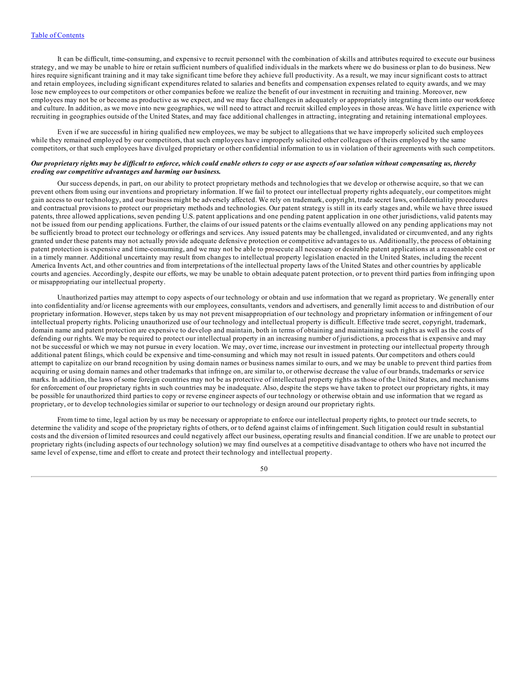It can be difficult, time-consuming, and expensive to recruit personnel with the combination of skills and attributes required to execute our business strategy, and we may be unable to hire or retain sufficient numbers of qualified individuals in the markets where we do business or plan to do business. New hires require significant training and it may take significant time before they achieve full productivity. As a result, we may incur significant costs to attract and retain employees, including significant expenditures related to salaries and benefits and compensation expenses related to equity awards, and we may lose new employees to our competitors or other companies before we realize the benefit of our investment in recruiting and training. Moreover, new employees may not be or become as productive as we expect, and we may face challenges in adequately or appropriately integrating them into our workforce and culture. In addition, as we move into new geographies, we will need to attract and recruit skilled employees in those areas. We have little experience with recruiting in geographies outside of the United States, and may face additional challenges in attracting, integrating and retaining international employees.

Even if we are successful in hiring qualified new employees, we may be subject to allegations that we have improperly solicited such employees while they remained employed by our competitors, that such employees have improperly solicited other colleagues of theirs employed by the same competitors, or that such employees have divulged proprietary or other confidential information to us in violation of their agreements with such competitors.

### Our proprietary rights may be difficult to enforce, which could enable others to copy or use aspects of our solution without compensating us, thereby *eroding our competitive advantages and harming our business.*

Our success depends, in part, on our ability to protect proprietary methods and technologies that we develop or otherwise acquire, so that we can prevent others from using our inventions and proprietary information. If we fail to protect our intellectual property rights adequately, our competitors might gain access to our technology, and our business might be adversely affected. We rely on trademark, copyright, trade secret laws, confidentiality procedures and contractual provisions to protect our proprietary methods and technologies. Our patent strategy is still in its early stages and, while we have three issued patents, three allowed applications, seven pending U.S. patent applications and one pending patent application in one other jurisdictions, valid patents may not be issued from our pending applications. Further, the claims of our issued patents or the claims eventually allowed on any pending applications may not be sufficiently broad to protect our technology or offerings and services. Any issued patents may be challenged, invalidated or circumvented, and any rights granted under these patents may not actually provide adequate defensive protection or competitive advantages to us. Additionally, the process of obtaining patent protection is expensive and time-consuming, and we may not be able to prosecute all necessary or desirable patent applications at a reasonable cost or in a timely manner. Additional uncertainty may result from changes to intellectual property legislation enacted in the United States, including the recent America Invents Act, and other countries and from interpretations of the intellectual property laws of the United States and other countries by applicable courts and agencies. Accordingly, despite our efforts, we may be unable to obtain adequate patent protection, or to prevent third parties from infringing upon or misappropriating our intellectual property.

Unauthorized parties may attempt to copy aspects of our technology or obtain and use information that we regard as proprietary. We generally enter into confidentiality and/or license agreements with our employees, consultants, vendors and advertisers, and generally limit access to and distribution of our proprietary information. However, steps taken by us may not prevent misappropriation of our technology and proprietary information or infringement of our intellectual property rights. Policing unauthorized use of our technology and intellectual property is difficult. Effective trade secret, copyright, trademark, domain name and patent protection are expensive to develop and maintain, both in terms of obtaining and maintaining such rights as well as the costs of defending our rights. We may be required to protect our intellectual property in an increasing number of jurisdictions, a process that is expensive and may not be successful or which we may not pursue in every location. We may, over time, increase our investment in protecting our intellectual property through additional patent filings, which could be expensive and time-consuming and which may not result in issued patents. Our competitors and others could attempt to capitalize on our brand recognition by using domain names or business names similar to ours, and we may be unable to prevent third parties from acquiring or using domain names and other trademarks that infringe on, are similar to, or otherwise decrease the value of our brands, trademarks or service marks. In addition, the laws of some foreign countries may not be as protective of intellectual property rights as those of the United States, and mechanisms for enforcement of our proprietary rights in such countries may be inadequate. Also, despite the steps we have taken to protect our proprietary rights, it may be possible for unauthorized third parties to copy or reverse engineer aspects of our technology or otherwise obtain and use information that we regard as proprietary, or to develop technologies similar or superior to our technology or design around our proprietary rights.

From time to time, legal action by us may be necessary or appropriate to enforce our intellectual property rights, to protect our trade secrets, to determine the validity and scope of the proprietary rights of others, or to defend against claims of infringement. Such litigation could result in substantial costs and the diversion of limited resources and could negatively affect our business, operating results and financial condition. If we are unable to protect our proprietary rights (including aspects of our technology solution) we may find ourselves at a competitive disadvantage to others who have not incurred the same level of expense, time and effort to create and protect their technology and intellectual property.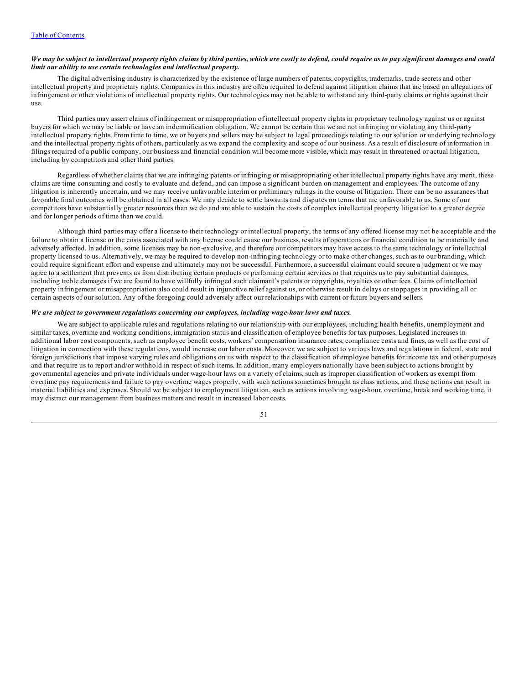## We may be subject to intellectual property rights claims by third parties, which are costly to defend, could require us to pay significant damages and could *limit our ability to use certain technologies and intellectual property.*

The digital advertising industry is characterized by the existence of large numbers of patents, copyrights, trademarks, trade secrets and other intellectual property and proprietary rights. Companies in this industry are often required to defend against litigation claims that are based on allegations of infringement or other violations of intellectual property rights. Our technologies may not be able to withstand any third-party claims or rights against their use.

Third parties may assert claims of infringement or misappropriation of intellectual property rights in proprietary technology against us or against buyers for which we may be liable or have an indemnification obligation. We cannot be certain that we are not infringing or violating any third-party intellectual property rights. From time to time, we or buyers and sellers may be subject to legal proceedings relating to our solution or underlying technology and the intellectual property rights of others, particularly as we expand the complexity and scope of our business. As a result of disclosure of information in filings required of a public company, our business and financial condition will become more visible, which may result in threatened or actual litigation, including by competitors and other third parties.

Regardless of whether claims that we are infringing patents or infringing or misappropriating other intellectual property rights have any merit, these claims are time-consuming and costly to evaluate and defend, and can impose a significant burden on management and employees. The outcome of any litigation is inherently uncertain, and we may receive unfavorable interim or preliminary rulings in the course of litigation. There can be no assurances that favorable final outcomes will be obtained in all cases. We may decide to settle lawsuits and disputes on terms that are unfavorable to us. Some of our competitors have substantially greater resources than we do and are able to sustain the costs of complex intellectual property litigation to a greater degree and for longer periods of time than we could.

Although third parties may offer a license to their technology or intellectual property, the terms of any offered license may not be acceptable and the failure to obtain a license or the costs associated with any license could cause our business, results of operations or financial condition to be materially and adversely affected. In addition, some licenses may be non-exclusive, and therefore our competitors may have access to the same technology or intellectual property licensed to us. Alternatively, we may be required to develop non-infringing technology or to make other changes, such as to our branding, which could require significant effort and expense and ultimately may not be successful. Furthermore, a successful claimant could secure a judgment or we may agree to a settlement that prevents us from distributing certain products or performing certain services or that requires us to pay substantial damages, including treble damages if we are found to have willfully infringed such claimant's patents or copyrights, royalties or other fees. Claims of intellectual property infringement or misappropriation also could result in injunctive relief against us, or otherwise result in delays or stoppages in providing all or certain aspects of our solution. Any of the foregoing could adversely affect our relationships with current or future buyers and sellers.

### *We are subject to government regulations concerning our employees, including wage-hour laws and taxes.*

We are subject to applicable rules and regulations relating to our relationship with our employees, including health benefits, unemployment and similar taxes, overtime and working conditions, immigration status and classification of employee benefits for tax purposes. Legislated increases in additional labor cost components, such as employee benefit costs, workers' compensation insurance rates, compliance costs and fines, as well as the cost of litigation in connection with these regulations, would increase our labor costs. Moreover, we are subject to various laws and regulations in federal, state and foreign jurisdictions that impose varying rules and obligations on us with respect to the classification of employee benefits for income tax and other purposes and that require us to report and/or withhold in respect of such items. In addition, many employers nationally have been subject to actions brought by governmental agencies and private individuals under wage-hour laws on a variety of claims, such as improper classification of workers as exempt from overtime pay requirements and failure to pay overtime wages properly, with such actions sometimes brought as class actions, and these actions can result in material liabilities and expenses. Should we be subject to employment litigation, such as actions involving wage-hour, overtime, break and working time, it may distract our management from business matters and result in increased labor costs.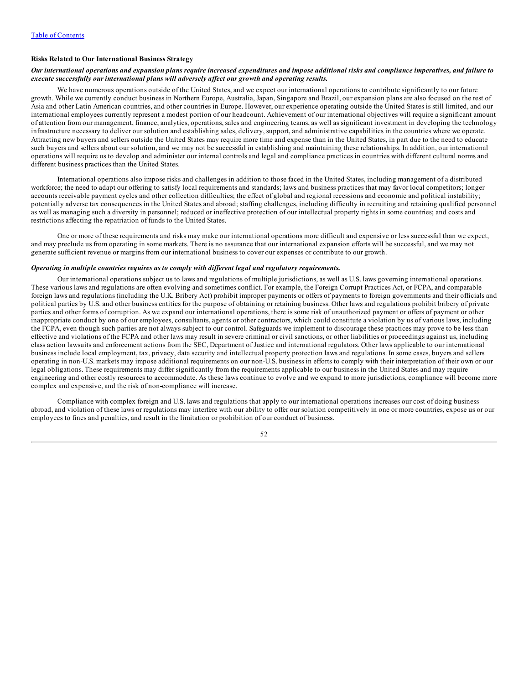### **Risks Related to Our International Business Strategy**

## Our international operations and expansion plans require increased expenditures and impose additional risks and compliance imperatives, and failure to *execute successfully our international plans will adversely af ect our growth and operating results.*

We have numerous operations outside of the United States, and we expect our international operations to contribute significantly to our future growth. While we currently conduct business in Northern Europe, Australia, Japan, Singapore and Brazil, our expansion plans are also focused on the rest of Asia and other Latin American countries, and other countries in Europe. However, our experience operating outside the United States is still limited, and our international employees currently represent a modest portion of our headcount. Achievement of our international objectives will require a significant amount of attention from our management, finance, analytics, operations, sales and engineering teams, as well as significant investment in developing the technology infrastructure necessary to deliver our solution and establishing sales, delivery, support, and administrative capabilities in the countries where we operate. Attracting new buyers and sellers outside the United States may require more time and expense than in the United States, in part due to the need to educate such buyers and sellers about our solution, and we may not be successful in establishing and maintaining these relationships. In addition, our international operations will require us to develop and administer our internal controls and legal and compliance practices in countries with different cultural norms and different business practices than the United States.

International operations also impose risks and challenges in addition to those faced in the United States, including management of a distributed workforce; the need to adapt our offering to satisfy local requirements and standards; laws and business practices that may favor local competitors; longer accounts receivable payment cycles and other collection difficulties; the effect of global and regional recessions and economic and political instability; potentially adverse tax consequences in the United States and abroad; staffing challenges, including difficulty in recruiting and retaining qualified personnel as well as managing such a diversity in personnel; reduced or ineffective protection of our intellectual property rights in some countries; and costs and restrictions affecting the repatriation of funds to the United States.

One or more of these requirements and risks may make our international operations more difficult and expensive or less successful than we expect, and may preclude us from operating in some markets. There is no assurance that our international expansion efforts will be successful, and we may not generate sufficient revenue or margins from our international business to cover our expenses or contribute to our growth.

#### *Operating in multiple countries requires us to comply with dif erent legal and regulatory requirements.*

Our international operations subject us to laws and regulations of multiple jurisdictions, as well as U.S. laws governing international operations. These various laws and regulations are often evolving and sometimes conflict. For example, the Foreign Corrupt Practices Act, or FCPA, and comparable foreign laws and regulations (including the U.K. Bribery Act) prohibit improper payments or offers of payments to foreign governments and their officials and political parties by U.S. and other business entities for the purpose of obtaining or retaining business. Other laws and regulations prohibit bribery of private parties and other forms of corruption. As we expand our international operations, there is some risk of unauthorized payment or offers of payment or other inappropriate conduct by one of our employees, consultants, agents or other contractors, which could constitute a violation by us of various laws, including the FCPA, even though such parties are not always subject to our control. Safeguards we implement to discourage these practices may prove to be less than effective and violations of the FCPA and other laws may result in severe criminal or civil sanctions, or other liabilities or proceedings against us, including class action lawsuits and enforcement actions from the SEC, Department of Justice and international regulators. Other laws applicable to our international business include local employment, tax, privacy, data security and intellectual property protection laws and regulations. In some cases, buyers and sellers operating in non-U.S. markets may impose additional requirements on our non-U.S. business in efforts to comply with their interpretation of their own or our legal obligations. These requirements may differ significantly from the requirements applicable to our business in the United States and may require engineering and other costly resources to accommodate. As these laws continue to evolve and we expand to more jurisdictions, compliance will become more complex and expensive, and the risk of non-compliance will increase.

Compliance with complex foreign and U.S. laws and regulations that apply to our international operations increases our cost of doing business abroad, and violation of these laws or regulations may interfere with our ability to offer our solution competitively in one or more countries, expose us or our employees to fines and penalties, and result in the limitation or prohibition of our conduct of business.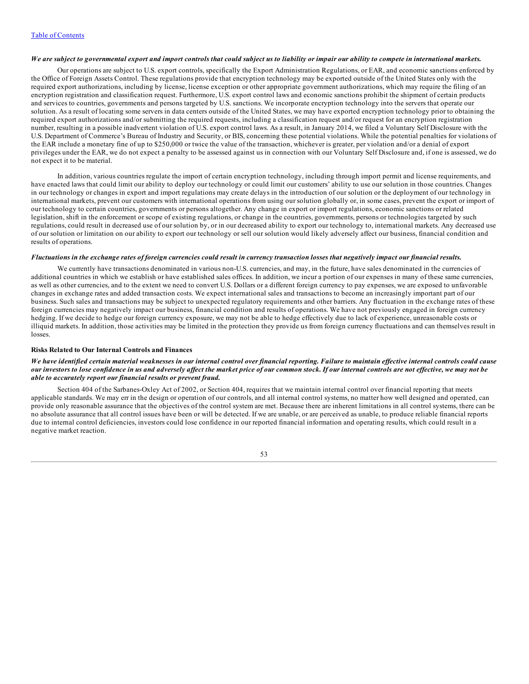## We are subject to governmental export and import controls that could subject us to liability or impair our ability to compete in international markets.

Our operations are subject to U.S. export controls, specifically the Export Administration Regulations, or EAR, and economic sanctions enforced by the Office of Foreign Assets Control. These regulations provide that encryption technology may be exported outside of the United States only with the required export authorizations, including by license, license exception or other appropriate government authorizations, which may require the filing of an encryption registration and classification request. Furthermore, U.S. export control laws and economic sanctions prohibit the shipment of certain products and services to countries, governments and persons targeted by U.S. sanctions. We incorporate encryption technology into the servers that operate our solution. As a result of locating some servers in data centers outside of the United States, we may have exported encryption technology prior to obtaining the required export authorizations and/or submitting the required requests, including a classification request and/or request for an encryption registration number, resulting in a possible inadvertent violation of U.S. export control laws. As a result, in January 2014, we filed a Voluntary Self Disclosure with the U.S. Department of Commerce's Bureau of Industry and Security, or BIS, concerning these potential violations. While the potential penalties for violations of the EAR include a monetary fine of up to \$250,000 or twice the value of the transaction, whichever is greater, per violation and/or a denial of export privileges under the EAR, we do not expect a penalty to be assessed against us in connection with our Voluntary Self Disclosure and, if one is assessed, we do not expect it to be material.

In addition, various countries regulate the import of certain encryption technology, including through import permit and license requirements, and have enacted laws that could limit our ability to deploy our technology or could limit our customers' ability to use our solution in those countries. Changes in our technology or changes in export and import regulations may create delays in the introduction of our solution or the deployment of our technology in international markets, prevent our customers with international operations from using our solution globally or, in some cases, prevent the export or import of our technology to certain countries, governments or persons altogether. Any change in export or import regulations, economic sanctions or related legislation, shift in the enforcement or scope of existing regulations, or change in the countries, governments, persons or technologies targeted by such regulations, could result in decreased use of our solution by, or in our decreased ability to export our technology to, international markets. Any decreased use of our solution or limitation on our ability to export our technology or sell our solution would likely adversely affect our business, financial condition and results of operations.

#### Fluctuations in the exchange rates of foreign currencies could result in currency transaction losses that negatively impact our financial results.

We currently have transactions denominated in various non-U.S. currencies, and may, in the future, have sales denominated in the currencies of additional countries in which we establish or have established sales offices. In addition, we incur a portion of our expenses in many of these same currencies, as well as other currencies, and to the extent we need to convert U.S. Dollars or a different foreign currency to pay expenses, we are exposed to unfavorable changes in exchange rates and added transaction costs. We expect international sales and transactions to become an increasingly important part of our business. Such sales and transactions may be subject to unexpected regulatory requirements and other barriers. Any fluctuation in the exchange rates of these foreign currencies may negatively impact our business, financial condition and results of operations. We have not previously engaged in foreign currency hedging. If we decide to hedge our foreign currency exposure, we may not be able to hedge effectively due to lack of experience, unreasonable costs or illiquid markets. In addition, those activities may be limited in the protection they provide us from foreign currency fluctuations and can themselves result in losses.

#### **Risks Related to Our Internal Controls and Finances**

## We have identified certain material weaknesses in our internal control over financial reporting. Failure to maintain effective internal controls could cause our investors to lose confidence in us and adversely affect the market price of our common stock. If our internal controls are not effective, we may not be *able to accurately report our financial results or prevent fraud.*

Section 404 of the Sarbanes-Oxley Act of 2002, or Section 404, requires that we maintain internal control over financial reporting that meets applicable standards. We may err in the design or operation of our controls, and all internal control systems, no matter how well designed and operated, can provide only reasonable assurance that the objectives of the control system are met. Because there are inherent limitations in all control systems, there can be no absolute assurance that all control issues have been or will be detected. If we are unable, or are perceived as unable, to produce reliable financial reports due to internal control deficiencies, investors could lose confidence in our reported financial information and operating results, which could result in a negative market reaction.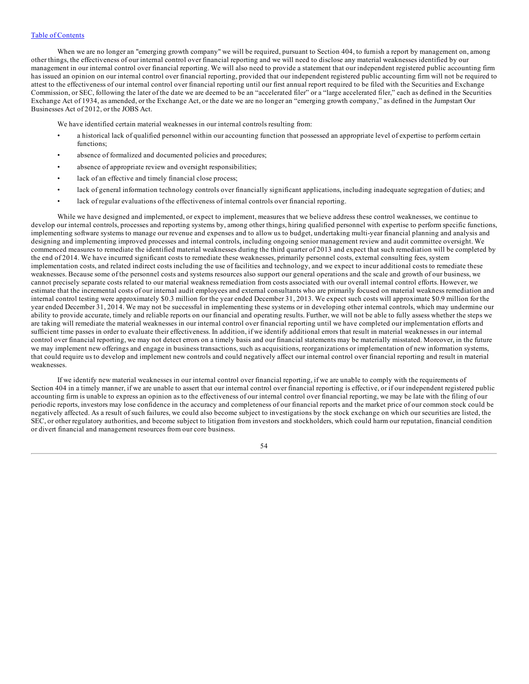When we are no longer an "emerging growth company" we will be required, pursuant to Section 404, to furnish a report by management on, among other things, the effectiveness of our internal control over financial reporting and we will need to disclose any material weaknesses identified by our management in our internal control over financial reporting. We will also need to provide a statement that our independent registered public accounting firm has issued an opinion on our internal control over financial reporting, provided that our independent registered public accounting firm will not be required to attest to the effectiveness of our internal control over financial reporting until our first annual report required to be filed with the Securities and Exchange Commission, or SEC, following the later of the date we are deemed to be an "accelerated filer" or a "large accelerated filer," each as defined in the Securities Exchange Act of 1934, as amended, or the Exchange Act, or the date we are no longer an "emerging growth company," as defined in the Jumpstart Our Businesses Act of 2012, or the JOBS Act.

We have identified certain material weaknesses in our internal controls resulting from:

- a historical lack of qualified personnel within our accounting function that possessed an appropriate level of expertise to perform certain functions;
- absence of formalized and documented policies and procedures;
- absence of appropriate review and oversight responsibilities;
- lack of an effective and timely financial close process;
- lack of general information technology controls over financially significant applications, including inadequate segregation of duties; and
- lack of regular evaluations of the effectiveness of internal controls over financial reporting.

While we have designed and implemented, or expect to implement, measures that we believe address these control weaknesses, we continue to develop our internal controls, processes and reporting systems by, among other things, hiring qualified personnel with expertise to perform specific functions, implementing software systems to manage our revenue and expenses and to allow us to budget, undertaking multi-year financial planning and analysis and designing and implementing improved processes and internal controls, including ongoing senior management review and audit committee oversight. We commenced measures to remediate the identified material weaknesses during the third quarter of 2013 and expect that such remediation will be completed by the end of 2014. We have incurred significant costs to remediate these weaknesses, primarily personnel costs, external consulting fees, system implementation costs, and related indirect costs including the use of facilities and technology, and we expect to incur additional costs to remediate these weaknesses. Because some of the personnel costs and systems resources also support our general operations and the scale and growth of our business, we cannot precisely separate costs related to our material weakness remediation from costs associated with our overall internal control efforts. However, we estimate that the incremental costs of our internal audit employees and external consultants who are primarily focused on material weakness remediation and internal control testing were approximately \$0.3 million for the year ended December 31, 2013. We expect such costs will approximate \$0.9 million for the year ended December 31, 2014. We may not be successful in implementing these systems or in developing other internal controls, which may undermine our ability to provide accurate, timely and reliable reports on our financial and operating results. Further, we will not be able to fully assess whether the steps we are taking will remediate the material weaknesses in our internal control over financial reporting until we have completed our implementation efforts and sufficient time passes in order to evaluate their effectiveness. In addition, if we identify additional errors that result in material weaknesses in our internal control over financial reporting, we may not detect errors on a timely basis and our financial statements may be materially misstated. Moreover, in the future we may implement new offerings and engage in business transactions, such as acquisitions, reorganizations or implementation of new information systems, that could require us to develop and implement new controls and could negatively affect our internal control over financial reporting and result in material weaknesses.

If we identify new material weaknesses in our internal control over financial reporting, if we are unable to comply with the requirements of Section 404 in a timely manner, if we are unable to assert that our internal control over financial reporting is effective, or if our independent registered public accounting firm is unable to express an opinion as to the effectiveness of our internal control over financial reporting, we may be late with the filing of our periodic reports, investors may lose confidence in the accuracy and completeness of our financial reports and the market price of our common stock could be negatively affected. As a result of such failures, we could also become subject to investigations by the stock exchange on which our securities are listed, the SEC, or other regulatory authorities, and become subject to litigation from investors and stockholders, which could harm our reputation, financial condition or divert financial and management resources from our core business.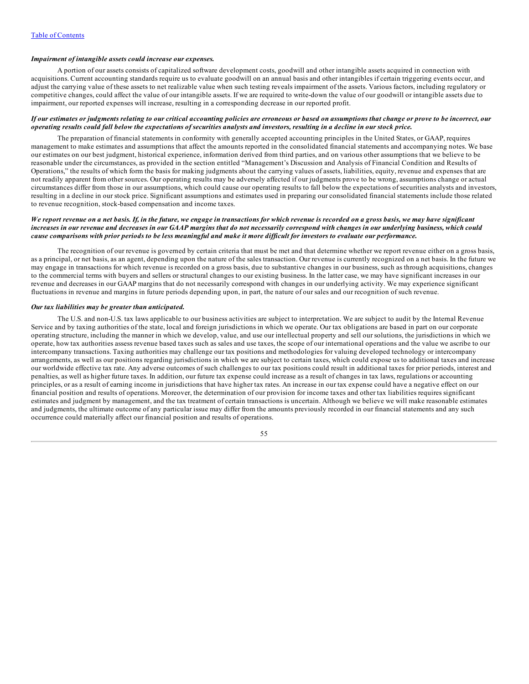## *Impairment of intangible assets could increase our expenses.*

A portion of our assets consists of capitalized software development costs, goodwill and other intangible assets acquired in connection with acquisitions. Current accounting standards require us to evaluate goodwill on an annual basis and other intangibles if certain triggering events occur, and adjust the carrying value of these assets to net realizable value when such testing reveals impairment of the assets. Various factors, including regulatory or competitive changes, could affect the value of our intangible assets. If we are required to write-down the value of our goodwill or intangible assets due to impairment, our reported expenses will increase, resulting in a corresponding decrease in our reported profit.

## If our estimates or judgments relating to our critical accounting policies are erroneous or based on assumptions that change or prove to be incorrect, our operating results could fall below the expectations of securities analysts and investors, resulting in a decline in our stock price.

The preparation of financial statements in conformity with generally accepted accounting principles in the United States, or GAAP, requires management to make estimates and assumptions that affect the amounts reported in the consolidated financial statements and accompanying notes. We base our estimates on our best judgment, historical experience, information derived from third parties, and on various other assumptions that we believe to be reasonable under the circumstances, as provided in the section entitled "Management's Discussion and Analysis of Financial Condition and Results of Operations," the results of which form the basis for making judgments about the carrying values of assets, liabilities, equity, revenue and expenses that are not readily apparent from other sources. Our operating results may be adversely affected if our judgments prove to be wrong, assumptions change or actual circumstances differ from those in our assumptions, which could cause our operating results to fall below the expectations of securities analysts and investors, resulting in a decline in our stock price. Significant assumptions and estimates used in preparing our consolidated financial statements include those related to revenue recognition, stock-based compensation and income taxes.

### We report revenue on a net basis. If, in the future, we engage in transactions for which revenue is recorded on a gross basis, we may have significant increases in our revenue and decreases in our GAAP margins that do not necessarily correspond with changes in our underlying business, which could cause comparisons with prior periods to be less meaningful and make it more difficult for investors to evaluate our performance.

The recognition of our revenue is governed by certain criteria that must be met and that determine whether we report revenue either on a gross basis, as a principal, or net basis, as an agent, depending upon the nature of the sales transaction. Our revenue is currently recognized on a net basis. In the future we may engage in transactions for which revenue is recorded on a gross basis, due to substantive changes in our business, such as through acquisitions, changes to the commercial terms with buyers and sellers or structural changes to our existing business. In the latter case, we may have significant increases in our revenue and decreases in our GAAP margins that do not necessarily correspond with changes in our underlying activity. We may experience significant fluctuations in revenue and margins in future periods depending upon, in part, the nature of our sales and our recognition of such revenue.

#### *Our tax liabilities may be greater than anticipated.*

The U.S. and non-U.S. tax laws applicable to our business activities are subject to interpretation. We are subject to audit by the Internal Revenue Service and by taxing authorities of the state, local and foreign jurisdictions in which we operate. Our tax obligations are based in part on our corporate operating structure, including the manner in which we develop, value, and use our intellectual property and sell our solutions, the jurisdictions in which we operate, how tax authorities assess revenue based taxes such as sales and use taxes, the scope of our international operations and the value we ascribe to our intercompany transactions. Taxing authorities may challenge our tax positions and methodologies for valuing developed technology or intercompany arrangements, as well as our positions regarding jurisdictions in which we are subject to certain taxes, which could expose us to additional taxes and increase our worldwide effective tax rate. Any adverse outcomes of such challenges to our tax positions could result in additional taxes for prior periods, interest and penalties, as well as higher future taxes. In addition, our future tax expense could increase as a result of changes in tax laws, regulations or accounting principles, or as a result of earning income in jurisdictions that have higher tax rates. An increase in our tax expense could have a negative effect on our financial position and results of operations. Moreover, the determination of our provision for income taxes and other tax liabilities requires significant estimates and judgment by management, and the tax treatment of certain transactions is uncertain. Although we believe we will make reasonable estimates and judgments, the ultimate outcome of any particular issue may differ from the amounts previously recorded in our financial statements and any such occurrence could materially affect our financial position and results of operations.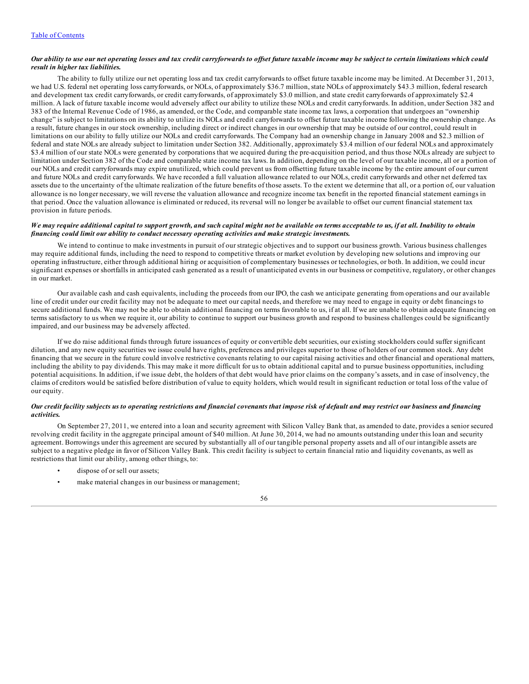## Our ability to use our net operating losses and tax credit carryforwards to offset future taxable income may be subject to certain limitations which could *result in higher tax liabilities.*

The ability to fully utilize our net operating loss and tax credit carryforwards to offset future taxable income may be limited. At December 31, 2013, we had U.S. federal net operating loss carryforwards, or NOLs, of approximately \$36.7 million, state NOLs of approximately \$43.3 million, federal research and development tax credit carryforwards, or credit carryforwards, of approximately \$3.0 million, and state credit carryforwards of approximately \$2.4 million. A lack of future taxable income would adversely affect our ability to utilize these NOLs and credit carryforwards. In addition, under Section 382 and 383 of the Internal Revenue Code of 1986, as amended, or the Code, and comparable state income tax laws, a corporation that undergoes an "ownership change" is subject to limitations on its ability to utilize its NOLs and credit carryforwards to offset future taxable income following the ownership change. As a result, future changes in our stock ownership, including direct or indirect changes in our ownership that may be outside of our control, could result in limitations on our ability to fully utilize our NOLs and credit carryforwards. The Company had an ownership change in January 2008 and \$2.3 million of federal and state NOLs are already subject to limitation under Section 382. Additionally, approximately \$3.4 million of our federal NOLs and approximately \$3.4 million of our state NOLs were generated by corporations that we acquired during the pre-acquisition period, and thus those NOLs already are subject to limitation under Section 382 of the Code and comparable state income tax laws. In addition, depending on the level of our taxable income, all or a portion of our NOLs and credit carryforwards may expire unutilized, which could prevent us from offsetting future taxable income by the entire amount of our current and future NOLs and credit carryforwards. We have recorded a full valuation allowance related to our NOLs, credit carryforwards and other net deferred tax assets due to the uncertainty of the ultimate realization of the future benefits of those assets. To the extent we determine that all, or a portion of, our valuation allowance is no longer necessary, we will reverse the valuation allowance and recognize income tax benefit in the reported financial statement earnings in that period. Once the valuation allowance is eliminated or reduced, its reversal will no longer be available to offset our current financial statement tax provision in future periods.

## We may require additional capital to support growth, and such capital might not be available on terms acceptable to us, if at all. Inability to obtain *financing could limit our ability to conduct necessary operating activities and make strategic investments.*

We intend to continue to make investments in pursuit of our strategic objectives and to support our business growth. Various business challenges may require additional funds, including the need to respond to competitive threats or market evolution by developing new solutions and improving our operating infrastructure, either through additional hiring or acquisition of complementary businesses or technologies, or both. In addition, we could incur significant expenses or shortfalls in anticipated cash generated as a result of unanticipated events in our business or competitive, regulatory, or other changes in our market.

Our available cash and cash equivalents, including the proceeds from our IPO, the cash we anticipate generating from operations and our available line of credit under our credit facility may not be adequate to meet our capital needs, and therefore we may need to engage in equity or debt financings to secure additional funds. We may not be able to obtain additional financing on terms favorable to us, if at all. If we are unable to obtain adequate financing on terms satisfactory to us when we require it, our ability to continue to support our business growth and respond to business challenges could be significantly impaired, and our business may be adversely affected.

If we do raise additional funds through future issuances of equity or convertible debt securities, our existing stockholders could suffer significant dilution, and any new equity securities we issue could have rights, preferences and privileges superior to those of holders of our common stock. Any debt financing that we secure in the future could involve restrictive covenants relating to our capital raising activities and other financial and operational matters, including the ability to pay dividends. This may make it more difficult for us to obtain additional capital and to pursue business opportunities, including potential acquisitions. In addition, if we issue debt, the holders of that debt would have prior claims on the company's assets, and in case of insolvency, the claims of creditors would be satisfied before distribution of value to equity holders, which would result in significant reduction or total loss of the value of our equity.

## Our credit facility subjects us to operating restrictions and financial covenants that impose risk of default and may restrict our business and financing *activities.*

On September 27, 2011, we entered into a loan and security agreement with Silicon Valley Bank that, as amended to date, provides a senior secured revolving credit facility in the aggregate principal amount of \$40 million. At June 30, 2014, we had no amounts outstanding under this loan and security agreement. Borrowings under this agreement are secured by substantially all of our tangible personal property assets and all of our intangible assets are subject to a negative pledge in favor of Silicon Valley Bank. This credit facility is subject to certain financial ratio and liquidity covenants, as well as restrictions that limit our ability, among other things, to:

- dispose of or sell our assets;
- make material changes in our business or management;

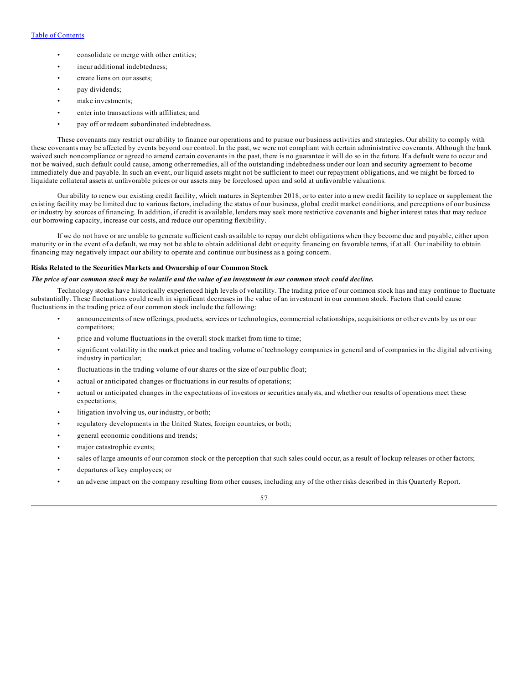# Table of [Contents](#page-1-0)

- consolidate or merge with other entities;
- incur additional indebtedness;
- create liens on our assets;
- pay dividends;
- make investments;
- enter into transactions with affiliates; and
- pay off or redeem subordinated indebtedness.

These covenants may restrict our ability to finance our operations and to pursue our business activities and strategies. Our ability to comply with these covenants may be affected by events beyond our control. In the past, we were not compliant with certain administrative covenants. Although the bank waived such noncompliance or agreed to amend certain covenants in the past, there is no guarantee it will do so in the future. If a default were to occur and not be waived, such default could cause, among other remedies, all of the outstanding indebtedness under our loan and security agreement to become immediately due and payable. In such an event, our liquid assets might not be sufficient to meet our repayment obligations, and we might be forced to liquidate collateral assets at unfavorable prices or our assets may be foreclosed upon and sold at unfavorable valuations.

Our ability to renew our existing credit facility, which matures in September 2018, or to enter into a new credit facility to replace or supplement the existing facility may be limited due to various factors, including the status of our business, global credit market conditions, and perceptions of our business or industry by sources of financing. In addition, if credit is available, lenders may seek more restrictive covenants and higher interest rates that may reduce our borrowing capacity, increase our costs, and reduce our operating flexibility.

If we do not have or are unable to generate sufficient cash available to repay our debt obligations when they become due and payable, either upon maturity or in the event of a default, we may not be able to obtain additional debt or equity financing on favorable terms, if at all. Our inability to obtain financing may negatively impact our ability to operate and continue our business as a going concern.

#### **Risks Related to the Securities Markets and Ownership of our Common Stock**

### The price of our common stock may be volatile and the value of an investment in our common stock could decline.

Technology stocks have historically experienced high levels of volatility. The trading price of our common stock has and may continue to fluctuate substantially. These fluctuations could result in significant decreases in the value of an investment in our common stock. Factors that could cause fluctuations in the trading price of our common stock include the following:

- announcements of new offerings, products, services or technologies, commercial relationships, acquisitions or other events by us or our competitors;
- price and volume fluctuations in the overall stock market from time to time;
- significant volatility in the market price and trading volume of technology companies in general and of companies in the digital advertising industry in particular;
- fluctuations in the trading volume of our shares or the size of our public float;
- actual or anticipated changes or fluctuations in our results of operations;
- actual or anticipated changes in the expectations of investors or securities analysts, and whether our results of operations meet these expectations;
- litigation involving us, our industry, or both;
- regulatory developments in the United States, foreign countries, or both;
- general economic conditions and trends;
- major catastrophic events;
- sales of large amounts of our common stock or the perception that such sales could occur, as a result of lockup releases or other factors;
- departures of key employees; or
- an adverse impact on the company resulting from other causes, including any of the other risks described in this Quarterly Report.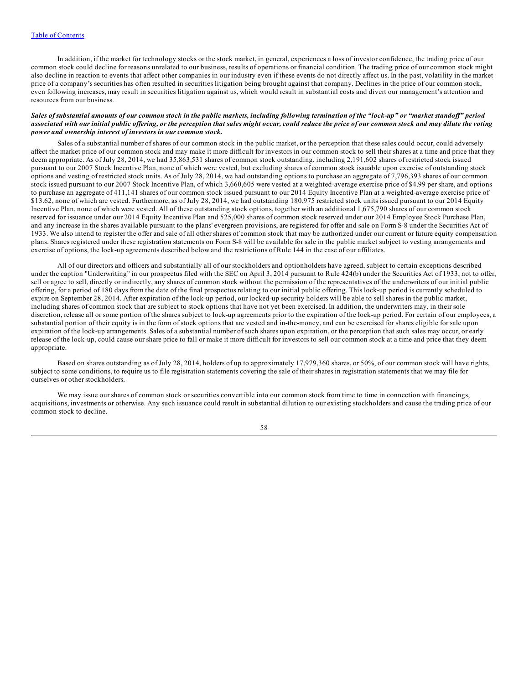In addition, if the market for technology stocks or the stock market, in general, experiences a loss of investor confidence, the trading price of our common stock could decline for reasons unrelated to our business, results of operations or financial condition. The trading price of our common stock might also decline in reaction to events that affect other companies in our industry even if these events do not directly affect us. In the past, volatility in the market price of a company's securities has often resulted in securities litigation being brought against that company. Declines in the price of our common stock, even following increases, may result in securities litigation against us, which would result in substantial costs and divert our management's attention and resources from our business.

#### Sales of substantial amounts of our common stock in the public markets, including following termination of the "lock-up" or "market standoff" period associated with our initial public offering, or the perception that sales might occur, could reduce the price of our common stock and may dilute the voting *power and ownership interest of investors in our common stock.*

Sales of a substantial number of shares of our common stock in the public market, or the perception that these sales could occur, could adversely affect the market price of our common stock and may make it more difficult for investors in our common stock to sell their shares at a time and price that they deem appropriate. As of July 28, 2014, we had 35,863,531 shares of common stock outstanding, including 2,191,602 shares of restricted stock issued pursuant to our 2007 Stock Incentive Plan, none of which were vested, but excluding shares of common stock issuable upon exercise of outstanding stock options and vesting of restricted stock units. As of July 28, 2014, we had outstanding options to purchase an aggregate of 7,796,393 shares of our common stock issued pursuant to our 2007 Stock Incentive Plan, of which 3,660,605 were vested at a weighted-average exercise price of \$4.99 per share, and options to purchase an aggregate of 411,141 shares of our common stock issued pursuant to our 2014 Equity Incentive Plan at a weighted-average exercise price of \$13.62, none of which are vested. Furthermore, as of July 28, 2014, we had outstanding 180,975 restricted stock units issued pursuant to our 2014 Equity Incentive Plan, none of which were vested. All of these outstanding stock options, together with an additional 1,675,790 shares of our common stock reserved for issuance under our 2014 Equity Incentive Plan and 525,000 shares of common stock reserved under our 2014 Employee Stock Purchase Plan, and any increase in the shares available pursuant to the plans' evergreen provisions, are registered for offer and sale on Form S-8 under the Securities Act of 1933. We also intend to register the offer and sale of all other shares of common stock that may be authorized under our current or future equity compensation plans. Shares registered under these registration statements on Form S-8 will be available for sale in the public market subject to vesting arrangements and exercise of options, the lock-up agreements described below and the restrictions of Rule 144 in the case of our affiliates.

All of our directors and officers and substantially all of our stockholders and optionholders have agreed, subject to certain exceptions described under the caption "Underwriting" in our prospectus filed with the SEC on April 3, 2014 pursuant to Rule 424(b) under the Securities Act of 1933, not to offer, sell or agree to sell, directly or indirectly, any shares of common stock without the permission of the representatives of the underwriters of our initial public offering, for a period of 180 days from the date of the final prospectus relating to our initial public offering. This lock-up period is currently scheduled to expire on September 28, 2014. After expiration of the lock-up period, our locked-up security holders will be able to sell shares in the public market, including shares of common stock that are subject to stock options that have not yet been exercised. In addition, the underwriters may, in their sole discretion, release all or some portion of the shares subject to lock-up agreements prior to the expiration of the lock-up period. For certain of our employees, a substantial portion of their equity is in the form of stock options that are vested and in-the-money, and can be exercised for shares eligible for sale upon expiration of the lock-up arrangements. Sales of a substantial number of such shares upon expiration, or the perception that such sales may occur, or early release of the lock-up, could cause our share price to fall or make it more difficult for investors to sell our common stock at a time and price that they deem appropriate.

Based on shares outstanding as of July 28, 2014, holders of up to approximately 17,979,360 shares, or 50%, of our common stock will have rights, subject to some conditions, to require us to file registration statements covering the sale of their shares in registration statements that we may file for ourselves or other stockholders.

We may issue our shares of common stock or securities convertible into our common stock from time to time in connection with financings, acquisitions, investments or otherwise. Any such issuance could result in substantial dilution to our existing stockholders and cause the trading price of our common stock to decline.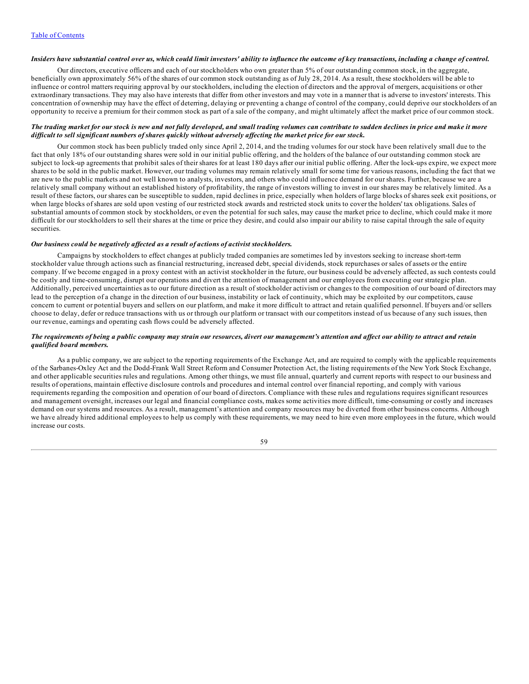## Insiders have substantial control over us, which could limit investors' ability to influence the outcome of key transactions, including a change of control.

Our directors, executive officers and each of our stockholders who own greater than 5% of our outstanding common stock, in the aggregate, beneficially own approximately 56% of the shares of our common stock outstanding as of July 28, 2014. As a result, these stockholders will be able to influence or control matters requiring approval by our stockholders, including the election of directors and the approval of mergers, acquisitions or other extraordinary transactions. They may also have interests that differ from other investors and may vote in a manner that is adverse to investors' interests. This concentration of ownership may have the effect of deterring, delaying or preventing a change of control of the company, could deprive our stockholders of an opportunity to receive a premium for their common stock as part of a sale of the company, and might ultimately affect the market price of our common stock.

### The trading market for our stock is new and not fully developed, and small trading volumes can contribute to sudden declines in price and make it more difficult to sell significant numbers of shares quickly without adversely affecting the market price for our stock.

Our common stock has been publicly traded only since April 2, 2014, and the trading volumes for our stock have been relatively small due to the fact that only 18% of our outstanding shares were sold in our initial public offering, and the holders of the balance of our outstanding common stock are subject to lock-up agreements that prohibit sales of their shares for at least 180 days after our initial public offering. After the lock-ups expire, we expect more shares to be sold in the public market. However, our trading volumes may remain relatively small for some time for various reasons, including the fact that we are new to the public markets and not well known to analysts, investors, and others who could influence demand for our shares. Further, because we are a relatively small company without an established history of profitability, the range of investors willing to invest in our shares may be relatively limited. As a result of these factors, our shares can be susceptible to sudden, rapid declines in price, especially when holders of large blocks of shares seek exit positions, or when large blocks of shares are sold upon vesting of our restricted stock awards and restricted stock units to cover the holders' tax obligations. Sales of substantial amounts of common stock by stockholders, or even the potential for such sales, may cause the market price to decline, which could make it more difficult for our stockholders to sell their shares at the time or price they desire, and could also impair our ability to raise capital through the sale of equity securities.

#### *Our business could be negatively af ected as a result of actions of activist stockholders.*

Campaigns by stockholders to effect changes at publicly traded companies are sometimes led by investors seeking to increase short-term stockholder value through actions such as financial restructuring, increased debt, special dividends, stock repurchases or sales of assets or the entire company. If we become engaged in a proxy contest with an activist stockholder in the future, our business could be adversely affected, as such contests could be costly and time-consuming, disrupt our operations and divert the attention of management and our employees from executing our strategic plan. Additionally, perceived uncertainties as to our future direction as a result of stockholder activism or changes to the composition of our board of directors may lead to the perception of a change in the direction of our business, instability or lack of continuity, which may be exploited by our competitors, cause concern to current or potential buyers and sellers on our platform, and make it more difficult to attract and retain qualified personnel. If buyers and/or sellers choose to delay, defer or reduce transactions with us or through our platform or transact with our competitors instead of us because of any such issues, then our revenue, earnings and operating cash flows could be adversely affected.

#### The requirements of being a public company may strain our resources, divert our management's attention and affect our ability to attract and retain *qualified board members.*

As a public company, we are subject to the reporting requirements of the Exchange Act, and are required to comply with the applicable requirements of the Sarbanes-Oxley Act and the Dodd-Frank Wall Street Reform and Consumer Protection Act, the listing requirements of the New York Stock Exchange, and other applicable securities rules and regulations. Among other things, we must file annual, quarterly and current reports with respect to our business and results of operations, maintain effective disclosure controls and procedures and internal control over financial reporting, and comply with various requirements regarding the composition and operation of our board of directors. Compliance with these rules and regulations requires significant resources and management oversight, increases our legal and financial compliance costs, makes some activities more difficult, time-consuming or costly and increases demand on our systems and resources. As a result, management's attention and company resources may be diverted from other business concerns. Although we have already hired additional employees to help us comply with these requirements, we may need to hire even more employees in the future, which would increase our costs.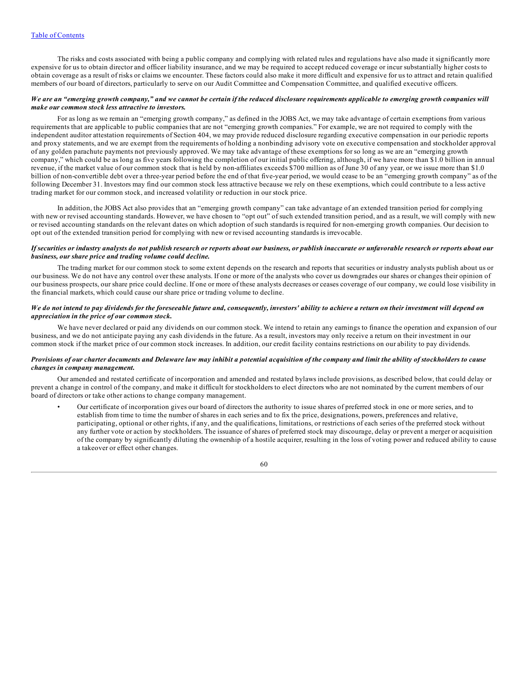The risks and costs associated with being a public company and complying with related rules and regulations have also made it significantly more expensive for us to obtain director and officer liability insurance, and we may be required to accept reduced coverage or incur substantially higher costs to obtain coverage as a result of risks or claims we encounter. These factors could also make it more difficult and expensive for us to attract and retain qualified members of our board of directors, particularly to serve on our Audit Committee and Compensation Committee, and qualified executive officers.

## We are an "emerging growth company," and we cannot be certain if the reduced disclosure requirements applicable to emerging growth companies will *make our common stock less attractive to investors.*

For as long as we remain an "emerging growth company," as defined in the JOBS Act, we may take advantage of certain exemptions from various requirements that are applicable to public companies that are not "emerging growth companies." For example, we are not required to comply with the independent auditor attestation requirements of Section 404, we may provide reduced disclosure regarding executive compensation in our periodic reports and proxy statements, and we are exempt from the requirements of holding a nonbinding advisory vote on executive compensation and stockholder approval of any golden parachute payments not previously approved. We may take advantage of these exemptions for so long as we are an "emerging growth company," which could be as long as five years following the completion of our initial public offering, although, if we have more than \$1.0 billion in annual revenue, if the market value of our common stock that is held by non-affiliates exceeds \$700 million as of June 30 of any year, or we issue more than \$1.0 billion of non-convertible debt over a three-year period before the end of that five-year period, we would cease to be an "emerging growth company" as of the following December 31. Investors may find our common stock less attractive because we rely on these exemptions, which could contribute to a less active trading market for our common stock, and increased volatility or reduction in our stock price.

In addition, the JOBS Act also provides that an "emerging growth company" can take advantage of an extended transition period for complying with new or revised accounting standards. However, we have chosen to "opt out" of such extended transition period, and as a result, we will comply with new or revised accounting standards on the relevant dates on which adoption of such standards is required for non-emerging growth companies. Our decision to opt out of the extended transition period for complying with new or revised accounting standards is irrevocable.

## If securities or industry analysts do not publish research or reports about our business, or publish inaccurate or unfavorable research or reports about our *business, our share price and trading volume could decline.*

The trading market for our common stock to some extent depends on the research and reports that securities or industry analysts publish about us or our business. We do not have any control over these analysts. If one or more of the analysts who cover us downgrades our shares or changes their opinion of our business prospects, our share price could decline. If one or more of these analysts decreases or ceases coverage of our company, we could lose visibility in the financial markets, which could cause our share price or trading volume to decline.

## We do not intend to pay dividends for the foreseeable future and, consequently, investors' ability to achieve a return on their investment will depend on *appreciation in the price of our common stock.*

We have never declared or paid any dividends on our common stock. We intend to retain any earnings to finance the operation and expansion of our business, and we do not anticipate paying any cash dividends in the future. As a result, investors may only receive a return on their investment in our common stock if the market price of our common stock increases. In addition, our credit facility contains restrictions on our ability to pay dividends.

## Provisions of our charter documents and Delaware law may inhibit a potential acquisition of the company and limit the ability of stockholders to cause *changes in company management.*

Our amended and restated certificate of incorporation and amended and restated bylaws include provisions, as described below, that could delay or prevent a change in control of the company, and make it difficult for stockholders to elect directors who are not nominated by the current members of our board of directors or take other actions to change company management.

• Our certificate of incorporation gives our board of directors the authority to issue shares of preferred stock in one or more series, and to establish from time to time the number of shares in each series and to fix the price, designations, powers, preferences and relative, participating, optional or other rights, if any, and the qualifications, limitations, or restrictions of each series of the preferred stock without any further vote or action by stockholders. The issuance of shares of preferred stock may discourage, delay or prevent a merger or acquisition of the company by significantly diluting the ownership of a hostile acquirer, resulting in the loss of voting power and reduced ability to cause a takeover or effect other changes.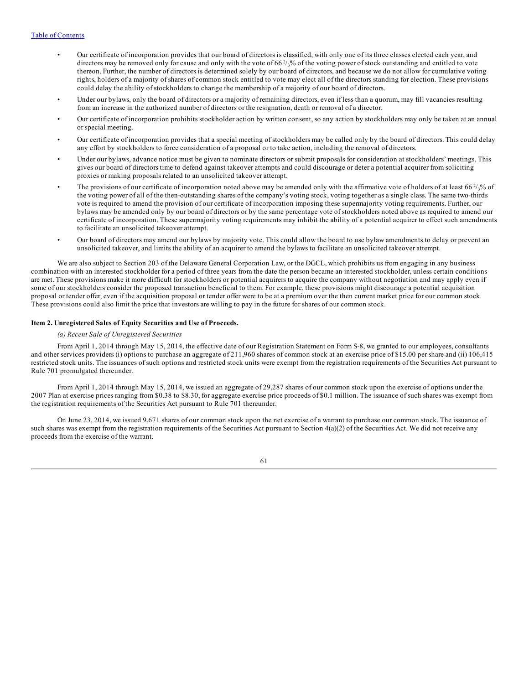- <span id="page-60-0"></span>• Our certificate of incorporation provides that our board of directors is classified, with only one of its three classes elected each year, and directors may be removed only for cause and only with the vote of 66<sup>2</sup>/<sub>3</sub>% of the voting power of stock outstanding and entitled to vote thereon. Further, the number of directors is determined solely by our board of directors, and because we do not allow for cumulative voting rights, holders of a majority of shares of common stock entitled to vote may elect all of the directors standing for election. These provisions could delay the ability of stockholders to change the membership of a majority of our board of directors.
- Under our bylaws, only the board of directors or a majority of remaining directors, even if less than a quorum, may fill vacancies resulting from an increase in the authorized number of directors or the resignation, death or removal of a director.
- Our certificate of incorporation prohibits stockholder action by written consent, so any action by stockholders may only be taken at an annual or special meeting.
- Our certificate of incorporation provides that a special meeting of stockholders may be called only by the board of directors. This could delay any effort by stockholders to force consideration of a proposal or to take action, including the removal of directors.
- Under our bylaws, advance notice must be given to nominate directors or submit proposals for consideration at stockholders' meetings. This gives our board of directors time to defend against takeover attempts and could discourage or deter a potential acquirer from soliciting proxies or making proposals related to an unsolicited takeover attempt.
- The provisions of our certificate of incorporation noted above may be amended only with the affirmative vote of holders of at least 66 $\frac{2}{3}$ % of the voting power of all of the then-outstanding shares of the company's voting stock, voting together as a single class. The same two-thirds vote is required to amend the provision of our certificate of incorporation imposing these supermajority voting requirements. Further, our bylaws may be amended only by our board of directors or by the same percentage vote of stockholders noted above as required to amend our certificate of incorporation. These supermajority voting requirements may inhibit the ability of a potential acquirer to effect such amendments to facilitate an unsolicited takeover attempt.
- Our board of directors may amend our bylaws by majority vote. This could allow the board to use bylaw amendments to delay or prevent an unsolicited takeover, and limits the ability of an acquirer to amend the bylaws to facilitate an unsolicited takeover attempt.

We are also subject to Section 203 of the Delaware General Corporation Law, or the DGCL, which prohibits us from engaging in any business combination with an interested stockholder for a period of three years from the date the person became an interested stockholder, unless certain conditions are met. These provisions make it more difficult for stockholders or potential acquirers to acquire the company without negotiation and may apply even if some of our stockholders consider the proposed transaction beneficial to them. For example, these provisions might discourage a potential acquisition proposal or tender offer, even if the acquisition proposal or tender offer were to be at a premium over the then current market price for our common stock. These provisions could also limit the price that investors are willing to pay in the future for shares of our common stock.

## **Item 2. Unregistered Sales of Equity Securities and Use of Proceeds.**

#### *(a) Recent Sale of Unregistered Securities*

From April 1, 2014 through May 15, 2014, the effective date of our Registration Statement on Form S-8, we granted to our employees, consultants and other services providers (i) options to purchase an aggregate of 211,960 shares of common stock at an exercise price of \$15.00 per share and (ii) 106,415 restricted stock units. The issuances of such options and restricted stock units were exempt from the registration requirements of the Securities Act pursuant to Rule 701 promulgated thereunder.

From April 1, 2014 through May 15, 2014, we issued an aggregate of 29,287 shares of our common stock upon the exercise of options under the 2007 Plan at exercise prices ranging from \$0.38 to \$8.30, for aggregate exercise price proceeds of \$0.1 million. The issuance of such shares was exempt from the registration requirements of the Securities Act pursuant to Rule 701 thereunder.

On June 23, 2014, we issued 9,671 shares of our common stock upon the net exercise of a warrant to purchase our common stock. The issuance of such shares was exempt from the registration requirements of the Securities Act pursuant to Section  $4(a)(2)$  of the Securities Act. We did not receive any proceeds from the exercise of the warrant.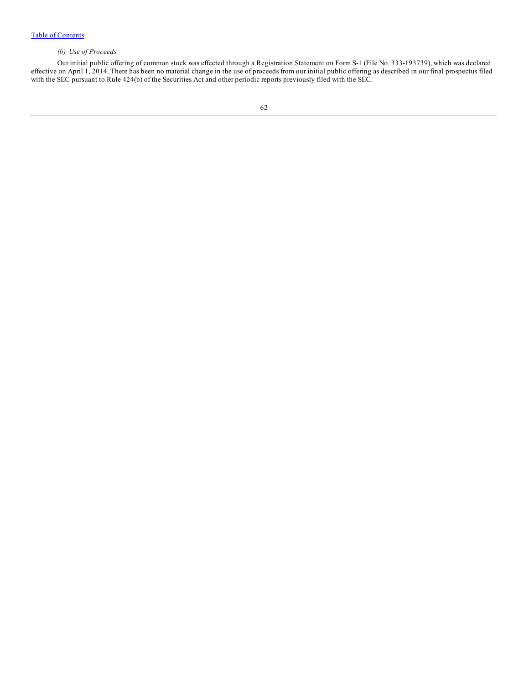# *(b) Use of Proceeds*

Our initial public offering of common stock was effected through a Registration Statement on Form S-1 (File No. 333-193739), which was declared effective on April 1, 2014. There has been no material change in the use of proceeds from our initial public offering as described in our final prospectus filed with the SEC pursuant to Rule 424(b) of the Securities Act and other periodic reports previously filed with the SEC.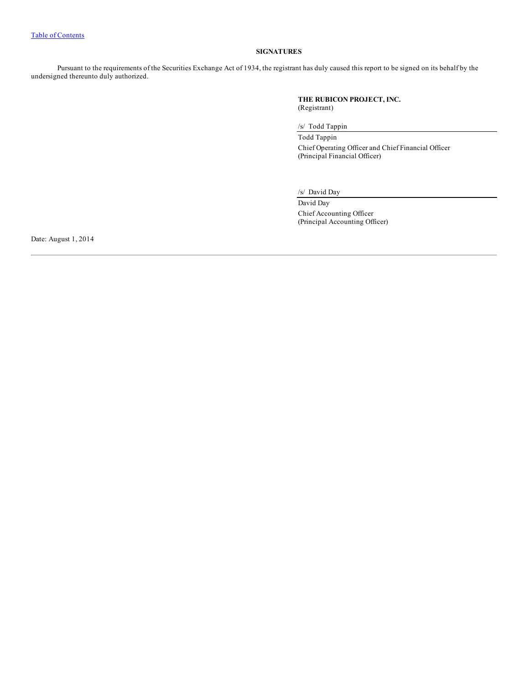# **SIGNATURES**

<span id="page-62-0"></span>Pursuant to the requirements of the Securities Exchange Act of 1934, the registrant has duly caused this report to be signed on its behalf by the undersigned thereunto duly authorized.

> **THE RUBICON PROJECT, INC.** (Registrant)

/s/ Todd Tappin

Todd Tappin Chief Operating Officer and Chief Financial Officer (Principal Financial Officer)

/s/ David Day

David Day Chief Accounting Officer (Principal Accounting Officer)

Date: August 1, 2014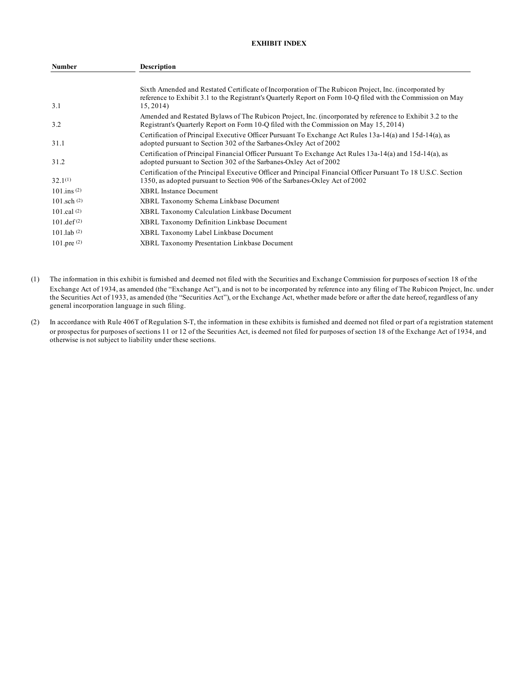# **EXHIBIT INDEX**

| <b>Number</b>         | <b>Description</b>                                                                                                                                                                                                                |
|-----------------------|-----------------------------------------------------------------------------------------------------------------------------------------------------------------------------------------------------------------------------------|
| 3.1                   | Sixth Amended and Restated Certificate of Incorporation of The Rubicon Project, Inc. (incorporated by<br>reference to Exhibit 3.1 to the Registrant's Quarterly Report on Form 10-Q filed with the Commission on May<br>15, 2014) |
| 3.2                   | Amended and Restated Bylaws of The Rubicon Project, Inc. (incorporated by reference to Exhibit 3.2 to the<br>Registrant's Quarterly Report on Form 10-Q filed with the Commission on May 15, 2014)                                |
| 31.1                  | Certification of Principal Executive Officer Pursuant To Exchange Act Rules 13a-14(a) and 15d-14(a), as<br>adopted pursuant to Section 302 of the Sarbanes-Oxley Act of 2002                                                      |
| 31.2                  | Certification of Principal Financial Officer Pursuant To Exchange Act Rules 13a-14(a) and 15d-14(a), as<br>adopted pursuant to Section 302 of the Sarbanes-Oxley Act of 2002                                                      |
| $32.1^{(1)}$          | Certification of the Principal Executive Officer and Principal Financial Officer Pursuant To 18 U.S.C. Section<br>1350, as adopted pursuant to Section 906 of the Sarbanes-Oxley Act of 2002                                      |
| $101 \text{ ins} (2)$ | <b>XBRL</b> Instance Document                                                                                                                                                                                                     |
| $101$ sch $(2)$       | XBRL Taxonomy Schema Linkbase Document                                                                                                                                                                                            |
| 101.cal $(2)$         | <b>XBRL Taxonomy Calculation Linkbase Document</b>                                                                                                                                                                                |
| $101.$ def $(2)$      | XBRL Taxonomy Definition Linkbase Document                                                                                                                                                                                        |
| $101$ .lab $(2)$      | XBRL Taxonomy Label Linkbase Document                                                                                                                                                                                             |
| $101$ .pre $(2)$      | <b>XBRL Taxonomy Presentation Linkbase Document</b>                                                                                                                                                                               |

- (1) The information in this exhibit is furnished and deemed not filed with the Securities and Exchange Commission for purposes of section 18 of the Exchange Act of 1934, as amended (the "Exchange Act"), and is not to be incorporated by reference into any filing of The Rubicon Project, Inc. under the Securities Act of 1933, as amended (the "Securities Act"), or the Exchange Act, whether made before or after the date hereof, regardless of any general incorporation language in such filing.
- (2) In accordance with Rule 406T of Regulation S-T, the information in these exhibits is furnished and deemed not filed or part of a registration statement or prospectus for purposes of sections 11 or 12 of the Securities Act, is deemed not filed for purposes of section 18 of the Exchange Act of 1934, and otherwise is not subject to liability under these sections.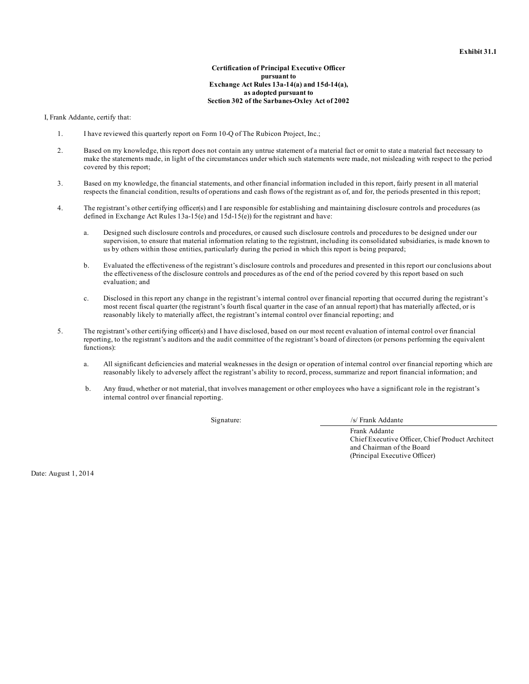## **Certification of Principal Executive Officer pursuant to Exchange Act Rules 13a-14(a) and 15d-14(a), as adopted pursuant to Section 302 of the Sarbanes-Oxley Act of 2002**

I, Frank Addante, certify that:

- 1. I have reviewed this quarterly report on Form 10-Q of The Rubicon Project, Inc.;
- 2. Based on my knowledge, this report does not contain any untrue statement of a material fact or omit to state a material fact necessary to make the statements made, in light of the circumstances under which such statements were made, not misleading with respect to the period covered by this report;
- 3. Based on my knowledge, the financial statements, and other financial information included in this report, fairly present in all material respects the financial condition, results of operations and cash flows of the registrant as of, and for, the periods presented in this report;
- 4. The registrant's other certifying officer(s) and I are responsible for establishing and maintaining disclosure controls and procedures (as defined in Exchange Act Rules  $13a-15(e)$  and  $15d-15(e)$  for the registrant and have:
	- a. Designed such disclosure controls and procedures, or caused such disclosure controls and procedures to be designed under our supervision, to ensure that material information relating to the registrant, including its consolidated subsidiaries, is made known to us by others within those entities, particularly during the period in which this report is being prepared;
	- b. Evaluated the effectiveness of the registrant's disclosure controls and procedures and presented in this report our conclusions about the effectiveness of the disclosure controls and procedures as of the end of the period covered by this report based on such evaluation; and
	- c. Disclosed in this report any change in the registrant's internal control over financial reporting that occurred during the registrant's most recent fiscal quarter (the registrant's fourth fiscal quarter in the case of an annual report) that has materially affected, or is reasonably likely to materially affect, the registrant's internal control over financial reporting; and
- 5. The registrant's other certifying officer(s) and I have disclosed, based on our most recent evaluation of internal control over financial reporting, to the registrant's auditors and the audit committee of the registrant's board of directors (or persons performing the equivalent functions):
	- a. All significant deficiencies and material weaknesses in the design or operation of internal control over financial reporting which are reasonably likely to adversely affect the registrant's ability to record, process, summarize and report financial information; and
	- b. Any fraud, whether or not material, that involves management or other employees who have a significant role in the registrant's internal control over financial reporting.

Signature: /s/ Frank Addante

Frank Addante Chief Executive Officer, Chief Product Architect and Chairman of the Board (Principal Executive Officer)

Date: August 1, 2014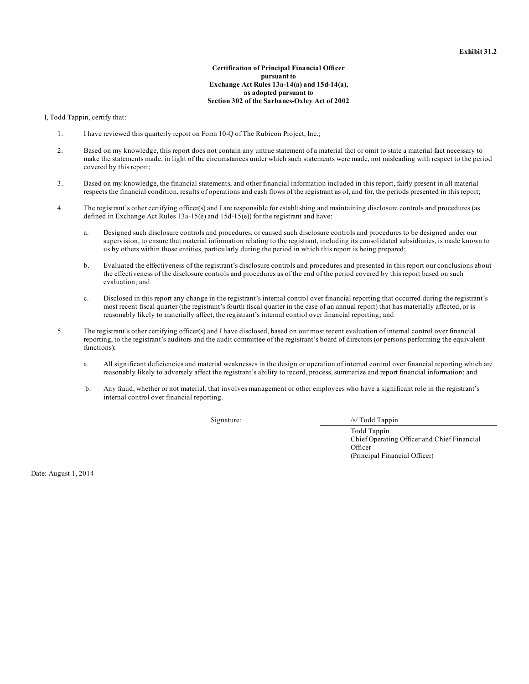## **Certification of Principal Financial Officer pursuant to Exchange Act Rules 13a-14(a) and 15d-14(a), as adopted pursuant to Section 302 of the Sarbanes-Oxley Act of 2002**

I, Todd Tappin, certify that:

- 1. I have reviewed this quarterly report on Form 10-Q of The Rubicon Project, Inc.;
- 2. Based on my knowledge, this report does not contain any untrue statement of a material fact or omit to state a material fact necessary to make the statements made, in light of the circumstances under which such statements were made, not misleading with respect to the period covered by this report;
- 3. Based on my knowledge, the financial statements, and other financial information included in this report, fairly present in all material respects the financial condition, results of operations and cash flows of the registrant as of, and for, the periods presented in this report;
- 4. The registrant's other certifying officer(s) and I are responsible for establishing and maintaining disclosure controls and procedures (as defined in Exchange Act Rules  $13a-15(e)$  and  $15d-15(e)$  for the registrant and have:
	- a. Designed such disclosure controls and procedures, or caused such disclosure controls and procedures to be designed under our supervision, to ensure that material information relating to the registrant, including its consolidated subsidiaries, is made known to us by others within those entities, particularly during the period in which this report is being prepared;
	- b. Evaluated the effectiveness of the registrant's disclosure controls and procedures and presented in this report our conclusions about the effectiveness of the disclosure controls and procedures as of the end of the period covered by this report based on such evaluation; and
	- c. Disclosed in this report any change in the registrant's internal control over financial reporting that occurred during the registrant's most recent fiscal quarter (the registrant's fourth fiscal quarter in the case of an annual report) that has materially affected, or is reasonably likely to materially affect, the registrant's internal control over financial reporting; and
- 5. The registrant's other certifying officer(s) and I have disclosed, based on our most recent evaluation of internal control over financial reporting, to the registrant's auditors and the audit committee of the registrant's board of directors (or persons performing the equivalent functions):
	- a. All significant deficiencies and material weaknesses in the design or operation of internal control over financial reporting which are reasonably likely to adversely affect the registrant's ability to record, process, summarize and report financial information; and
	- b. Any fraud, whether or not material, that involves management or other employees who have a significant role in the registrant's internal control over financial reporting.

Signature: /s/ Todd Tappin

Todd Tappin Chief Operating Officer and Chief Financial **Officer** (Principal Financial Officer)

Date: August 1, 2014